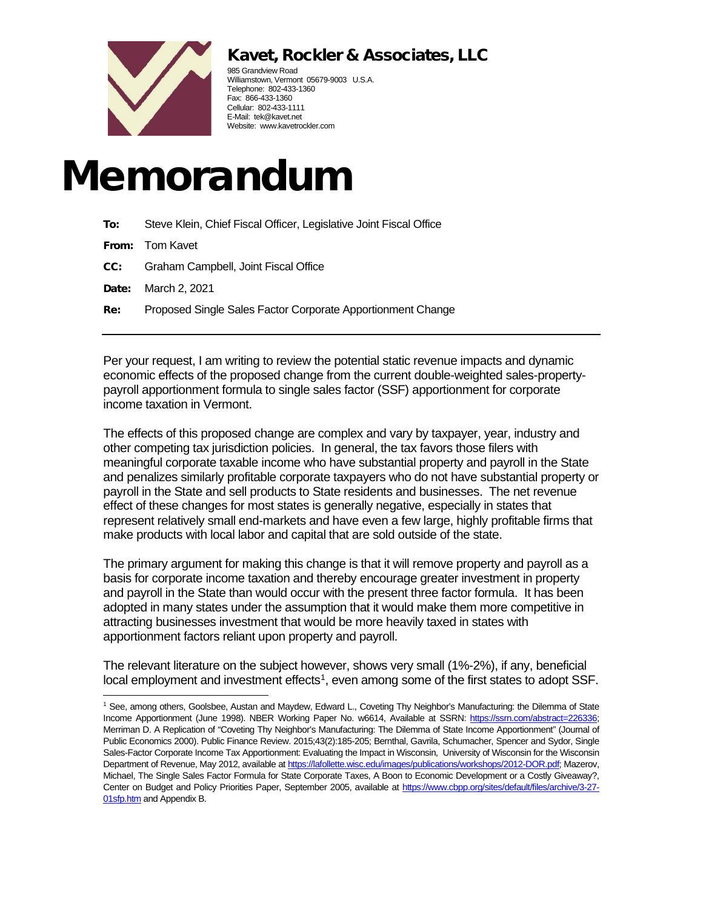# Kavet, Rockler & Associates, LLC



985 Grandview Road Williamstown, Vermont 05679-9003 U.S.A. Telephone: 802-433-1360 Fax: 866-433-1360 Cellular: 802-433-1111 E-Mail: tek@kavet.net Website: www.kavetrockler.com

# Memorandum

| To:   | Steve Klein, Chief Fiscal Officer, Legislative Joint Fiscal Office |
|-------|--------------------------------------------------------------------|
|       | <b>From:</b> Tom Kavet                                             |
| CC:   | Graham Campbell, Joint Fiscal Office                               |
| Date: | March 2, 2021                                                      |
| Re:   | Proposed Single Sales Factor Corporate Apportionment Change        |
|       |                                                                    |

Per your request, I am writing to review the potential static revenue impacts and dynamic economic effects of the proposed change from the current double-weighted sales-propertypayroll apportionment formula to single sales factor (SSF) apportionment for corporate income taxation in Vermont.

The effects of this proposed change are complex and vary by taxpayer, year, industry and other competing tax jurisdiction policies. In general, the tax favors those filers with meaningful corporate taxable income who have substantial property and payroll in the State and penalizes similarly profitable corporate taxpayers who do not have substantial property or payroll in the State and sell products to State residents and businesses. The net revenue effect of these changes for most states is generally negative, especially in states that represent relatively small end-markets and have even a few large, highly profitable firms that make products with local labor and capital that are sold outside of the state.

The primary argument for making this change is that it will remove property and payroll as a basis for corporate income taxation and thereby encourage greater investment in property and payroll in the State than would occur with the present three factor formula. It has been adopted in many states under the assumption that it would make them more competitive in attracting businesses investment that would be more heavily taxed in states with apportionment factors reliant upon property and payroll.

The relevant literature on the subject however, shows very small (1%-2%), if any, beneficial local employment and investment effects<sup>1</sup>, even among some of the first states to adopt SSF.

<span id="page-0-0"></span><sup>1</sup> See, among others, Goolsbee, Austan and Maydew, Edward L., Coveting Thy Neighbor's Manufacturing: the Dilemma of State Income Apportionment (June 1998). NBER Working Paper No. w6614, Available at SSRN: [https://ssrn.com/abstract=226336;](https://ssrn.com/abstract=226336) Merriman D. A Replication of "Coveting Thy Neighbor's Manufacturing: The Dilemma of State Income Apportionment" (Journal of Public Economics 2000). Public Finance Review. 2015;43(2):185-205; Bernthal, Gavrila, Schumacher, Spencer and Sydor, Single Sales-Factor Corporate Income Tax Apportionment: Evaluating the Impact in Wisconsin, University of Wisconsin for the Wisconsin Department of Revenue, May 2012, available a[t https://lafollette.wisc.edu/images/publications/workshops/2012-DOR.pdf;](https://lafollette.wisc.edu/images/publications/workshops/2012-DOR.pdf) Mazerov, Michael, The Single Sales Factor Formula for State Corporate Taxes, A Boon to Economic Development or a Costly Giveaway?, Center on Budget and Policy Priorities Paper, September 2005, available at [https://www.cbpp.org/sites/default/files/archive/3-27-](https://www.cbpp.org/sites/default/files/archive/3-27-01sfp.htm) **[01sfp.htm](https://www.cbpp.org/sites/default/files/archive/3-27-01sfp.htm)** and Appendix B.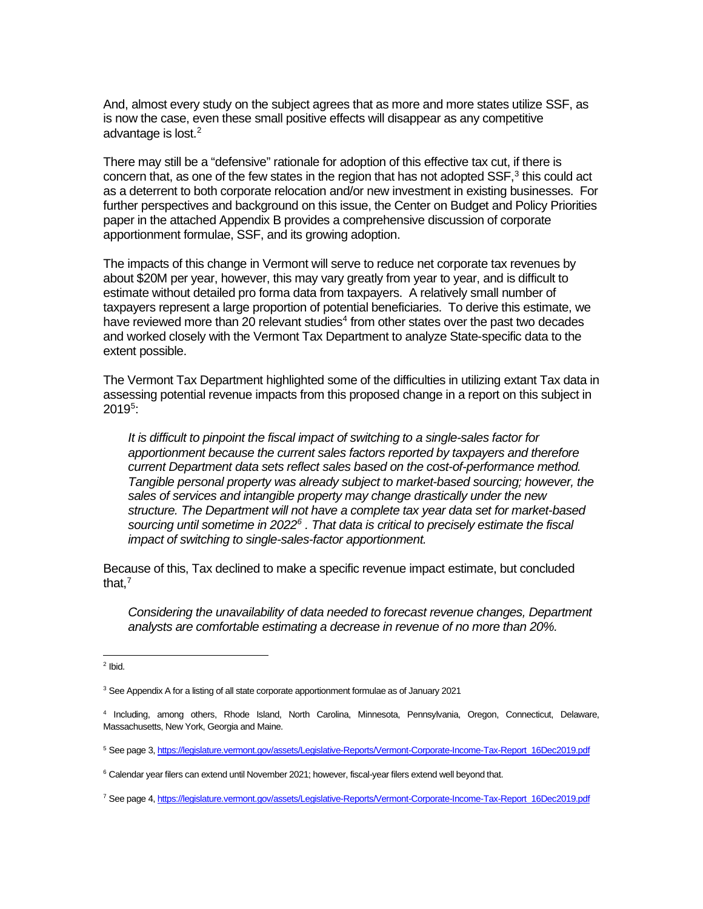And, almost every study on the subject agrees that as more and more states utilize SSF, as is now the case, even these small positive effects will disappear as any competitive advantage is lost. [2](#page-1-0)

There may still be a "defensive" rationale for adoption of this effective tax cut, if there is concern that, as one of the few states in the region that has not adopted  $SSF$ <sup>3</sup>, this could act as a deterrent to both corporate relocation and/or new investment in existing businesses. For further perspectives and background on this issue, the Center on Budget and Policy Priorities paper in the attached Appendix B provides a comprehensive discussion of corporate apportionment formulae, SSF, and its growing adoption.

The impacts of this change in Vermont will serve to reduce net corporate tax revenues by about \$20M per year, however, this may vary greatly from year to year, and is difficult to estimate without detailed pro forma data from taxpayers. A relatively small number of taxpayers represent a large proportion of potential beneficiaries. To derive this estimate, we have reviewed more than 20 relevant studies<sup>[4](#page-1-2)</sup> from other states over the past two decades and worked closely with the Vermont Tax Department to analyze State-specific data to the extent possible.

The Vermont Tax Department highlighted some of the difficulties in utilizing extant Tax data in assessing potential revenue impacts from this proposed change in a report on this subject in  $2019^5$  $2019^5$ :

*It is difficult to pinpoint the fiscal impact of switching to a single-sales factor for apportionment because the current sales factors reported by taxpayers and therefore current Department data sets reflect sales based on the cost-of-performance method. Tangible personal property was already subject to market-based sourcing; however, the sales of services and intangible property may change drastically under the new structure. The Department will not have a complete tax year data set for market-based sourcing until sometime in 2022[6](#page-1-4) . That data is critical to precisely estimate the fiscal impact of switching to single-sales-factor apportionment.*

Because of this, Tax declined to make a specific revenue impact estimate, but concluded that, $^7$  $^7$ 

*Considering the unavailability of data needed to forecast revenue changes, Department analysts are comfortable estimating a decrease in revenue of no more than 20%.*

<span id="page-1-0"></span> $2$  Ibid.

<span id="page-1-1"></span><sup>&</sup>lt;sup>3</sup> See Appendix A for a listing of all state corporate apportionment formulae as of January 2021

<span id="page-1-2"></span><sup>4</sup> Including, among others, Rhode Island, North Carolina, Minnesota, Pennsylvania, Oregon, Connecticut, Delaware, Massachusetts, New York, Georgia and Maine.

<span id="page-1-3"></span><sup>5</sup> See page 3[, https://legislature.vermont.gov/assets/Legislative-Reports/Vermont-Corporate-Income-Tax-Report\\_16Dec2019.pdf](https://legislature.vermont.gov/assets/Legislative-Reports/Vermont-Corporate-Income-Tax-Report_16Dec2019.pdf)

<span id="page-1-4"></span><sup>&</sup>lt;sup>6</sup> Calendar year filers can extend until November 2021; however, fiscal-year filers extend well beyond that.

<span id="page-1-5"></span><sup>7</sup> See page 4[, https://legislature.vermont.gov/assets/Legislative-Reports/Vermont-Corporate-Income-Tax-Report\\_16Dec2019.pdf](https://legislature.vermont.gov/assets/Legislative-Reports/Vermont-Corporate-Income-Tax-Report_16Dec2019.pdf)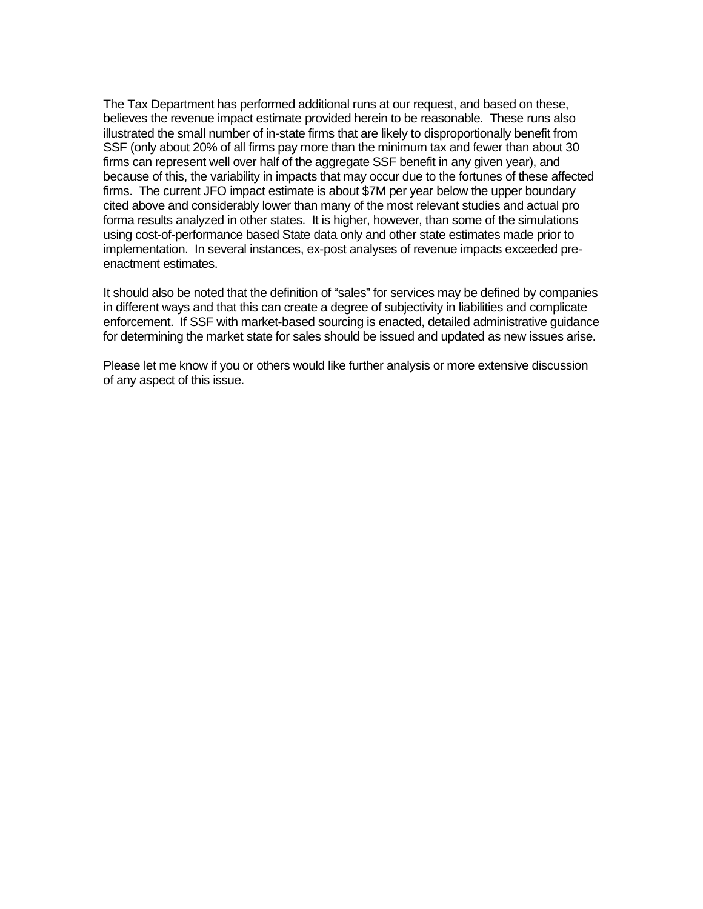The Tax Department has performed additional runs at our request, and based on these, believes the revenue impact estimate provided herein to be reasonable. These runs also illustrated the small number of in-state firms that are likely to disproportionally benefit from SSF (only about 20% of all firms pay more than the minimum tax and fewer than about 30 firms can represent well over half of the aggregate SSF benefit in any given year), and because of this, the variability in impacts that may occur due to the fortunes of these affected firms. The current JFO impact estimate is about \$7M per year below the upper boundary cited above and considerably lower than many of the most relevant studies and actual pro forma results analyzed in other states. It is higher, however, than some of the simulations using cost-of-performance based State data only and other state estimates made prior to implementation. In several instances, ex-post analyses of revenue impacts exceeded preenactment estimates.

It should also be noted that the definition of "sales" for services may be defined by companies in different ways and that this can create a degree of subjectivity in liabilities and complicate enforcement. If SSF with market-based sourcing is enacted, detailed administrative guidance for determining the market state for sales should be issued and updated as new issues arise.

Please let me know if you or others would like further analysis or more extensive discussion of any aspect of this issue.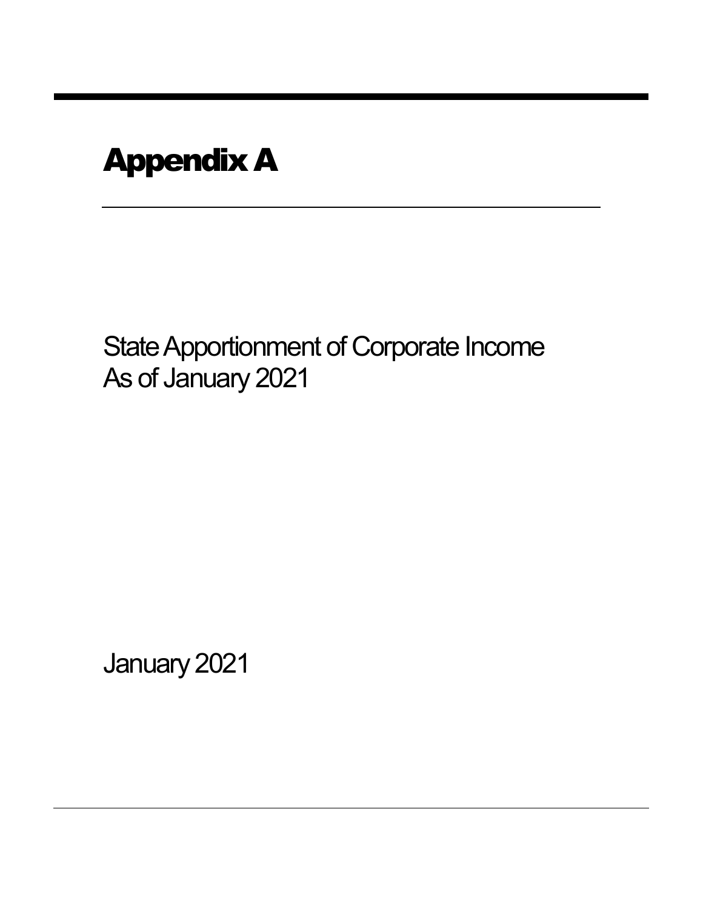# Appendix A

State Apportionment of Corporate Income As of January 2021

January 2021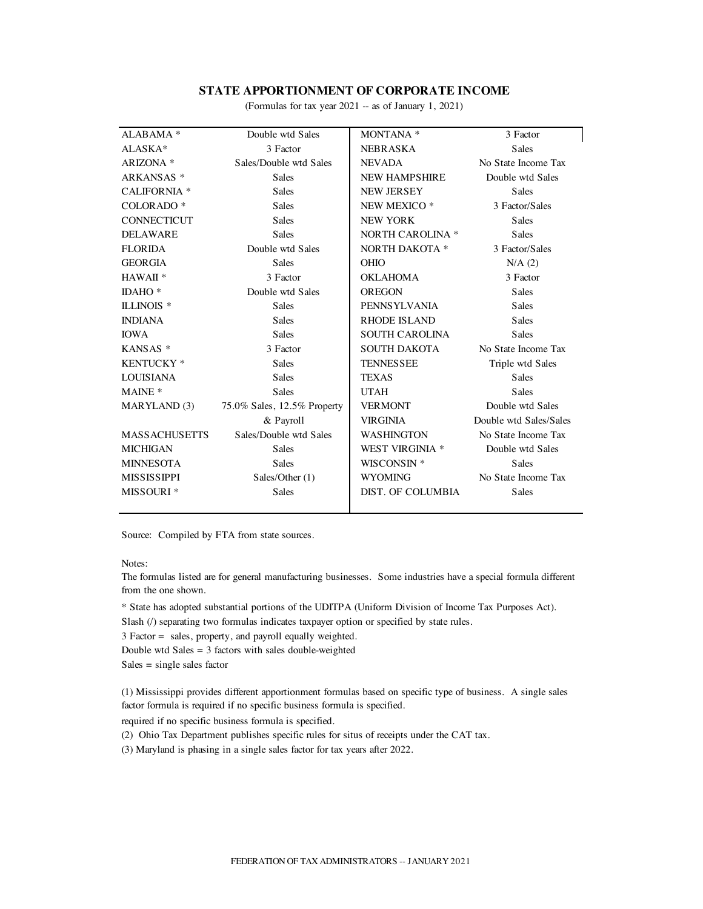#### **STATE APPORTIONMENT OF CORPORATE INCOME**

(Formulas for tax year 2021 -- as of January 1, 2021)

| ALABAMA <sup>*</sup>  | Double wtd Sales            | MONTANA *               | 3 Factor               |
|-----------------------|-----------------------------|-------------------------|------------------------|
| ALASKA*               | 3 Factor                    | <b>NEBRASKA</b>         | <b>Sales</b>           |
| ARIZONA *             | Sales/Double wtd Sales      | <b>NEVADA</b>           | No State Income Tax    |
| ARKANSAS <sup>*</sup> | <b>Sales</b>                | <b>NEW HAMPSHIRE</b>    | Double wtd Sales       |
| <b>CALIFORNIA</b> *   | <b>Sales</b>                | <b>NEW JERSEY</b>       | <b>Sales</b>           |
| COLORADO <sup>*</sup> | <b>Sales</b>                | NEW MEXICO <sup>*</sup> | 3 Factor/Sales         |
| <b>CONNECTICUT</b>    | <b>Sales</b>                | <b>NEW YORK</b>         | Sales                  |
| <b>DELAWARE</b>       | <b>Sales</b>                | <b>NORTH CAROLINA *</b> | <b>Sales</b>           |
| <b>FLORIDA</b>        | Double wtd Sales            | NORTH DAKOTA *          | 3 Factor/Sales         |
| <b>GEORGIA</b>        | <b>Sales</b>                | <b>OHIO</b>             | N/A(2)                 |
| HAWAII <sup>*</sup>   | 3 Factor                    | OKLAHOMA                | 3 Factor               |
| IDAHO $*$             | Double wtd Sales            | OREGON                  | <b>Sales</b>           |
| ILLINOIS <sup>*</sup> | <b>Sales</b>                | PENNSYLVANIA            | <b>Sales</b>           |
| <b>INDIANA</b>        | <b>Sales</b>                | <b>RHODE ISLAND</b>     | <b>Sales</b>           |
| <b>IOWA</b>           | <b>Sales</b>                | <b>SOUTH CAROLINA</b>   | <b>Sales</b>           |
| KANSAS *              | 3 Factor                    | <b>SOUTH DAKOTA</b>     | No State Income Tax    |
| KENTUCKY <sup>*</sup> | <b>Sales</b>                | <b>TENNESSEE</b>        | Triple wtd Sales       |
| <b>LOUISIANA</b>      | <b>Sales</b>                | <b>TEXAS</b>            | <b>Sales</b>           |
| MAINE <sup>*</sup>    | <b>Sales</b>                | <b>UTAH</b>             | <b>Sales</b>           |
| MARYLAND (3)          | 75.0% Sales, 12.5% Property | <b>VERMONT</b>          | Double wtd Sales       |
|                       | & Payroll                   | <b>VIRGINIA</b>         | Double wtd Sales/Sales |
| <b>MASSACHUSETTS</b>  | Sales/Double wtd Sales      | <b>WASHINGTON</b>       | No State Income Tax    |
| <b>MICHIGAN</b>       | <b>Sales</b>                | WEST VIRGINIA *         | Double wtd Sales       |
| <b>MINNESOTA</b>      | <b>Sales</b>                | WISCONSIN <sup>*</sup>  | <b>Sales</b>           |
| <b>MISSISSIPPI</b>    | Sales/Other (1)             | <b>WYOMING</b>          | No State Income Tax    |
| MISSOURI <sup>*</sup> | <b>Sales</b>                | DIST. OF COLUMBIA       | <b>Sales</b>           |
|                       |                             |                         |                        |

Source: Compiled by FTA from state sources.

#### Notes:

The formulas listed are for general manufacturing businesses. Some industries have a special formula different from the one shown.

\* State has adopted substantial portions of the UDITPA (Uniform Division of Income Tax Purposes Act).

Slash (/) separating two formulas indicates taxpayer option or specified by state rules.

3 Factor = sales, property, and payroll equally weighted.

Double wtd Sales = 3 factors with sales double-weighted

 $Sales = single sales factor$ 

(1) Mississippi provides different apportionment formulas based on specific type of business. A single sales factor formula is required if no specific business formula is specified.

required if no specific business formula is specified.

(2) Ohio Tax Department publishes specific rules for situs of receipts under the CAT tax.

(3) Maryland is phasing in a single sales factor for tax years after 2022.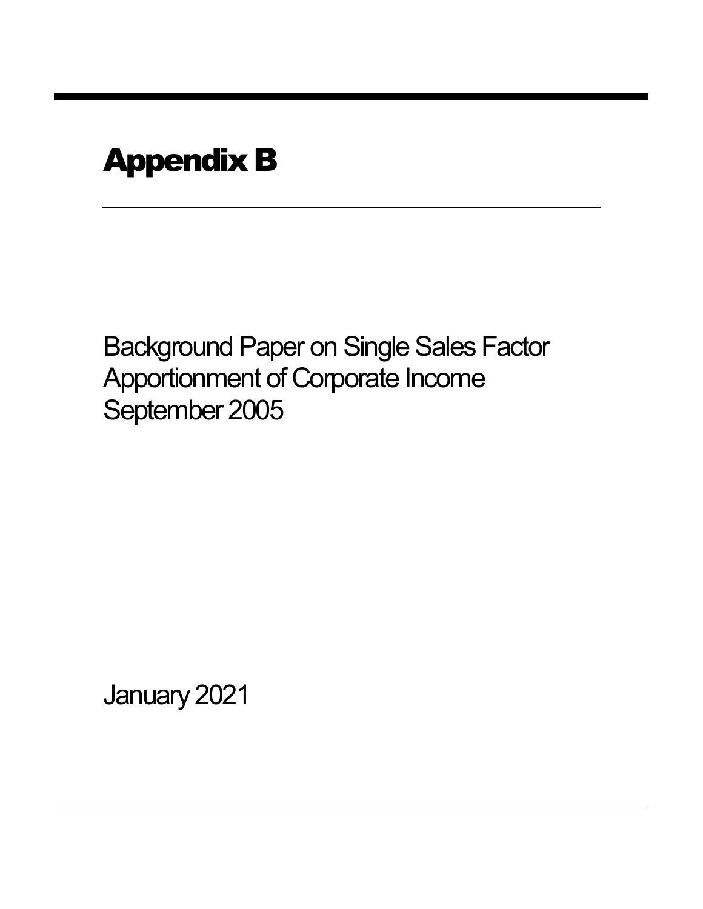# Appendix B

Background Paper on Single Sales Factor Apportionment of Corporate Income September 2005

January 2021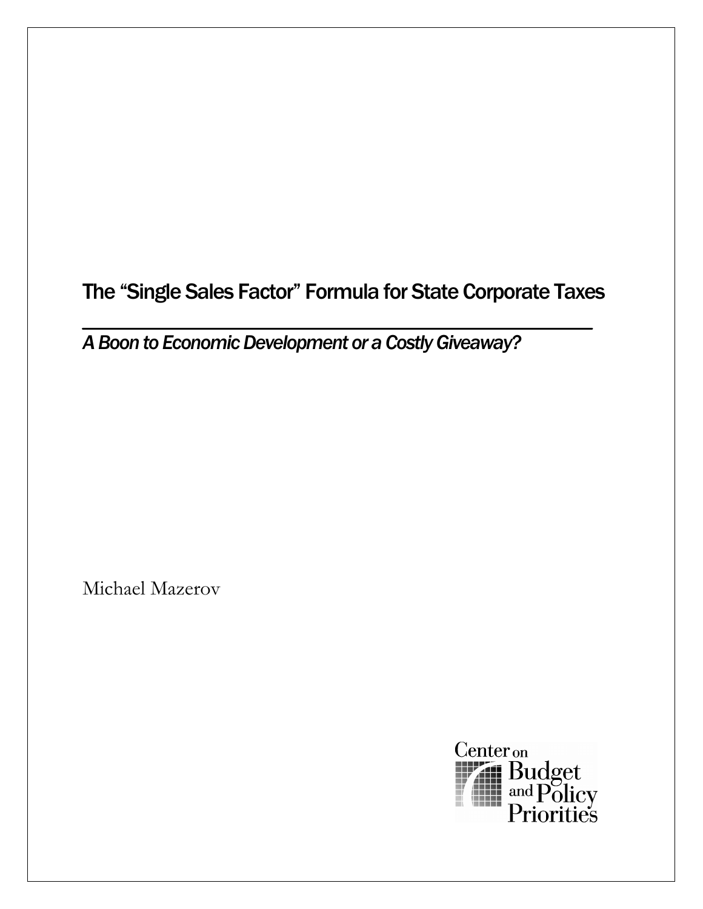The "Single Sales Factor" Formula for State Corporate Taxes

*A Boon to Economic Development or a Costly Giveaway?* 

Michael Mazerov

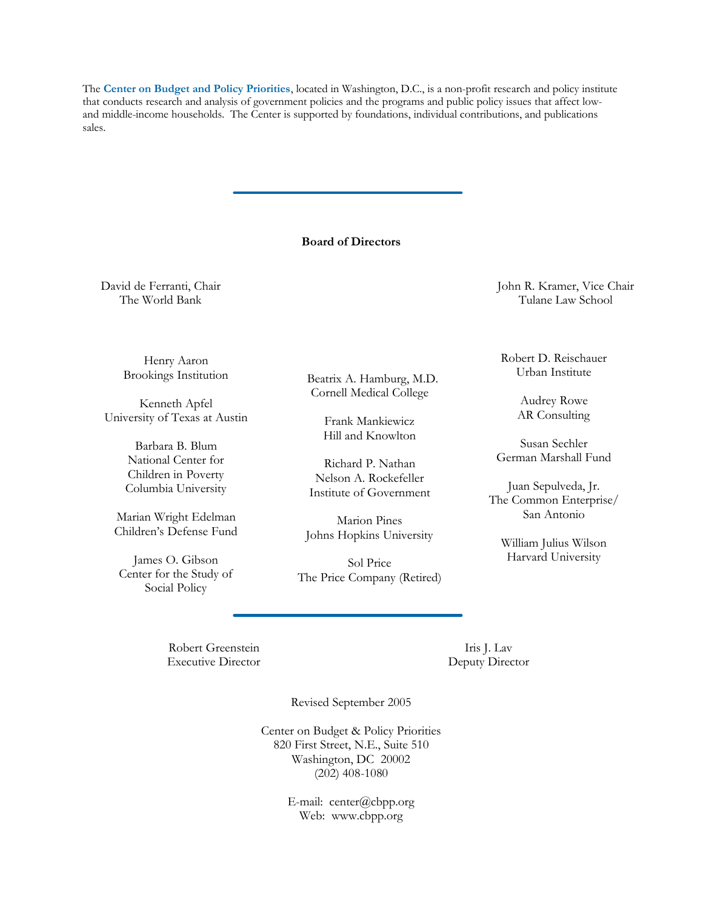The **Center on Budget and Policy Priorities**, located in Washington, D.C., is a non-profit research and policy institute that conducts research and analysis of government policies and the programs and public policy issues that affect lowand middle-income households. The Center is supported by foundations, individual contributions, and publications sales.

#### **Board of Directors**

Beatrix A. Hamburg, M.D. Cornell Medical College

> Frank Mankiewicz Hill and Knowlton

Richard P. Nathan Nelson A. Rockefeller Institute of Government

Marion Pines Johns Hopkins University

Sol Price The Price Company (Retired)

David de Ferranti, Chair The World Bank

> Henry Aaron Brookings Institution

Kenneth Apfel University of Texas at Austin

> Barbara B. Blum National Center for Children in Poverty Columbia University

Marian Wright Edelman Children's Defense Fund

James O. Gibson Center for the Study of Social Policy

John R. Kramer, Vice Chair Tulane Law School

Robert D. Reischauer Urban Institute

> Audrey Rowe AR Consulting

Susan Sechler German Marshall Fund

Juan Sepulveda, Jr. The Common Enterprise/ San Antonio

William Julius Wilson Harvard University

Robert Greenstein Executive Director

Iris J. Lav Deputy Director

Revised September 2005

Center on Budget & Policy Priorities 820 First Street, N.E., Suite 510 Washington, DC 20002 (202) 408-1080

> E-mail: center@cbpp.org Web: www.cbpp.org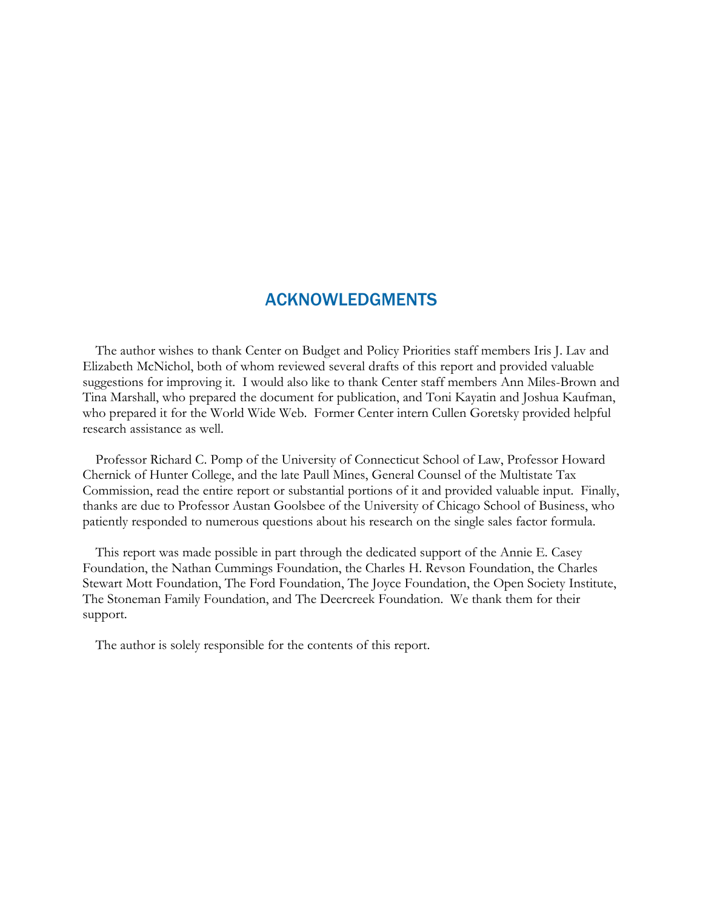# ACKNOWLEDGMENTS

The author wishes to thank Center on Budget and Policy Priorities staff members Iris J. Lav and Elizabeth McNichol, both of whom reviewed several drafts of this report and provided valuable suggestions for improving it. I would also like to thank Center staff members Ann Miles-Brown and Tina Marshall, who prepared the document for publication, and Toni Kayatin and Joshua Kaufman, who prepared it for the World Wide Web. Former Center intern Cullen Goretsky provided helpful research assistance as well.

Professor Richard C. Pomp of the University of Connecticut School of Law, Professor Howard Chernick of Hunter College, and the late Paull Mines, General Counsel of the Multistate Tax Commission, read the entire report or substantial portions of it and provided valuable input. Finally, thanks are due to Professor Austan Goolsbee of the University of Chicago School of Business, who patiently responded to numerous questions about his research on the single sales factor formula.

This report was made possible in part through the dedicated support of the Annie E. Casey Foundation, the Nathan Cummings Foundation, the Charles H. Revson Foundation, the Charles Stewart Mott Foundation, The Ford Foundation, The Joyce Foundation, the Open Society Institute, The Stoneman Family Foundation, and The Deercreek Foundation. We thank them for their support.

The author is solely responsible for the contents of this report.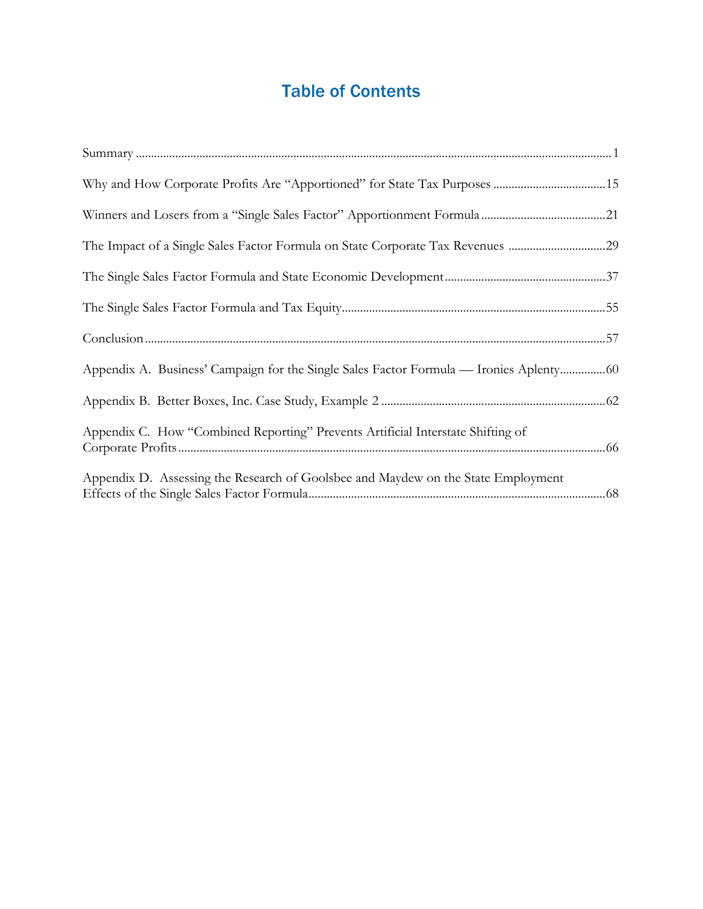# Table of Contents

| The Impact of a Single Sales Factor Formula on State Corporate Tax Revenues 29       |  |
|--------------------------------------------------------------------------------------|--|
|                                                                                      |  |
|                                                                                      |  |
|                                                                                      |  |
| Appendix A. Business' Campaign for the Single Sales Factor Formula — Ironies Aplenty |  |
|                                                                                      |  |
| Appendix C. How "Combined Reporting" Prevents Artificial Interstate Shifting of      |  |
| Appendix D. Assessing the Research of Goolsbee and Maydew on the State Employment    |  |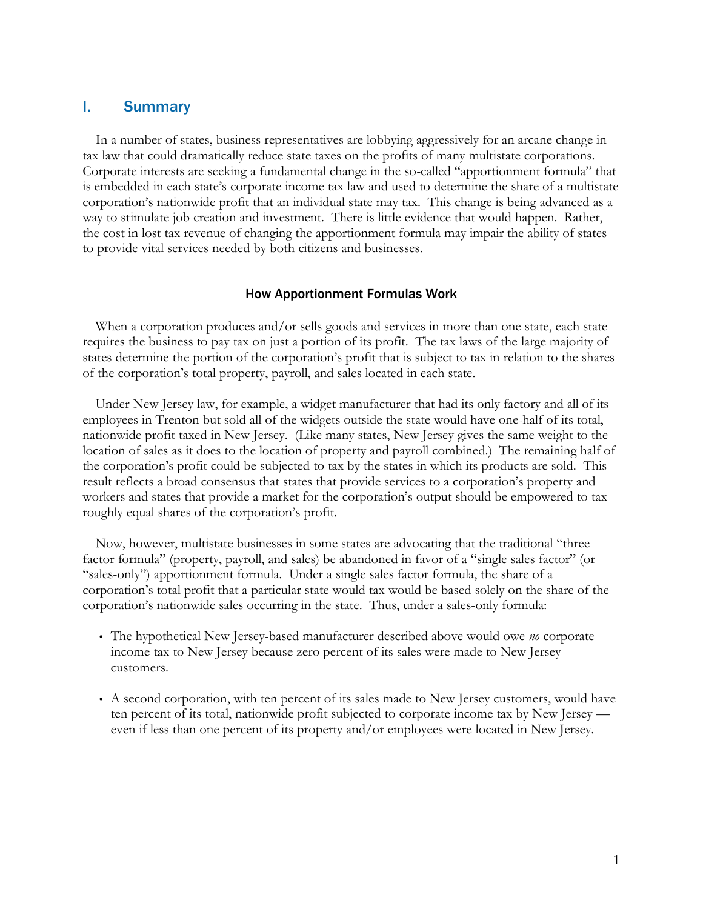# I. Summary

In a number of states, business representatives are lobbying aggressively for an arcane change in tax law that could dramatically reduce state taxes on the profits of many multistate corporations. Corporate interests are seeking a fundamental change in the so-called "apportionment formula" that is embedded in each state's corporate income tax law and used to determine the share of a multistate corporation's nationwide profit that an individual state may tax. This change is being advanced as a way to stimulate job creation and investment. There is little evidence that would happen. Rather, the cost in lost tax revenue of changing the apportionment formula may impair the ability of states to provide vital services needed by both citizens and businesses.

# How Apportionment Formulas Work

When a corporation produces and/or sells goods and services in more than one state, each state requires the business to pay tax on just a portion of its profit. The tax laws of the large majority of states determine the portion of the corporation's profit that is subject to tax in relation to the shares of the corporation's total property, payroll, and sales located in each state.

Under New Jersey law, for example, a widget manufacturer that had its only factory and all of its employees in Trenton but sold all of the widgets outside the state would have one-half of its total, nationwide profit taxed in New Jersey. (Like many states, New Jersey gives the same weight to the location of sales as it does to the location of property and payroll combined.) The remaining half of the corporation's profit could be subjected to tax by the states in which its products are sold. This result reflects a broad consensus that states that provide services to a corporation's property and workers and states that provide a market for the corporation's output should be empowered to tax roughly equal shares of the corporation's profit.

Now, however, multistate businesses in some states are advocating that the traditional "three factor formula" (property, payroll, and sales) be abandoned in favor of a "single sales factor" (or "sales-only") apportionment formula. Under a single sales factor formula, the share of a corporation's total profit that a particular state would tax would be based solely on the share of the corporation's nationwide sales occurring in the state. Thus, under a sales-only formula:

- The hypothetical New Jersey-based manufacturer described above would owe *no* corporate income tax to New Jersey because zero percent of its sales were made to New Jersey customers.
- A second corporation, with ten percent of its sales made to New Jersey customers, would have ten percent of its total, nationwide profit subjected to corporate income tax by New Jersey even if less than one percent of its property and/or employees were located in New Jersey.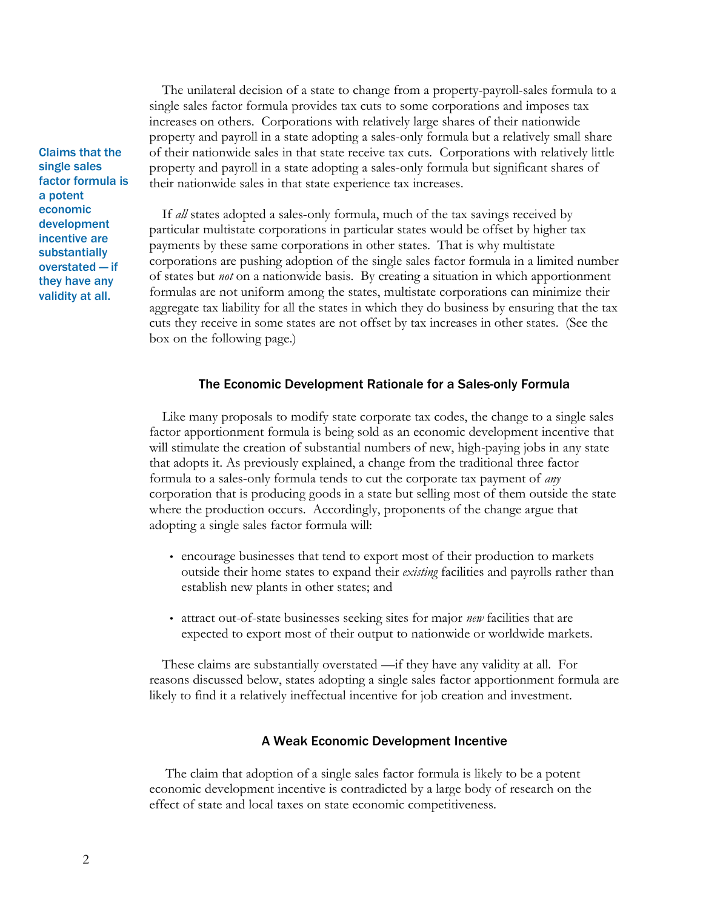The unilateral decision of a state to change from a property-payroll-sales formula to a single sales factor formula provides tax cuts to some corporations and imposes tax increases on others. Corporations with relatively large shares of their nationwide property and payroll in a state adopting a sales-only formula but a relatively small share of their nationwide sales in that state receive tax cuts. Corporations with relatively little property and payroll in a state adopting a sales-only formula but significant shares of their nationwide sales in that state experience tax increases.

If *all* states adopted a sales-only formula, much of the tax savings received by particular multistate corporations in particular states would be offset by higher tax payments by these same corporations in other states. That is why multistate corporations are pushing adoption of the single sales factor formula in a limited number of states but *not* on a nationwide basis. By creating a situation in which apportionment formulas are not uniform among the states, multistate corporations can minimize their aggregate tax liability for all the states in which they do business by ensuring that the tax cuts they receive in some states are not offset by tax increases in other states. (See the box on the following page.)

# The Economic Development Rationale for a Sales-only Formula

Like many proposals to modify state corporate tax codes, the change to a single sales factor apportionment formula is being sold as an economic development incentive that will stimulate the creation of substantial numbers of new, high-paying jobs in any state that adopts it. As previously explained, a change from the traditional three factor formula to a sales-only formula tends to cut the corporate tax payment of *any* corporation that is producing goods in a state but selling most of them outside the state where the production occurs. Accordingly, proponents of the change argue that adopting a single sales factor formula will:

- encourage businesses that tend to export most of their production to markets outside their home states to expand their *existing* facilities and payrolls rather than establish new plants in other states; and
- attract out-of-state businesses seeking sites for major *new* facilities that are expected to export most of their output to nationwide or worldwide markets.

These claims are substantially overstated —if they have any validity at all. For reasons discussed below, states adopting a single sales factor apportionment formula are likely to find it a relatively ineffectual incentive for job creation and investment.

# A Weak Economic Development Incentive

The claim that adoption of a single sales factor formula is likely to be a potent economic development incentive is contradicted by a large body of research on the effect of state and local taxes on state economic competitiveness.

Claims that the single sales factor formula is a potent economic development incentive are substantially overstated — if they have any validity at all.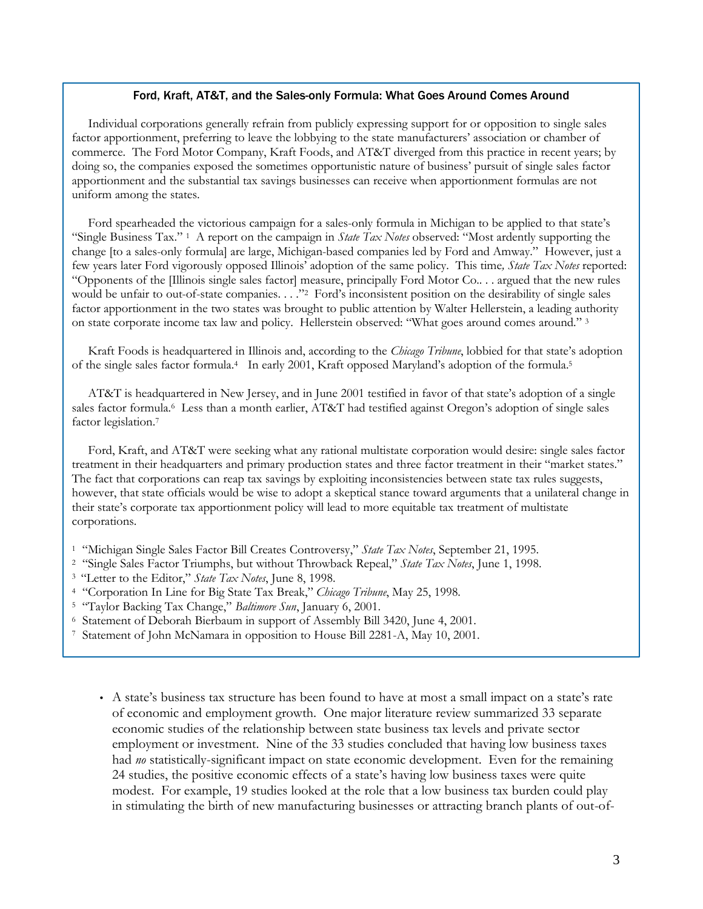# Ford, Kraft, AT&T, and the Sales-only Formula: What Goes Around Comes Around

Individual corporations generally refrain from publicly expressing support for or opposition to single sales factor apportionment, preferring to leave the lobbying to the state manufacturers' association or chamber of commerce. The Ford Motor Company, Kraft Foods, and AT&T diverged from this practice in recent years; by doing so, the companies exposed the sometimes opportunistic nature of business' pursuit of single sales factor apportionment and the substantial tax savings businesses can receive when apportionment formulas are not uniform among the states.

Ford spearheaded the victorious campaign for a sales-only formula in Michigan to be applied to that state's "Single Business Tax." 1 A report on the campaign in *State Tax Notes* observed: "Most ardently supporting the change [to a sales-only formula] are large, Michigan-based companies led by Ford and Amway." However, just a few years later Ford vigorously opposed Illinois' adoption of the same policy. This time*, State Tax Notes* reported: "Opponents of the [Illinois single sales factor] measure, principally Ford Motor Co.. . . argued that the new rules would be unfair to out-of-state companies. . . ."<sup>2</sup> Ford's inconsistent position on the desirability of single sales factor apportionment in the two states was brought to public attention by Walter Hellerstein, a leading authority on state corporate income tax law and policy. Hellerstein observed: "What goes around comes around." <sup>3</sup>

Kraft Foods is headquartered in Illinois and, according to the *Chicago Tribune*, lobbied for that state's adoption of the single sales factor formula.4 In early 2001, Kraft opposed Maryland's adoption of the formula.<sup>5</sup>

AT&T is headquartered in New Jersey, and in June 2001 testified in favor of that state's adoption of a single sales factor formula.<sup>6</sup> Less than a month earlier, AT&T had testified against Oregon's adoption of single sales factor legislation.<sup>7</sup>

Ford, Kraft, and AT&T were seeking what any rational multistate corporation would desire: single sales factor treatment in their headquarters and primary production states and three factor treatment in their "market states." The fact that corporations can reap tax savings by exploiting inconsistencies between state tax rules suggests, however, that state officials would be wise to adopt a skeptical stance toward arguments that a unilateral change in their state's corporate tax apportionment policy will lead to more equitable tax treatment of multistate corporations.

- <sup>1</sup> "Michigan Single Sales Factor Bill Creates Controversy," *State Tax Notes*, September 21, 1995.
- <sup>2</sup> "Single Sales Factor Triumphs, but without Throwback Repeal," *State Tax Notes*, June 1, 1998.
- <sup>3</sup>"Letter to the Editor," *State Tax Notes*, June 8, 1998.
- <sup>4</sup> "Corporation In Line for Big State Tax Break," *Chicago Tribune*, May 25, 1998.
- <sup>5</sup> "Taylor Backing Tax Change," *Baltimore Sun*, January 6, 2001.
- <sup>6</sup> Statement of Deborah Bierbaum in support of Assembly Bill 3420, June 4, 2001.
- 7 Statement of John McNamara in opposition to House Bill 2281-A, May 10, 2001.
	- A state's business tax structure has been found to have at most a small impact on a state's rate of economic and employment growth. One major literature review summarized 33 separate economic studies of the relationship between state business tax levels and private sector employment or investment. Nine of the 33 studies concluded that having low business taxes had *no* statistically-significant impact on state economic development. Even for the remaining 24 studies, the positive economic effects of a state's having low business taxes were quite modest. For example, 19 studies looked at the role that a low business tax burden could play in stimulating the birth of new manufacturing businesses or attracting branch plants of out-of-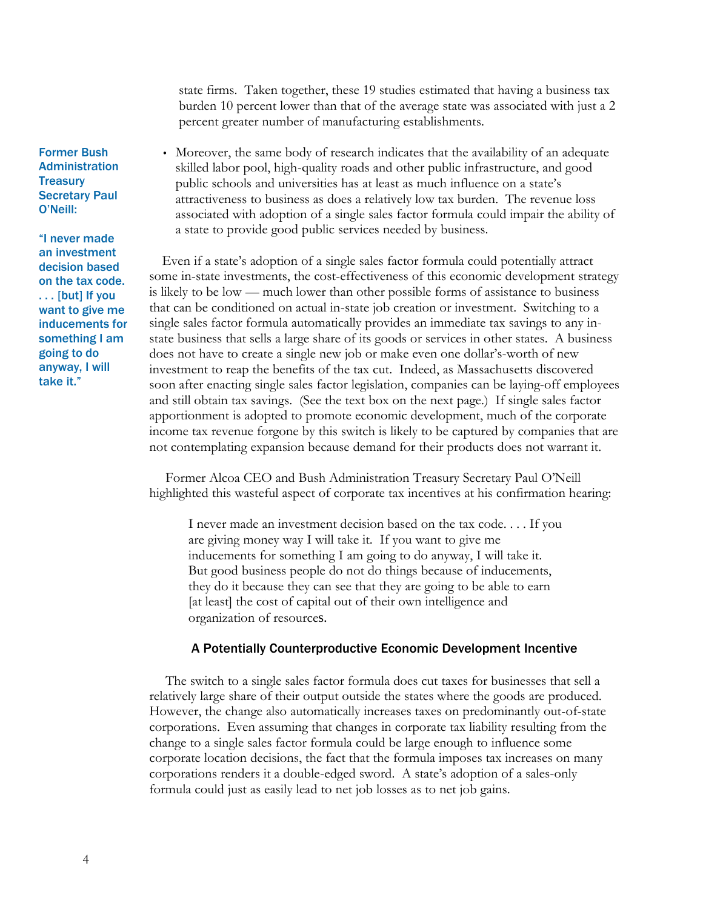state firms. Taken together, these 19 studies estimated that having a business tax burden 10 percent lower than that of the average state was associated with just a 2 percent greater number of manufacturing establishments.

• Moreover, the same body of research indicates that the availability of an adequate skilled labor pool, high-quality roads and other public infrastructure, and good public schools and universities has at least as much influence on a state's attractiveness to business as does a relatively low tax burden. The revenue loss associated with adoption of a single sales factor formula could impair the ability of a state to provide good public services needed by business.

Even if a state's adoption of a single sales factor formula could potentially attract some in-state investments, the cost-effectiveness of this economic development strategy is likely to be low — much lower than other possible forms of assistance to business that can be conditioned on actual in-state job creation or investment. Switching to a single sales factor formula automatically provides an immediate tax savings to any instate business that sells a large share of its goods or services in other states. A business does not have to create a single new job or make even one dollar's-worth of new investment to reap the benefits of the tax cut. Indeed, as Massachusetts discovered soon after enacting single sales factor legislation, companies can be laying-off employees and still obtain tax savings. (See the text box on the next page.) If single sales factor apportionment is adopted to promote economic development, much of the corporate income tax revenue forgone by this switch is likely to be captured by companies that are not contemplating expansion because demand for their products does not warrant it.

Former Alcoa CEO and Bush Administration Treasury Secretary Paul O'Neill highlighted this wasteful aspect of corporate tax incentives at his confirmation hearing:

I never made an investment decision based on the tax code. . . . If you are giving money way I will take it. If you want to give me inducements for something I am going to do anyway, I will take it. But good business people do not do things because of inducements, they do it because they can see that they are going to be able to earn [at least] the cost of capital out of their own intelligence and organization of resources.

### A Potentially Counterproductive Economic Development Incentive

The switch to a single sales factor formula does cut taxes for businesses that sell a relatively large share of their output outside the states where the goods are produced. However, the change also automatically increases taxes on predominantly out-of-state corporations. Even assuming that changes in corporate tax liability resulting from the change to a single sales factor formula could be large enough to influence some corporate location decisions, the fact that the formula imposes tax increases on many corporations renders it a double-edged sword. A state's adoption of a sales-only formula could just as easily lead to net job losses as to net job gains.

Former Bush **Administration Treasury** Secretary Paul O'Neill:

"I never made an investment decision based on the tax code. . . . [but] If you want to give me inducements for something I am going to do anyway, I will take it."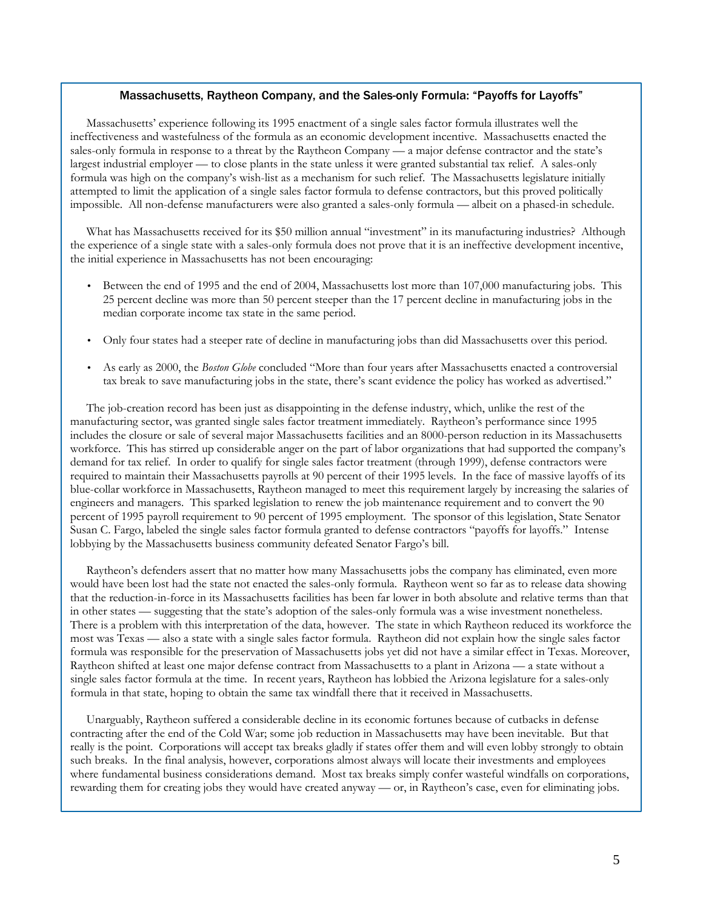### Massachusetts, Raytheon Company, and the Sales-only Formula: "Payoffs for Layoffs"

Massachusetts' experience following its 1995 enactment of a single sales factor formula illustrates well the ineffectiveness and wastefulness of the formula as an economic development incentive. Massachusetts enacted the sales-only formula in response to a threat by the Raytheon Company — a major defense contractor and the state's largest industrial employer — to close plants in the state unless it were granted substantial tax relief. A sales-only formula was high on the company's wish-list as a mechanism for such relief. The Massachusetts legislature initially attempted to limit the application of a single sales factor formula to defense contractors, but this proved politically impossible. All non-defense manufacturers were also granted a sales-only formula — albeit on a phased-in schedule.

What has Massachusetts received for its \$50 million annual "investment" in its manufacturing industries? Although the experience of a single state with a sales-only formula does not prove that it is an ineffective development incentive, the initial experience in Massachusetts has not been encouraging:

- Between the end of 1995 and the end of 2004, Massachusetts lost more than 107,000 manufacturing jobs. This 25 percent decline was more than 50 percent steeper than the 17 percent decline in manufacturing jobs in the median corporate income tax state in the same period.
- Only four states had a steeper rate of decline in manufacturing jobs than did Massachusetts over this period.
- As early as 2000, the *Boston Globe* concluded "More than four years after Massachusetts enacted a controversial tax break to save manufacturing jobs in the state, there's scant evidence the policy has worked as advertised."

The job-creation record has been just as disappointing in the defense industry, which, unlike the rest of the manufacturing sector, was granted single sales factor treatment immediately. Raytheon's performance since 1995 includes the closure or sale of several major Massachusetts facilities and an 8000-person reduction in its Massachusetts workforce. This has stirred up considerable anger on the part of labor organizations that had supported the company's demand for tax relief. In order to qualify for single sales factor treatment (through 1999), defense contractors were required to maintain their Massachusetts payrolls at 90 percent of their 1995 levels. In the face of massive layoffs of its blue-collar workforce in Massachusetts, Raytheon managed to meet this requirement largely by increasing the salaries of engineers and managers. This sparked legislation to renew the job maintenance requirement and to convert the 90 percent of 1995 payroll requirement to 90 percent of 1995 employment. The sponsor of this legislation, State Senator Susan C. Fargo, labeled the single sales factor formula granted to defense contractors "payoffs for layoffs." Intense lobbying by the Massachusetts business community defeated Senator Fargo's bill.

Raytheon's defenders assert that no matter how many Massachusetts jobs the company has eliminated, even more would have been lost had the state not enacted the sales-only formula. Raytheon went so far as to release data showing that the reduction-in-force in its Massachusetts facilities has been far lower in both absolute and relative terms than that in other states — suggesting that the state's adoption of the sales-only formula was a wise investment nonetheless. There is a problem with this interpretation of the data, however. The state in which Raytheon reduced its workforce the most was Texas — also a state with a single sales factor formula. Raytheon did not explain how the single sales factor formula was responsible for the preservation of Massachusetts jobs yet did not have a similar effect in Texas. Moreover, Raytheon shifted at least one major defense contract from Massachusetts to a plant in Arizona — a state without a single sales factor formula at the time. In recent years, Raytheon has lobbied the Arizona legislature for a sales-only formula in that state, hoping to obtain the same tax windfall there that it received in Massachusetts.

Unarguably, Raytheon suffered a considerable decline in its economic fortunes because of cutbacks in defense contracting after the end of the Cold War; some job reduction in Massachusetts may have been inevitable. But that really is the point. Corporations will accept tax breaks gladly if states offer them and will even lobby strongly to obtain such breaks. In the final analysis, however, corporations almost always will locate their investments and employees where fundamental business considerations demand. Most tax breaks simply confer wasteful windfalls on corporations, rewarding them for creating jobs they would have created anyway — or, in Raytheon's case, even for eliminating jobs.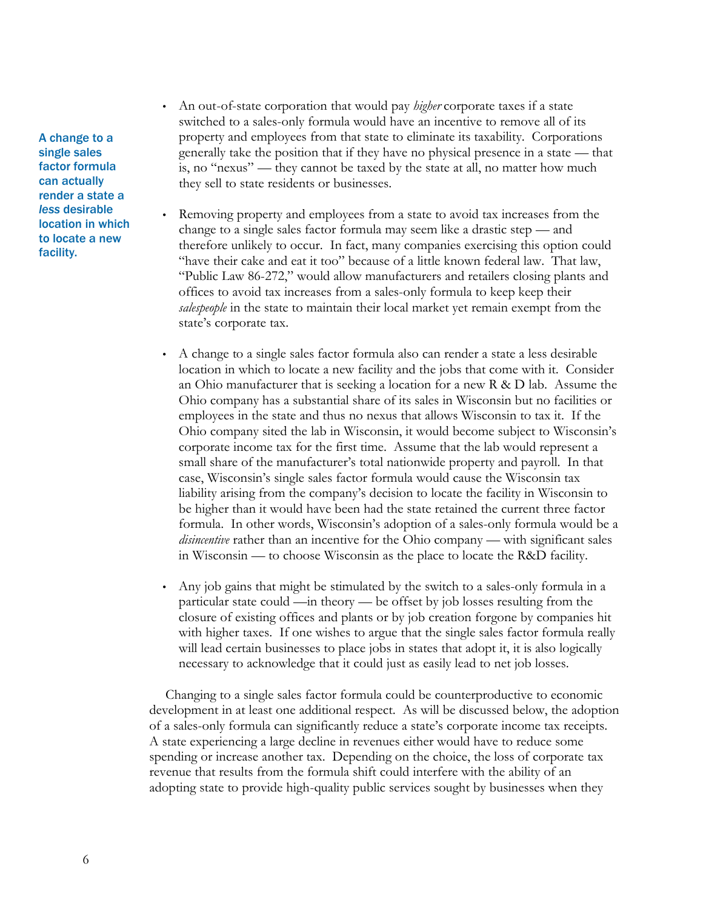A change to a single sales factor formula can actually render a state a *less* desirable location in which to locate a new facility.

- An out-of-state corporation that would pay *higher* corporate taxes if a state switched to a sales-only formula would have an incentive to remove all of its property and employees from that state to eliminate its taxability. Corporations generally take the position that if they have no physical presence in a state — that is, no "nexus" — they cannot be taxed by the state at all, no matter how much they sell to state residents or businesses.
- Removing property and employees from a state to avoid tax increases from the change to a single sales factor formula may seem like a drastic step — and therefore unlikely to occur. In fact, many companies exercising this option could "have their cake and eat it too" because of a little known federal law. That law, "Public Law 86-272," would allow manufacturers and retailers closing plants and offices to avoid tax increases from a sales-only formula to keep keep their *salespeople* in the state to maintain their local market yet remain exempt from the state's corporate tax.
- A change to a single sales factor formula also can render a state a less desirable location in which to locate a new facility and the jobs that come with it. Consider an Ohio manufacturer that is seeking a location for a new R & D lab. Assume the Ohio company has a substantial share of its sales in Wisconsin but no facilities or employees in the state and thus no nexus that allows Wisconsin to tax it. If the Ohio company sited the lab in Wisconsin, it would become subject to Wisconsin's corporate income tax for the first time. Assume that the lab would represent a small share of the manufacturer's total nationwide property and payroll. In that case, Wisconsin's single sales factor formula would cause the Wisconsin tax liability arising from the company's decision to locate the facility in Wisconsin to be higher than it would have been had the state retained the current three factor formula. In other words, Wisconsin's adoption of a sales-only formula would be a *disincentive* rather than an incentive for the Ohio company — with significant sales in Wisconsin — to choose Wisconsin as the place to locate the R&D facility.
- Any job gains that might be stimulated by the switch to a sales-only formula in a particular state could —in theory — be offset by job losses resulting from the closure of existing offices and plants or by job creation forgone by companies hit with higher taxes. If one wishes to argue that the single sales factor formula really will lead certain businesses to place jobs in states that adopt it, it is also logically necessary to acknowledge that it could just as easily lead to net job losses.

Changing to a single sales factor formula could be counterproductive to economic development in at least one additional respect. As will be discussed below, the adoption of a sales-only formula can significantly reduce a state's corporate income tax receipts. A state experiencing a large decline in revenues either would have to reduce some spending or increase another tax. Depending on the choice, the loss of corporate tax revenue that results from the formula shift could interfere with the ability of an adopting state to provide high-quality public services sought by businesses when they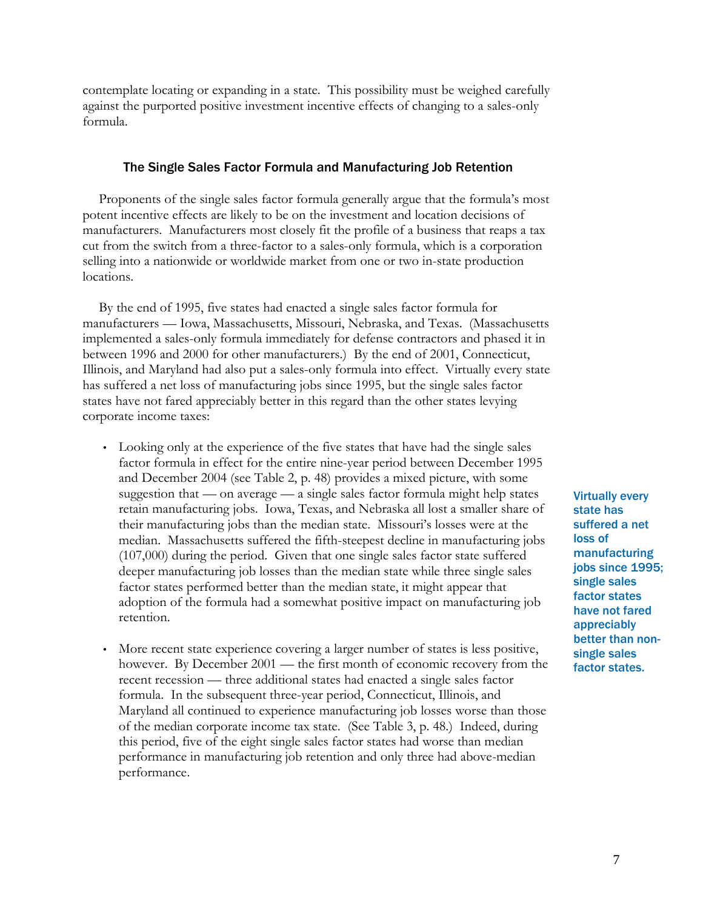contemplate locating or expanding in a state. This possibility must be weighed carefully against the purported positive investment incentive effects of changing to a sales-only formula.

### The Single Sales Factor Formula and Manufacturing Job Retention

Proponents of the single sales factor formula generally argue that the formula's most potent incentive effects are likely to be on the investment and location decisions of manufacturers. Manufacturers most closely fit the profile of a business that reaps a tax cut from the switch from a three-factor to a sales-only formula, which is a corporation selling into a nationwide or worldwide market from one or two in-state production locations.

By the end of 1995, five states had enacted a single sales factor formula for manufacturers — Iowa, Massachusetts, Missouri, Nebraska, and Texas. (Massachusetts implemented a sales-only formula immediately for defense contractors and phased it in between 1996 and 2000 for other manufacturers.) By the end of 2001, Connecticut, Illinois, and Maryland had also put a sales-only formula into effect. Virtually every state has suffered a net loss of manufacturing jobs since 1995, but the single sales factor states have not fared appreciably better in this regard than the other states levying corporate income taxes:

- Looking only at the experience of the five states that have had the single sales factor formula in effect for the entire nine-year period between December 1995 and December 2004 (see Table 2, p. 48) provides a mixed picture, with some suggestion that — on average — a single sales factor formula might help states retain manufacturing jobs. Iowa, Texas, and Nebraska all lost a smaller share of their manufacturing jobs than the median state. Missouri's losses were at the median. Massachusetts suffered the fifth-steepest decline in manufacturing jobs (107,000) during the period. Given that one single sales factor state suffered deeper manufacturing job losses than the median state while three single sales factor states performed better than the median state, it might appear that adoption of the formula had a somewhat positive impact on manufacturing job retention.
- More recent state experience covering a larger number of states is less positive, however. By December 2001 — the first month of economic recovery from the recent recession — three additional states had enacted a single sales factor formula. In the subsequent three-year period, Connecticut, Illinois, and Maryland all continued to experience manufacturing job losses worse than those of the median corporate income tax state. (See Table 3, p. 48.) Indeed, during this period, five of the eight single sales factor states had worse than median performance in manufacturing job retention and only three had above-median performance.

Virtually every state has suffered a net loss of manufacturing jobs since 1995; single sales factor states have not fared appreciably better than nonsingle sales factor states.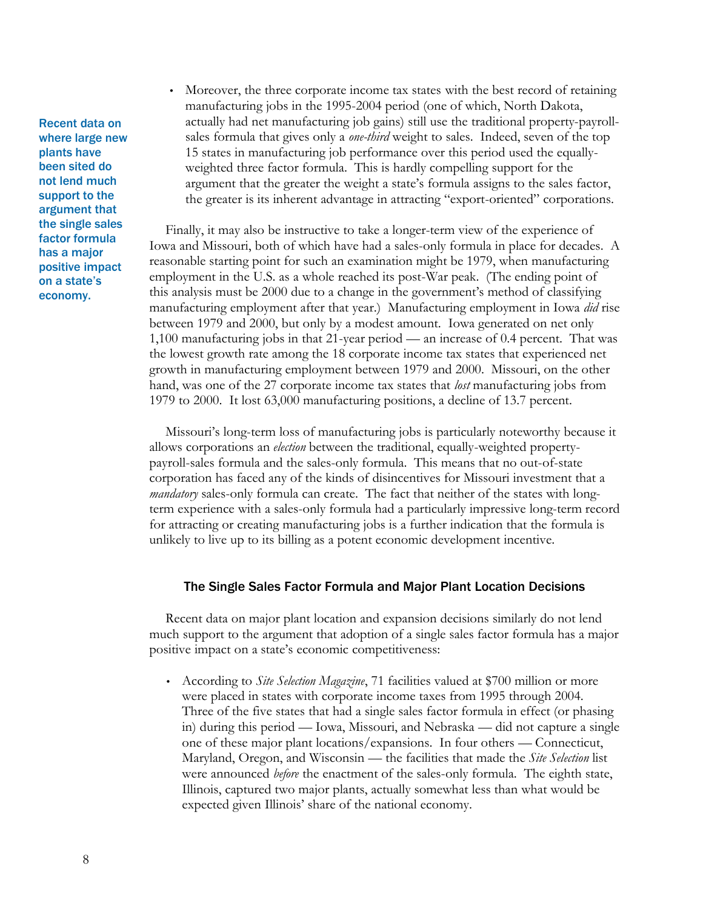Recent data on where large new plants have been sited do not lend much support to the argument that the single sales factor formula has a major positive impact on a state's economy.

• Moreover, the three corporate income tax states with the best record of retaining manufacturing jobs in the 1995-2004 period (one of which, North Dakota, actually had net manufacturing job gains) still use the traditional property-payrollsales formula that gives only a *one-third* weight to sales. Indeed, seven of the top 15 states in manufacturing job performance over this period used the equallyweighted three factor formula. This is hardly compelling support for the argument that the greater the weight a state's formula assigns to the sales factor, the greater is its inherent advantage in attracting "export-oriented" corporations.

Finally, it may also be instructive to take a longer-term view of the experience of Iowa and Missouri, both of which have had a sales-only formula in place for decades. A reasonable starting point for such an examination might be 1979, when manufacturing employment in the U.S. as a whole reached its post-War peak. (The ending point of this analysis must be 2000 due to a change in the government's method of classifying manufacturing employment after that year.) Manufacturing employment in Iowa *did* rise between 1979 and 2000, but only by a modest amount. Iowa generated on net only 1,100 manufacturing jobs in that 21-year period — an increase of 0.4 percent. That was the lowest growth rate among the 18 corporate income tax states that experienced net growth in manufacturing employment between 1979 and 2000. Missouri, on the other hand, was one of the 27 corporate income tax states that *lost* manufacturing jobs from 1979 to 2000. It lost 63,000 manufacturing positions, a decline of 13.7 percent.

Missouri's long-term loss of manufacturing jobs is particularly noteworthy because it allows corporations an *election* between the traditional, equally-weighted propertypayroll-sales formula and the sales-only formula. This means that no out-of-state corporation has faced any of the kinds of disincentives for Missouri investment that a *mandatory* sales-only formula can create. The fact that neither of the states with longterm experience with a sales-only formula had a particularly impressive long-term record for attracting or creating manufacturing jobs is a further indication that the formula is unlikely to live up to its billing as a potent economic development incentive.

# The Single Sales Factor Formula and Major Plant Location Decisions

Recent data on major plant location and expansion decisions similarly do not lend much support to the argument that adoption of a single sales factor formula has a major positive impact on a state's economic competitiveness:

• According to *Site Selection Magazine*, 71 facilities valued at \$700 million or more were placed in states with corporate income taxes from 1995 through 2004. Three of the five states that had a single sales factor formula in effect (or phasing in) during this period — Iowa, Missouri, and Nebraska — did not capture a single one of these major plant locations/expansions. In four others — Connecticut, Maryland, Oregon, and Wisconsin — the facilities that made the *Site Selection* list were announced *before* the enactment of the sales-only formula. The eighth state, Illinois, captured two major plants, actually somewhat less than what would be expected given Illinois' share of the national economy.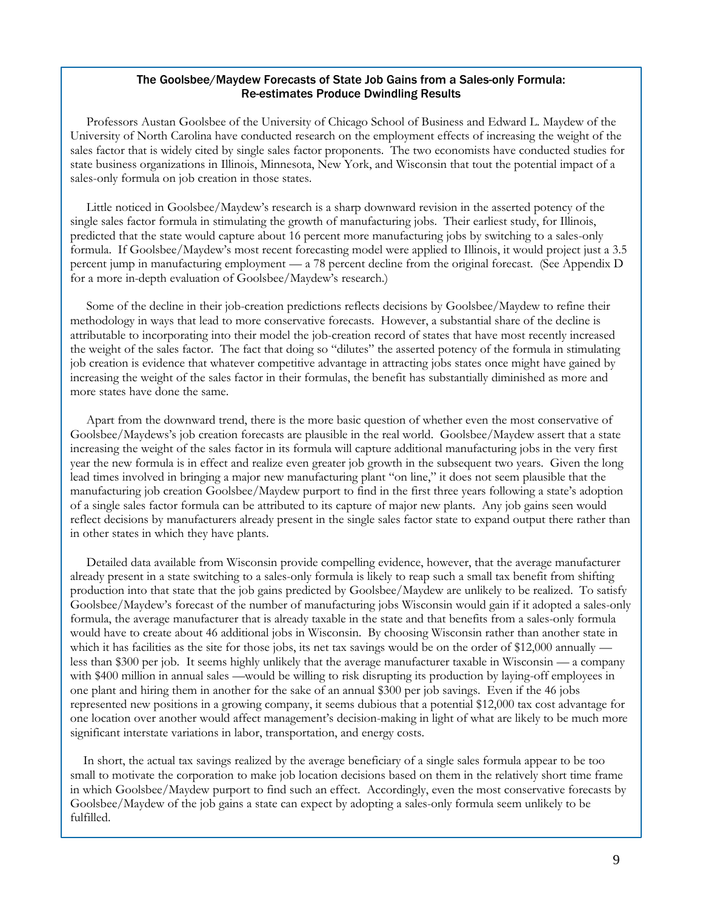# The Goolsbee/Maydew Forecasts of State Job Gains from a Sales-only Formula: Re-estimates Produce Dwindling Results

Professors Austan Goolsbee of the University of Chicago School of Business and Edward L. Maydew of the University of North Carolina have conducted research on the employment effects of increasing the weight of the sales factor that is widely cited by single sales factor proponents. The two economists have conducted studies for state business organizations in Illinois, Minnesota, New York, and Wisconsin that tout the potential impact of a sales-only formula on job creation in those states.

Little noticed in Goolsbee/Maydew's research is a sharp downward revision in the asserted potency of the single sales factor formula in stimulating the growth of manufacturing jobs. Their earliest study, for Illinois, predicted that the state would capture about 16 percent more manufacturing jobs by switching to a sales-only formula. If Goolsbee/Maydew's most recent forecasting model were applied to Illinois, it would project just a 3.5 percent jump in manufacturing employment — a 78 percent decline from the original forecast. (See Appendix D for a more in-depth evaluation of Goolsbee/Maydew's research.)

Some of the decline in their job-creation predictions reflects decisions by Goolsbee/Maydew to refine their methodology in ways that lead to more conservative forecasts. However, a substantial share of the decline is attributable to incorporating into their model the job-creation record of states that have most recently increased the weight of the sales factor. The fact that doing so "dilutes" the asserted potency of the formula in stimulating job creation is evidence that whatever competitive advantage in attracting jobs states once might have gained by increasing the weight of the sales factor in their formulas, the benefit has substantially diminished as more and more states have done the same.

Apart from the downward trend, there is the more basic question of whether even the most conservative of Goolsbee/Maydews's job creation forecasts are plausible in the real world. Goolsbee/Maydew assert that a state increasing the weight of the sales factor in its formula will capture additional manufacturing jobs in the very first year the new formula is in effect and realize even greater job growth in the subsequent two years. Given the long lead times involved in bringing a major new manufacturing plant "on line," it does not seem plausible that the manufacturing job creation Goolsbee/Maydew purport to find in the first three years following a state's adoption of a single sales factor formula can be attributed to its capture of major new plants. Any job gains seen would reflect decisions by manufacturers already present in the single sales factor state to expand output there rather than in other states in which they have plants.

Detailed data available from Wisconsin provide compelling evidence, however, that the average manufacturer already present in a state switching to a sales-only formula is likely to reap such a small tax benefit from shifting production into that state that the job gains predicted by Goolsbee/Maydew are unlikely to be realized. To satisfy Goolsbee/Maydew's forecast of the number of manufacturing jobs Wisconsin would gain if it adopted a sales-only formula, the average manufacturer that is already taxable in the state and that benefits from a sales-only formula would have to create about 46 additional jobs in Wisconsin. By choosing Wisconsin rather than another state in which it has facilities as the site for those jobs, its net tax savings would be on the order of \$12,000 annually less than \$300 per job. It seems highly unlikely that the average manufacturer taxable in Wisconsin — a company with \$400 million in annual sales —would be willing to risk disrupting its production by laying-off employees in one plant and hiring them in another for the sake of an annual \$300 per job savings. Even if the 46 jobs represented new positions in a growing company, it seems dubious that a potential \$12,000 tax cost advantage for one location over another would affect management's decision-making in light of what are likely to be much more significant interstate variations in labor, transportation, and energy costs.

In short, the actual tax savings realized by the average beneficiary of a single sales formula appear to be too small to motivate the corporation to make job location decisions based on them in the relatively short time frame in which Goolsbee/Maydew purport to find such an effect. Accordingly, even the most conservative forecasts by Goolsbee/Maydew of the job gains a state can expect by adopting a sales-only formula seem unlikely to be fulfilled.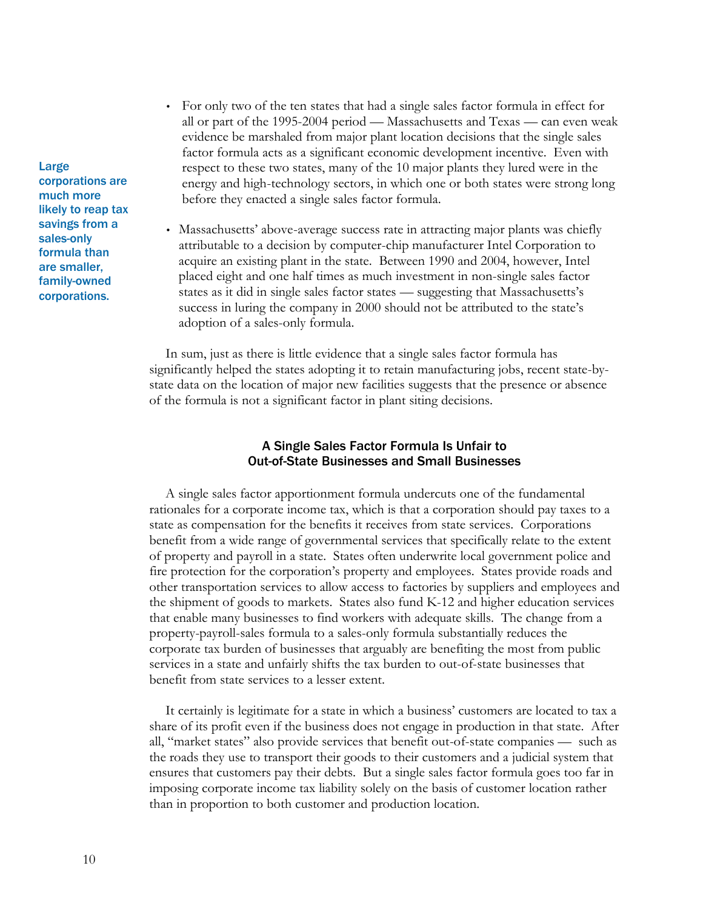• For only two of the ten states that had a single sales factor formula in effect for all or part of the 1995-2004 period — Massachusetts and Texas — can even weak evidence be marshaled from major plant location decisions that the single sales factor formula acts as a significant economic development incentive. Even with respect to these two states, many of the 10 major plants they lured were in the energy and high-technology sectors, in which one or both states were strong long before they enacted a single sales factor formula.

• Massachusetts' above-average success rate in attracting major plants was chiefly attributable to a decision by computer-chip manufacturer Intel Corporation to acquire an existing plant in the state. Between 1990 and 2004, however, Intel placed eight and one half times as much investment in non-single sales factor states as it did in single sales factor states — suggesting that Massachusetts's success in luring the company in 2000 should not be attributed to the state's adoption of a sales-only formula.

In sum, just as there is little evidence that a single sales factor formula has significantly helped the states adopting it to retain manufacturing jobs, recent state-bystate data on the location of major new facilities suggests that the presence or absence of the formula is not a significant factor in plant siting decisions.

# A Single Sales Factor Formula Is Unfair to Out-of-State Businesses and Small Businesses

A single sales factor apportionment formula undercuts one of the fundamental rationales for a corporate income tax, which is that a corporation should pay taxes to a state as compensation for the benefits it receives from state services. Corporations benefit from a wide range of governmental services that specifically relate to the extent of property and payroll in a state. States often underwrite local government police and fire protection for the corporation's property and employees. States provide roads and other transportation services to allow access to factories by suppliers and employees and the shipment of goods to markets. States also fund K-12 and higher education services that enable many businesses to find workers with adequate skills. The change from a property-payroll-sales formula to a sales-only formula substantially reduces the corporate tax burden of businesses that arguably are benefiting the most from public services in a state and unfairly shifts the tax burden to out-of-state businesses that benefit from state services to a lesser extent.

It certainly is legitimate for a state in which a business' customers are located to tax a share of its profit even if the business does not engage in production in that state. After all, "market states" also provide services that benefit out-of-state companies — such as the roads they use to transport their goods to their customers and a judicial system that ensures that customers pay their debts. But a single sales factor formula goes too far in imposing corporate income tax liability solely on the basis of customer location rather than in proportion to both customer and production location.

Large corporations are much more likely to reap tax savings from a sales-only formula than are smaller, family-owned corporations.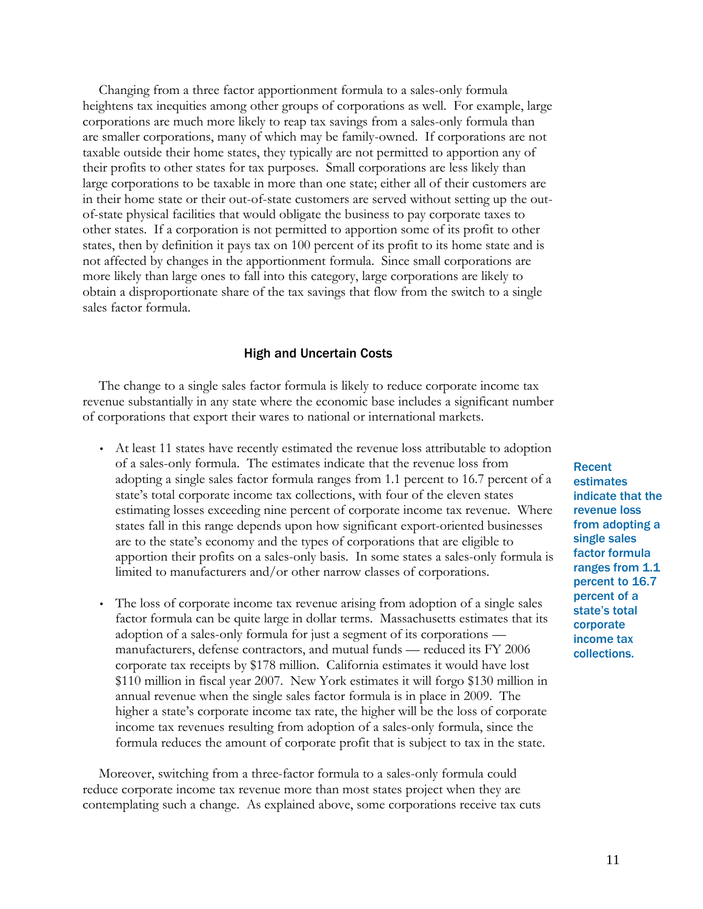Changing from a three factor apportionment formula to a sales-only formula heightens tax inequities among other groups of corporations as well. For example, large corporations are much more likely to reap tax savings from a sales-only formula than are smaller corporations, many of which may be family-owned. If corporations are not taxable outside their home states, they typically are not permitted to apportion any of their profits to other states for tax purposes. Small corporations are less likely than large corporations to be taxable in more than one state; either all of their customers are in their home state or their out-of-state customers are served without setting up the outof-state physical facilities that would obligate the business to pay corporate taxes to other states. If a corporation is not permitted to apportion some of its profit to other states, then by definition it pays tax on 100 percent of its profit to its home state and is not affected by changes in the apportionment formula. Since small corporations are more likely than large ones to fall into this category, large corporations are likely to obtain a disproportionate share of the tax savings that flow from the switch to a single sales factor formula.

# High and Uncertain Costs

The change to a single sales factor formula is likely to reduce corporate income tax revenue substantially in any state where the economic base includes a significant number of corporations that export their wares to national or international markets.

- At least 11 states have recently estimated the revenue loss attributable to adoption of a sales-only formula. The estimates indicate that the revenue loss from adopting a single sales factor formula ranges from 1.1 percent to 16.7 percent of a state's total corporate income tax collections, with four of the eleven states estimating losses exceeding nine percent of corporate income tax revenue. Where states fall in this range depends upon how significant export-oriented businesses are to the state's economy and the types of corporations that are eligible to apportion their profits on a sales-only basis. In some states a sales-only formula is limited to manufacturers and/or other narrow classes of corporations.
- The loss of corporate income tax revenue arising from adoption of a single sales factor formula can be quite large in dollar terms. Massachusetts estimates that its adoption of a sales-only formula for just a segment of its corporations manufacturers, defense contractors, and mutual funds — reduced its FY 2006 corporate tax receipts by \$178 million. California estimates it would have lost \$110 million in fiscal year 2007. New York estimates it will forgo \$130 million in annual revenue when the single sales factor formula is in place in 2009. The higher a state's corporate income tax rate, the higher will be the loss of corporate income tax revenues resulting from adoption of a sales-only formula, since the formula reduces the amount of corporate profit that is subject to tax in the state.

Moreover, switching from a three-factor formula to a sales-only formula could reduce corporate income tax revenue more than most states project when they are contemplating such a change. As explained above, some corporations receive tax cuts Recent estimates indicate that the revenue loss from adopting a single sales factor formula ranges from 1.1 percent to 16.7 percent of a state's total corporate income tax collections.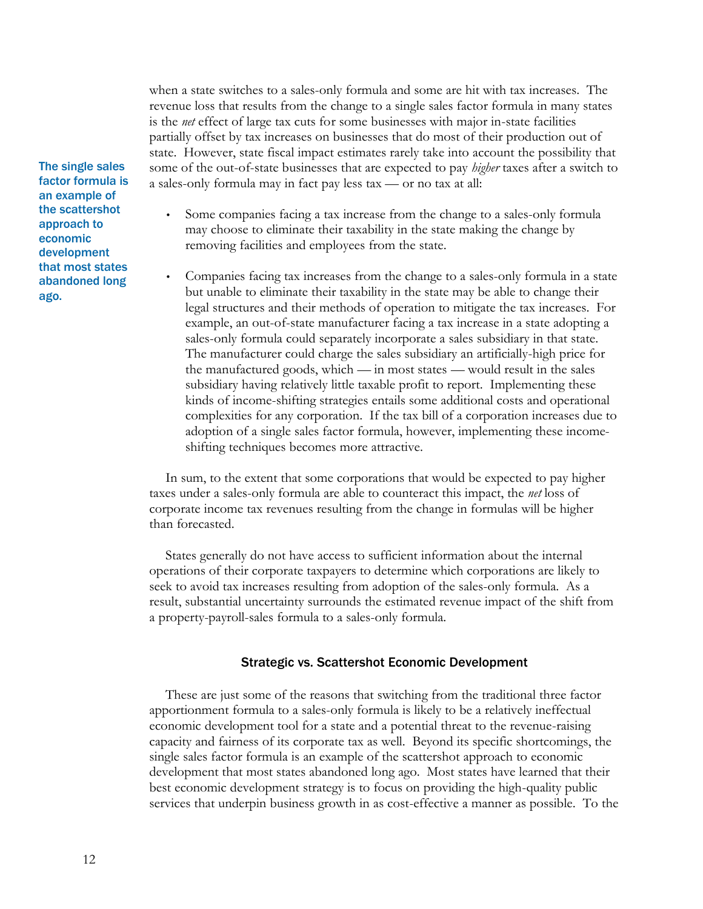when a state switches to a sales-only formula and some are hit with tax increases. The revenue loss that results from the change to a single sales factor formula in many states is the *net* effect of large tax cuts for some businesses with major in-state facilities partially offset by tax increases on businesses that do most of their production out of state. However, state fiscal impact estimates rarely take into account the possibility that some of the out-of-state businesses that are expected to pay *higher* taxes after a switch to a sales-only formula may in fact pay less tax — or no tax at all:

- Some companies facing a tax increase from the change to a sales-only formula may choose to eliminate their taxability in the state making the change by removing facilities and employees from the state.
- Companies facing tax increases from the change to a sales-only formula in a state but unable to eliminate their taxability in the state may be able to change their legal structures and their methods of operation to mitigate the tax increases. For example, an out-of-state manufacturer facing a tax increase in a state adopting a sales-only formula could separately incorporate a sales subsidiary in that state. The manufacturer could charge the sales subsidiary an artificially-high price for the manufactured goods, which — in most states — would result in the sales subsidiary having relatively little taxable profit to report. Implementing these kinds of income-shifting strategies entails some additional costs and operational complexities for any corporation. If the tax bill of a corporation increases due to adoption of a single sales factor formula, however, implementing these incomeshifting techniques becomes more attractive.

In sum, to the extent that some corporations that would be expected to pay higher taxes under a sales-only formula are able to counteract this impact, the *net* loss of corporate income tax revenues resulting from the change in formulas will be higher than forecasted.

States generally do not have access to sufficient information about the internal operations of their corporate taxpayers to determine which corporations are likely to seek to avoid tax increases resulting from adoption of the sales-only formula. As a result, substantial uncertainty surrounds the estimated revenue impact of the shift from a property-payroll-sales formula to a sales-only formula.

# Strategic vs. Scattershot Economic Development

These are just some of the reasons that switching from the traditional three factor apportionment formula to a sales-only formula is likely to be a relatively ineffectual economic development tool for a state and a potential threat to the revenue-raising capacity and fairness of its corporate tax as well. Beyond its specific shortcomings, the single sales factor formula is an example of the scattershot approach to economic development that most states abandoned long ago. Most states have learned that their best economic development strategy is to focus on providing the high-quality public services that underpin business growth in as cost-effective a manner as possible. To the

The single sales factor formula is an example of the scattershot approach to economic development that most states abandoned long ago.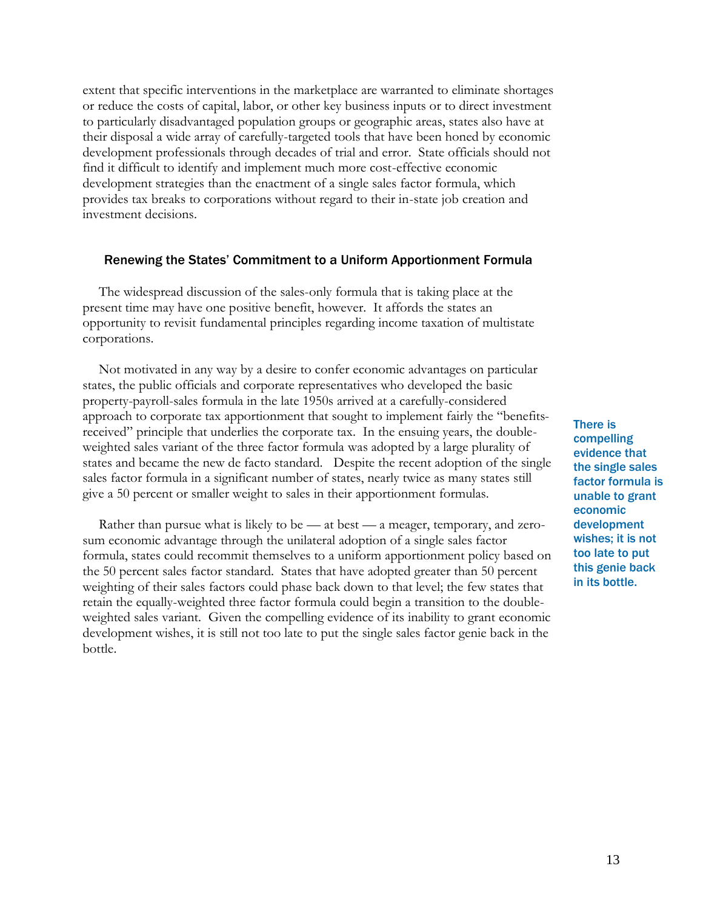extent that specific interventions in the marketplace are warranted to eliminate shortages or reduce the costs of capital, labor, or other key business inputs or to direct investment to particularly disadvantaged population groups or geographic areas, states also have at their disposal a wide array of carefully-targeted tools that have been honed by economic development professionals through decades of trial and error. State officials should not find it difficult to identify and implement much more cost-effective economic development strategies than the enactment of a single sales factor formula, which provides tax breaks to corporations without regard to their in-state job creation and investment decisions.

# Renewing the States' Commitment to a Uniform Apportionment Formula

The widespread discussion of the sales-only formula that is taking place at the present time may have one positive benefit, however. It affords the states an opportunity to revisit fundamental principles regarding income taxation of multistate corporations.

Not motivated in any way by a desire to confer economic advantages on particular states, the public officials and corporate representatives who developed the basic property-payroll-sales formula in the late 1950s arrived at a carefully-considered approach to corporate tax apportionment that sought to implement fairly the "benefitsreceived" principle that underlies the corporate tax. In the ensuing years, the doubleweighted sales variant of the three factor formula was adopted by a large plurality of states and became the new de facto standard. Despite the recent adoption of the single sales factor formula in a significant number of states, nearly twice as many states still give a 50 percent or smaller weight to sales in their apportionment formulas.

Rather than pursue what is likely to be — at best — a meager, temporary, and zerosum economic advantage through the unilateral adoption of a single sales factor formula, states could recommit themselves to a uniform apportionment policy based on the 50 percent sales factor standard. States that have adopted greater than 50 percent weighting of their sales factors could phase back down to that level; the few states that retain the equally-weighted three factor formula could begin a transition to the doubleweighted sales variant. Given the compelling evidence of its inability to grant economic development wishes, it is still not too late to put the single sales factor genie back in the bottle.

There is compelling evidence that the single sales factor formula is unable to grant economic development wishes; it is not too late to put this genie back in its bottle.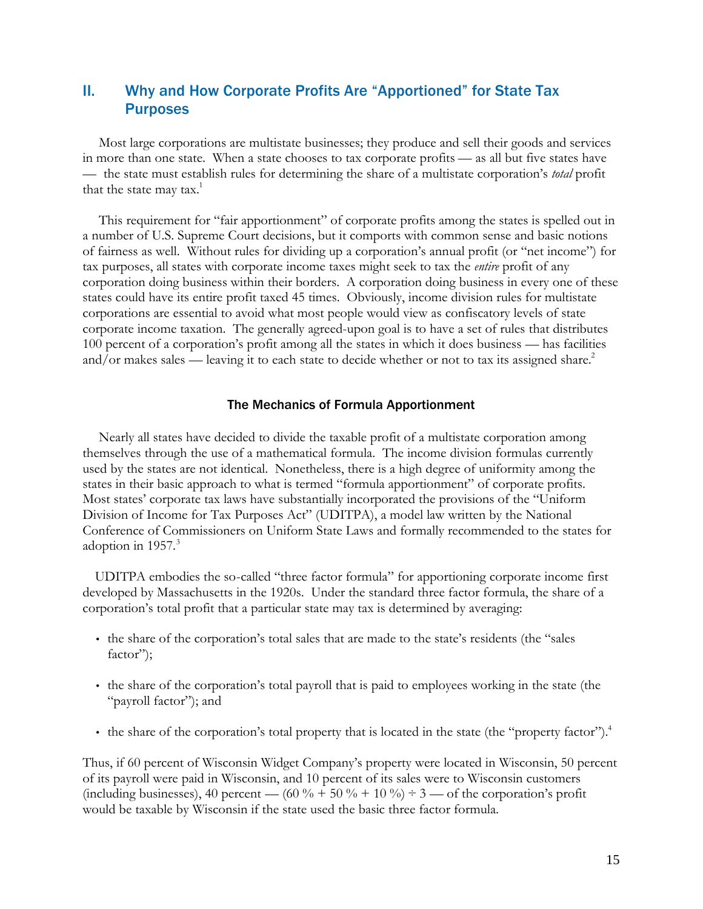# II. Why and How Corporate Profits Are "Apportioned" for State Tax **Purposes**

Most large corporations are multistate businesses; they produce and sell their goods and services in more than one state. When a state chooses to tax corporate profits — as all but five states have — the state must establish rules for determining the share of a multistate corporation's *total* profit that the state may tax. $1$ 

This requirement for "fair apportionment" of corporate profits among the states is spelled out in a number of U.S. Supreme Court decisions, but it comports with common sense and basic notions of fairness as well. Without rules for dividing up a corporation's annual profit (or "net income") for tax purposes, all states with corporate income taxes might seek to tax the *entire* profit of any corporation doing business within their borders. A corporation doing business in every one of these states could have its entire profit taxed 45 times. Obviously, income division rules for multistate corporations are essential to avoid what most people would view as confiscatory levels of state corporate income taxation. The generally agreed-upon goal is to have a set of rules that distributes 100 percent of a corporation's profit among all the states in which it does business — has facilities and/or makes sales — leaving it to each state to decide whether or not to tax its assigned share.<sup>2</sup>

# The Mechanics of Formula Apportionment

Nearly all states have decided to divide the taxable profit of a multistate corporation among themselves through the use of a mathematical formula. The income division formulas currently used by the states are not identical. Nonetheless, there is a high degree of uniformity among the states in their basic approach to what is termed "formula apportionment" of corporate profits. Most states' corporate tax laws have substantially incorporated the provisions of the "Uniform Division of Income for Tax Purposes Act" (UDITPA), a model law written by the National Conference of Commissioners on Uniform State Laws and formally recommended to the states for adoption in  $1957$ .<sup>3</sup>

UDITPA embodies the so-called "three factor formula" for apportioning corporate income first developed by Massachusetts in the 1920s. Under the standard three factor formula, the share of a corporation's total profit that a particular state may tax is determined by averaging:

- the share of the corporation's total sales that are made to the state's residents (the "sales factor");
- the share of the corporation's total payroll that is paid to employees working in the state (the "payroll factor"); and
- the share of the corporation's total property that is located in the state (the "property factor").<sup>4</sup>

Thus, if 60 percent of Wisconsin Widget Company's property were located in Wisconsin, 50 percent of its payroll were paid in Wisconsin, and 10 percent of its sales were to Wisconsin customers (including businesses), 40 percent — (60 % + 50 % + 10 %)  $\div$  3 — of the corporation's profit would be taxable by Wisconsin if the state used the basic three factor formula.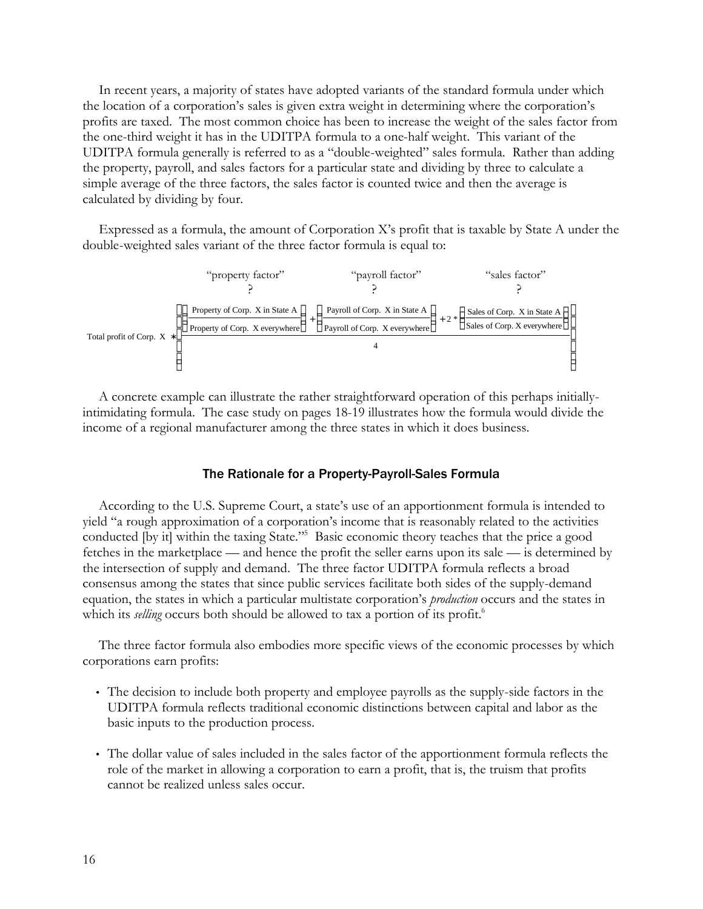In recent years, a majority of states have adopted variants of the standard formula under which the location of a corporation's sales is given extra weight in determining where the corporation's profits are taxed. The most common choice has been to increase the weight of the sales factor from the one-third weight it has in the UDITPA formula to a one-half weight. This variant of the UDITPA formula generally is referred to as a "double-weighted" sales formula. Rather than adding the property, payroll, and sales factors for a particular state and dividing by three to calculate a simple average of the three factors, the sales factor is counted twice and then the average is calculated by dividing by four.

Expressed as a formula, the amount of Corporation X's profit that is taxable by State A under the double-weighted sales variant of the three factor formula is equal to:



A concrete example can illustrate the rather straightforward operation of this perhaps initiallyintimidating formula. The case study on pages 18-19 illustrates how the formula would divide the income of a regional manufacturer among the three states in which it does business.

# The Rationale for a Property-Payroll-Sales Formula

According to the U.S. Supreme Court, a state's use of an apportionment formula is intended to yield "a rough approximation of a corporation's income that is reasonably related to the activities conducted [by it] within the taxing State."<sup>5</sup> Basic economic theory teaches that the price a good fetches in the marketplace — and hence the profit the seller earns upon its sale — is determined by the intersection of supply and demand. The three factor UDITPA formula reflects a broad consensus among the states that since public services facilitate both sides of the supply-demand equation, the states in which a particular multistate corporation's *production* occurs and the states in which its *selling* occurs both should be allowed to tax a portion of its profit.<sup>6</sup>

The three factor formula also embodies more specific views of the economic processes by which corporations earn profits:

- The decision to include both property and employee payrolls as the supply-side factors in the UDITPA formula reflects traditional economic distinctions between capital and labor as the basic inputs to the production process.
- The dollar value of sales included in the sales factor of the apportionment formula reflects the role of the market in allowing a corporation to earn a profit, that is, the truism that profits cannot be realized unless sales occur.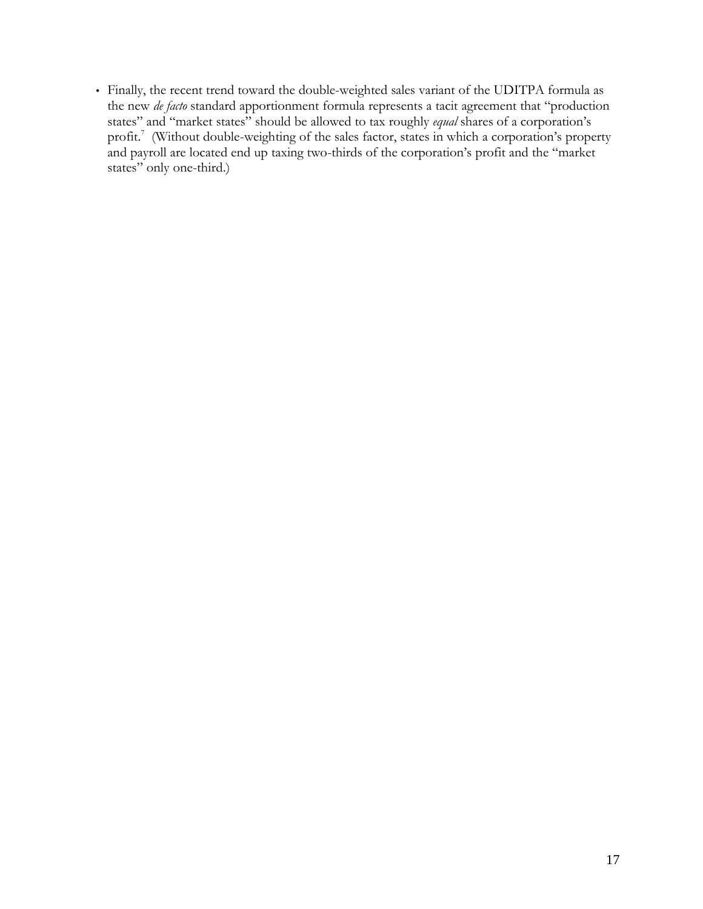• Finally, the recent trend toward the double-weighted sales variant of the UDITPA formula as the new *de facto* standard apportionment formula represents a tacit agreement that "production states" and "market states" should be allowed to tax roughly *equal* shares of a corporation's profit.<sup>7</sup> (Without double-weighting of the sales factor, states in which a corporation's property and payroll are located end up taxing two-thirds of the corporation's profit and the "market states" only one-third.)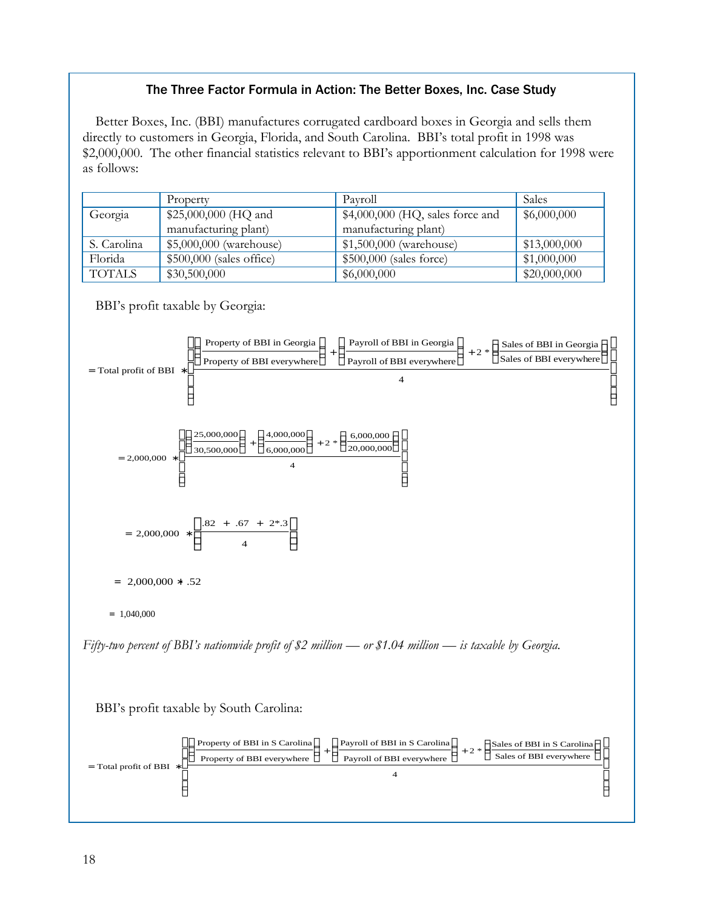# The Three Factor Formula in Action: The Better Boxes, Inc. Case Study

Better Boxes, Inc. (BBI) manufactures corrugated cardboard boxes in Georgia and sells them directly to customers in Georgia, Florida, and South Carolina. BBI's total profit in 1998 was \$2,000,000. The other financial statistics relevant to BBI's apportionment calculation for 1998 were as follows:

|               | Property                  | Pavroll                           | <b>Sales</b> |
|---------------|---------------------------|-----------------------------------|--------------|
| Georgia       | \$25,000,000 (HQ and      | $$4,000,000$ (HQ, sales force and | \$6,000,000  |
|               | manufacturing plant)      | manufacturing plant)              |              |
| S. Carolina   | \$5,000,000 (warehouse)   | \$1,500,000 (warehouse)           | \$13,000,000 |
| Florida       | $$500,000$ (sales office) | \$500,000 (sales force)           | \$1,000,000  |
| <b>TOTALS</b> | \$30,500,000              | \$6,000,000                       | \$20,000,000 |

BBI's profit taxable by Georgia:



*Fifty-two percent of BBI's nationwide profit of \$2 million — or \$1.04 million — is taxable by Georgia.*

BBI's profit taxable by South Carolina:

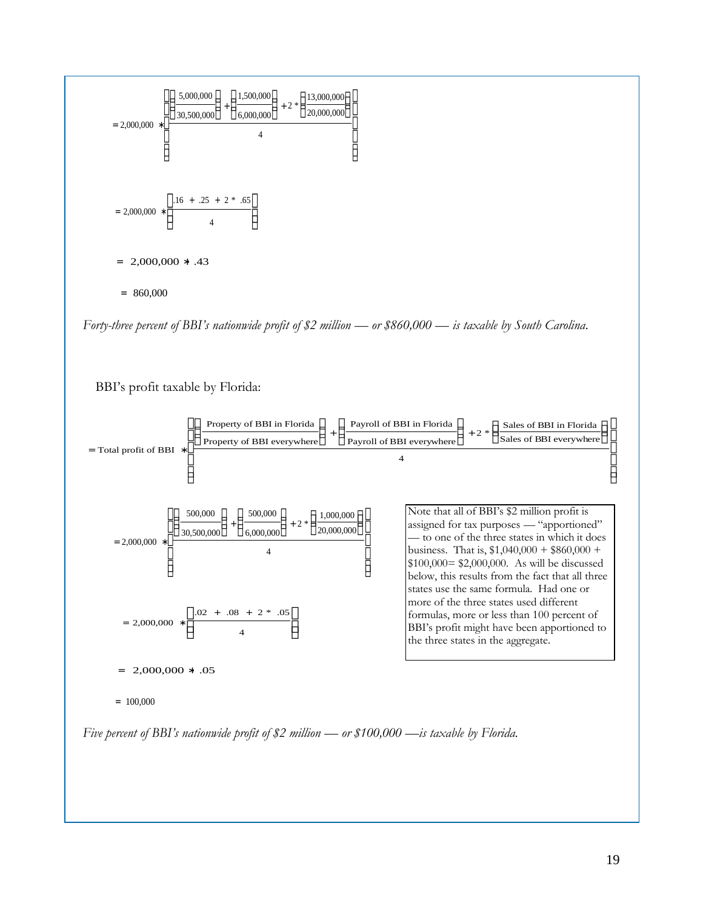

*Forty-three percent of BBI's nationwide profit of \$2 million — or \$860,000 — is taxable by South Carolina*.

BBI's profit taxable by Florida:



*Five percent of BBI's nationwide profit of \$2 million — or \$100,000 —is taxable by Florida.*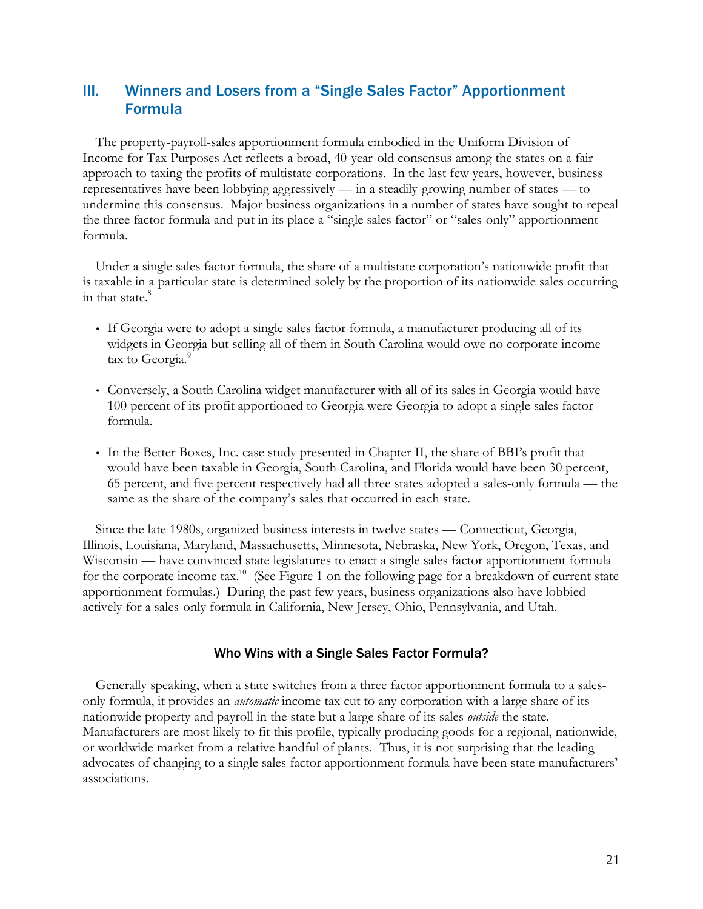# III. Winners and Losers from a "Single Sales Factor" Apportionment Formula

The property-payroll-sales apportionment formula embodied in the Uniform Division of Income for Tax Purposes Act reflects a broad, 40-year-old consensus among the states on a fair approach to taxing the profits of multistate corporations. In the last few years, however, business representatives have been lobbying aggressively — in a steadily-growing number of states — to undermine this consensus. Major business organizations in a number of states have sought to repeal the three factor formula and put in its place a "single sales factor" or "sales-only" apportionment formula.

Under a single sales factor formula, the share of a multistate corporation's nationwide profit that is taxable in a particular state is determined solely by the proportion of its nationwide sales occurring in that state.<sup>8</sup>

- If Georgia were to adopt a single sales factor formula, a manufacturer producing all of its widgets in Georgia but selling all of them in South Carolina would owe no corporate income tax to Georgia.<sup>9</sup>
- Conversely, a South Carolina widget manufacturer with all of its sales in Georgia would have 100 percent of its profit apportioned to Georgia were Georgia to adopt a single sales factor formula.
- In the Better Boxes, Inc. case study presented in Chapter II, the share of BBI's profit that would have been taxable in Georgia, South Carolina, and Florida would have been 30 percent, 65 percent, and five percent respectively had all three states adopted a sales-only formula — the same as the share of the company's sales that occurred in each state.

Since the late 1980s, organized business interests in twelve states — Connecticut, Georgia, Illinois, Louisiana, Maryland, Massachusetts, Minnesota, Nebraska, New York, Oregon, Texas, and Wisconsin — have convinced state legislatures to enact a single sales factor apportionment formula for the corporate income tax.<sup>10</sup> (See Figure 1 on the following page for a breakdown of current state apportionment formulas.) During the past few years, business organizations also have lobbied actively for a sales-only formula in California, New Jersey, Ohio, Pennsylvania, and Utah.

# Who Wins with a Single Sales Factor Formula?

Generally speaking, when a state switches from a three factor apportionment formula to a salesonly formula, it provides an *automatic* income tax cut to any corporation with a large share of its nationwide property and payroll in the state but a large share of its sales *outside* the state. Manufacturers are most likely to fit this profile, typically producing goods for a regional, nationwide, or worldwide market from a relative handful of plants. Thus, it is not surprising that the leading advocates of changing to a single sales factor apportionment formula have been state manufacturers' associations.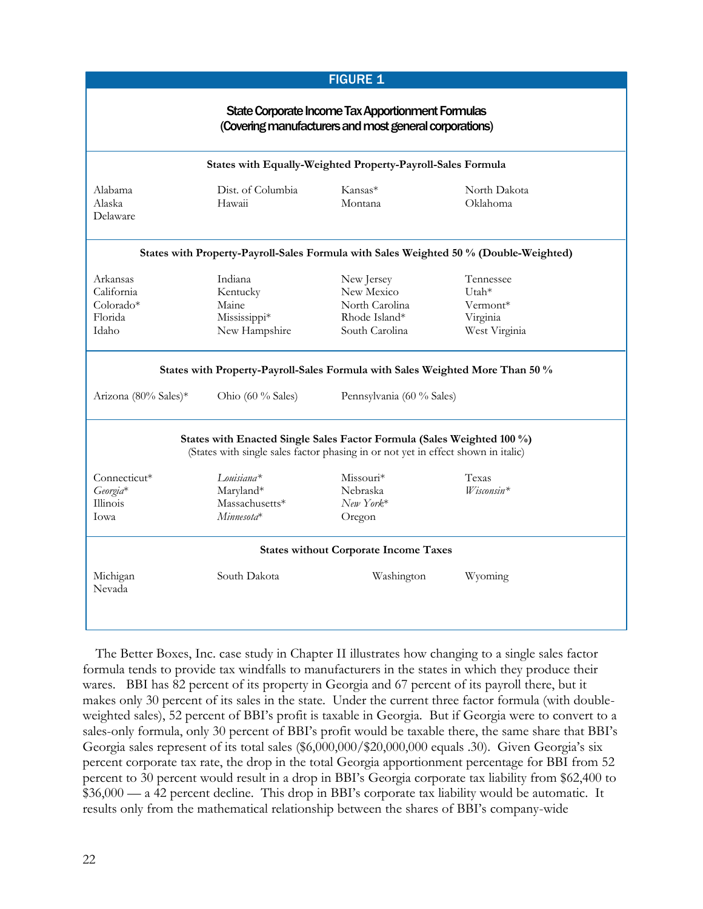| <b>FIGURE 1</b>                                                                                                                                             |                                                               |                                                                               |                                                             |  |  |  |  |  |
|-------------------------------------------------------------------------------------------------------------------------------------------------------------|---------------------------------------------------------------|-------------------------------------------------------------------------------|-------------------------------------------------------------|--|--|--|--|--|
| State Corporate Income Tax Apportionment Formulas<br>(Covering manufacturers and most general corporations)                                                 |                                                               |                                                                               |                                                             |  |  |  |  |  |
| States with Equally-Weighted Property-Payroll-Sales Formula                                                                                                 |                                                               |                                                                               |                                                             |  |  |  |  |  |
| Alabama<br>Alaska<br>Delaware                                                                                                                               | Dist. of Columbia<br>Hawaii                                   | Kansas*<br>Montana                                                            | North Dakota<br>Oklahoma                                    |  |  |  |  |  |
| States with Property-Payroll-Sales Formula with Sales Weighted 50 % (Double-Weighted)                                                                       |                                                               |                                                                               |                                                             |  |  |  |  |  |
| Arkansas<br>California<br>Colorado*<br>Florida<br>Idaho                                                                                                     | Indiana<br>Kentucky<br>Maine<br>Mississippi*<br>New Hampshire | New Jersey<br>New Mexico<br>North Carolina<br>Rhode Island*<br>South Carolina | Tennessee<br>Utah*<br>Vermont*<br>Virginia<br>West Virginia |  |  |  |  |  |
|                                                                                                                                                             |                                                               | States with Property-Payroll-Sales Formula with Sales Weighted More Than 50 % |                                                             |  |  |  |  |  |
| Arizona (80% Sales)*                                                                                                                                        | Ohio (60 % Sales)                                             | Pennsylvania (60 % Sales)                                                     |                                                             |  |  |  |  |  |
| States with Enacted Single Sales Factor Formula (Sales Weighted 100 %)<br>(States with single sales factor phasing in or not yet in effect shown in italic) |                                                               |                                                                               |                                                             |  |  |  |  |  |
| Connecticut*<br>Georgia*<br><b>Illinois</b><br><b>Towa</b>                                                                                                  | $Louisiana*$<br>Maryland*<br>Massachusetts*<br>$Minnesota*$   | $Missouri*$<br>Nebraska<br>$New York*$<br>Oregon                              | Texas<br>$W$ isconsin*                                      |  |  |  |  |  |
| <b>States without Corporate Income Taxes</b>                                                                                                                |                                                               |                                                                               |                                                             |  |  |  |  |  |
| Michigan<br>Nevada                                                                                                                                          | South Dakota                                                  | Washington                                                                    | Wyoming                                                     |  |  |  |  |  |

The Better Boxes, Inc. case study in Chapter II illustrates how changing to a single sales factor formula tends to provide tax windfalls to manufacturers in the states in which they produce their wares. BBI has 82 percent of its property in Georgia and 67 percent of its payroll there, but it makes only 30 percent of its sales in the state. Under the current three factor formula (with doubleweighted sales), 52 percent of BBI's profit is taxable in Georgia. But if Georgia were to convert to a sales-only formula, only 30 percent of BBI's profit would be taxable there, the same share that BBI's Georgia sales represent of its total sales (\$6,000,000/\$20,000,000 equals .30). Given Georgia's six percent corporate tax rate, the drop in the total Georgia apportionment percentage for BBI from 52 percent to 30 percent would result in a drop in BBI's Georgia corporate tax liability from \$62,400 to \$36,000 — a 42 percent decline. This drop in BBI's corporate tax liability would be automatic. It results only from the mathematical relationship between the shares of BBI's company-wide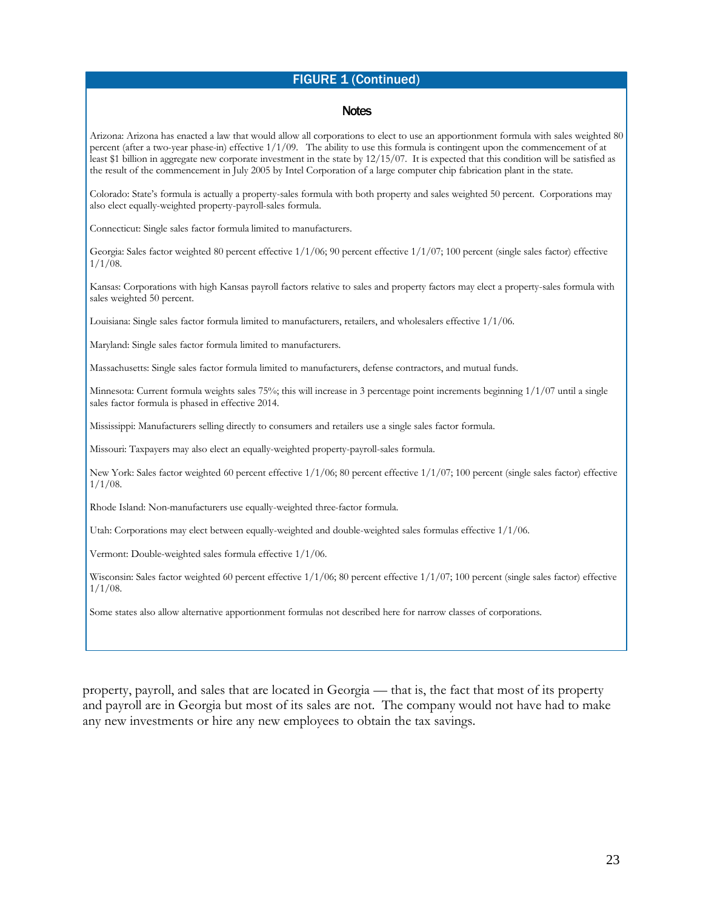# FIGURE 1 (Continued)

#### Notes

Arizona: Arizona has enacted a law that would allow all corporations to elect to use an apportionment formula with sales weighted 80 percent (after a two-year phase-in) effective 1/1/09. The ability to use this formula is contingent upon the commencement of at least \$1 billion in aggregate new corporate investment in the state by 12/15/07. It is expected that this condition will be satisfied as the result of the commencement in July 2005 by Intel Corporation of a large computer chip fabrication plant in the state.

Colorado: State's formula is actually a property-sales formula with both property and sales weighted 50 percent. Corporations may also elect equally-weighted property-payroll-sales formula.

Connecticut: Single sales factor formula limited to manufacturers.

Georgia: Sales factor weighted 80 percent effective 1/1/06; 90 percent effective 1/1/07; 100 percent (single sales factor) effective 1/1/08.

Kansas: Corporations with high Kansas payroll factors relative to sales and property factors may elect a property-sales formula with sales weighted 50 percent.

Louisiana: Single sales factor formula limited to manufacturers, retailers, and wholesalers effective 1/1/06.

Maryland: Single sales factor formula limited to manufacturers.

Massachusetts: Single sales factor formula limited to manufacturers, defense contractors, and mutual funds.

Minnesota: Current formula weights sales 75%; this will increase in 3 percentage point increments beginning 1/1/07 until a single sales factor formula is phased in effective 2014.

Mississippi: Manufacturers selling directly to consumers and retailers use a single sales factor formula.

Missouri: Taxpayers may also elect an equally-weighted property-payroll-sales formula.

New York: Sales factor weighted 60 percent effective 1/1/06; 80 percent effective 1/1/07; 100 percent (single sales factor) effective 1/1/08.

Rhode Island: Non-manufacturers use equally-weighted three-factor formula.

Utah: Corporations may elect between equally-weighted and double-weighted sales formulas effective 1/1/06.

Vermont: Double-weighted sales formula effective 1/1/06.

Wisconsin: Sales factor weighted 60 percent effective 1/1/06; 80 percent effective 1/1/07; 100 percent (single sales factor) effective  $1/1/08$ .

Some states also allow alternative apportionment formulas not described here for narrow classes of corporations.

property, payroll, and sales that are located in Georgia — that is, the fact that most of its property and payroll are in Georgia but most of its sales are not. The company would not have had to make any new investments or hire any new employees to obtain the tax savings.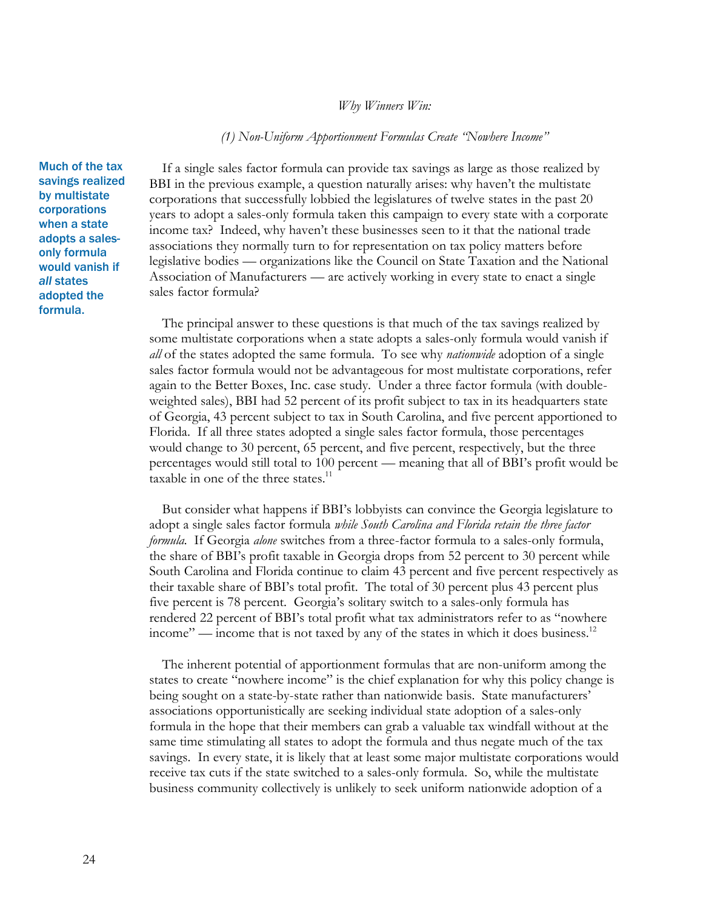# *Why Winners Win:*

### *(1) Non-Uniform Apportionment Formulas Create "Nowhere Income"*

Much of the tax savings realized by multistate corporations when a state adopts a salesonly formula would vanish if *all* states adopted the formula.

If a single sales factor formula can provide tax savings as large as those realized by BBI in the previous example, a question naturally arises: why haven't the multistate corporations that successfully lobbied the legislatures of twelve states in the past 20 years to adopt a sales-only formula taken this campaign to every state with a corporate income tax? Indeed, why haven't these businesses seen to it that the national trade associations they normally turn to for representation on tax policy matters before legislative bodies — organizations like the Council on State Taxation and the National Association of Manufacturers — are actively working in every state to enact a single sales factor formula?

The principal answer to these questions is that much of the tax savings realized by some multistate corporations when a state adopts a sales-only formula would vanish if *all* of the states adopted the same formula. To see why *nationwide* adoption of a single sales factor formula would not be advantageous for most multistate corporations, refer again to the Better Boxes, Inc. case study. Under a three factor formula (with doubleweighted sales), BBI had 52 percent of its profit subject to tax in its headquarters state of Georgia, 43 percent subject to tax in South Carolina, and five percent apportioned to Florida. If all three states adopted a single sales factor formula, those percentages would change to 30 percent, 65 percent, and five percent, respectively, but the three percentages would still total to 100 percent — meaning that all of BBI's profit would be taxable in one of the three states.<sup>11</sup>

But consider what happens if BBI's lobbyists can convince the Georgia legislature to adopt a single sales factor formula *while South Carolina and Florida retain the three factor formula.* If Georgia *alone* switches from a three-factor formula to a sales-only formula, the share of BBI's profit taxable in Georgia drops from 52 percent to 30 percent while South Carolina and Florida continue to claim 43 percent and five percent respectively as their taxable share of BBI's total profit. The total of 30 percent plus 43 percent plus five percent is 78 percent. Georgia's solitary switch to a sales-only formula has rendered 22 percent of BBI's total profit what tax administrators refer to as "nowhere income" — income that is not taxed by any of the states in which it does business.<sup>12</sup>

The inherent potential of apportionment formulas that are non-uniform among the states to create "nowhere income" is the chief explanation for why this policy change is being sought on a state-by-state rather than nationwide basis. State manufacturers' associations opportunistically are seeking individual state adoption of a sales-only formula in the hope that their members can grab a valuable tax windfall without at the same time stimulating all states to adopt the formula and thus negate much of the tax savings. In every state, it is likely that at least some major multistate corporations would receive tax cuts if the state switched to a sales-only formula. So, while the multistate business community collectively is unlikely to seek uniform nationwide adoption of a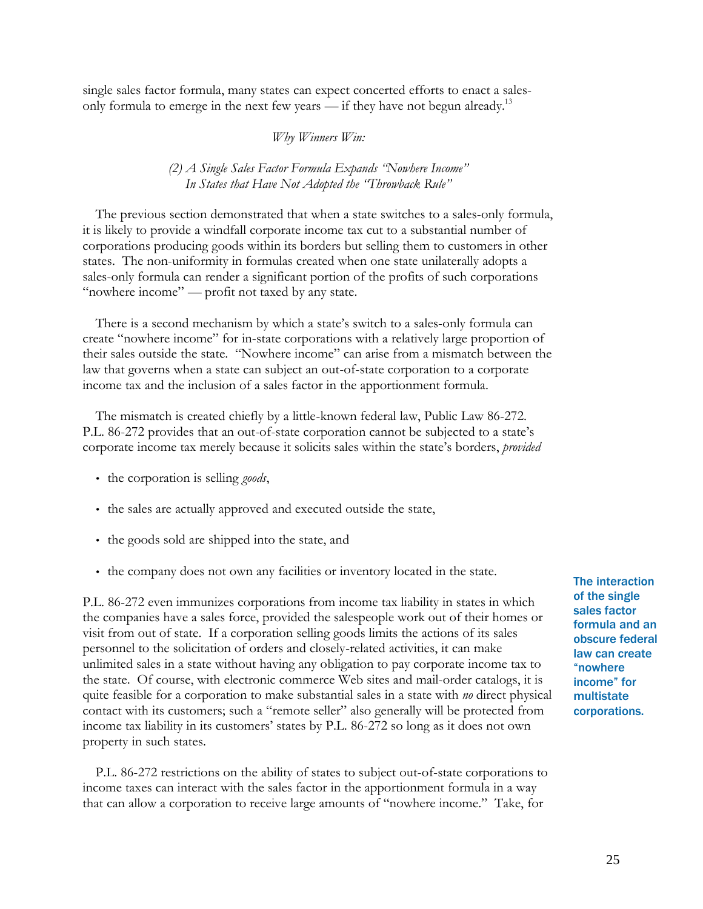single sales factor formula, many states can expect concerted efforts to enact a salesonly formula to emerge in the next few years — if they have not begun already.<sup>13</sup>

*Why Winners Win:*

*(2) A Single Sales Factor Formula Expands "Nowhere Income" In States that Have Not Adopted the "Throwback Rule"*

The previous section demonstrated that when a state switches to a sales-only formula, it is likely to provide a windfall corporate income tax cut to a substantial number of corporations producing goods within its borders but selling them to customers in other states. The non-uniformity in formulas created when one state unilaterally adopts a sales-only formula can render a significant portion of the profits of such corporations "nowhere income" — profit not taxed by any state.

There is a second mechanism by which a state's switch to a sales-only formula can create "nowhere income" for in-state corporations with a relatively large proportion of their sales outside the state. "Nowhere income" can arise from a mismatch between the law that governs when a state can subject an out-of-state corporation to a corporate income tax and the inclusion of a sales factor in the apportionment formula.

The mismatch is created chiefly by a little-known federal law, Public Law 86-272. P.L. 86-272 provides that an out-of-state corporation cannot be subjected to a state's corporate income tax merely because it solicits sales within the state's borders, *provided*

- the corporation is selling *goods*,
- the sales are actually approved and executed outside the state,
- the goods sold are shipped into the state, and
- the company does not own any facilities or inventory located in the state.

P.L. 86-272 even immunizes corporations from income tax liability in states in which the companies have a sales force, provided the salespeople work out of their homes or visit from out of state. If a corporation selling goods limits the actions of its sales personnel to the solicitation of orders and closely-related activities, it can make unlimited sales in a state without having any obligation to pay corporate income tax to the state. Of course, with electronic commerce Web sites and mail-order catalogs, it is quite feasible for a corporation to make substantial sales in a state with *no* direct physical contact with its customers; such a "remote seller" also generally will be protected from income tax liability in its customers' states by P.L. 86-272 so long as it does not own property in such states.

P.L. 86-272 restrictions on the ability of states to subject out-of-state corporations to income taxes can interact with the sales factor in the apportionment formula in a way that can allow a corporation to receive large amounts of "nowhere income." Take, for

The interaction of the single sales factor formula and an obscure federal law can create "nowhere income" for multistate corporations.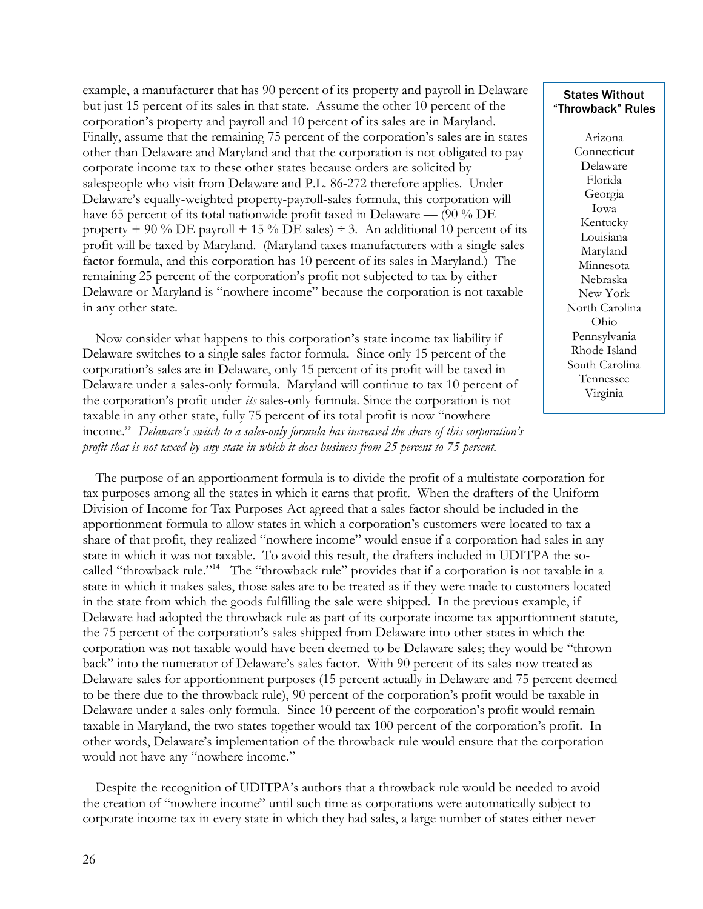example, a manufacturer that has 90 percent of its property and payroll in Delaware but just 15 percent of its sales in that state. Assume the other 10 percent of the corporation's property and payroll and 10 percent of its sales are in Maryland. Finally, assume that the remaining 75 percent of the corporation's sales are in states other than Delaware and Maryland and that the corporation is not obligated to pay corporate income tax to these other states because orders are solicited by salespeople who visit from Delaware and P.L. 86-272 therefore applies. Under Delaware's equally-weighted property-payroll-sales formula, this corporation will have 65 percent of its total nationwide profit taxed in Delaware — (90 % DE property + 90 % DE payroll + 15 % DE sales)  $\div$  3. An additional 10 percent of its profit will be taxed by Maryland. (Maryland taxes manufacturers with a single sales factor formula, and this corporation has 10 percent of its sales in Maryland.) The remaining 25 percent of the corporation's profit not subjected to tax by either Delaware or Maryland is "nowhere income" because the corporation is not taxable in any other state.

Now consider what happens to this corporation's state income tax liability if Delaware switches to a single sales factor formula. Since only 15 percent of the corporation's sales are in Delaware, only 15 percent of its profit will be taxed in Delaware under a sales-only formula. Maryland will continue to tax 10 percent of the corporation's profit under *its* sales-only formula. Since the corporation is not taxable in any other state, fully 75 percent of its total profit is now "nowhere income." *Delaware's switch to a sales-only formula has increased the share of this corporation's profit that is not taxed by any state in which it does business from 25 percent to 75 percent.* 

The purpose of an apportionment formula is to divide the profit of a multistate corporation for tax purposes among all the states in which it earns that profit. When the drafters of the Uniform Division of Income for Tax Purposes Act agreed that a sales factor should be included in the apportionment formula to allow states in which a corporation's customers were located to tax a share of that profit, they realized "nowhere income" would ensue if a corporation had sales in any state in which it was not taxable. To avoid this result, the drafters included in UDITPA the socalled "throwback rule."<sup>14</sup> The "throwback rule" provides that if a corporation is not taxable in a state in which it makes sales, those sales are to be treated as if they were made to customers located in the state from which the goods fulfilling the sale were shipped. In the previous example, if Delaware had adopted the throwback rule as part of its corporate income tax apportionment statute, the 75 percent of the corporation's sales shipped from Delaware into other states in which the corporation was not taxable would have been deemed to be Delaware sales; they would be "thrown back" into the numerator of Delaware's sales factor. With 90 percent of its sales now treated as Delaware sales for apportionment purposes (15 percent actually in Delaware and 75 percent deemed to be there due to the throwback rule), 90 percent of the corporation's profit would be taxable in Delaware under a sales-only formula. Since 10 percent of the corporation's profit would remain taxable in Maryland, the two states together would tax 100 percent of the corporation's profit. In other words, Delaware's implementation of the throwback rule would ensure that the corporation would not have any "nowhere income."

Despite the recognition of UDITPA's authors that a throwback rule would be needed to avoid the creation of "nowhere income" until such time as corporations were automatically subject to corporate income tax in every state in which they had sales, a large number of states either never

# States Without "Throwback" Rules

Arizona Connecticut Delaware Florida Georgia Iowa Kentucky Louisiana Maryland Minnesota Nebraska New York North Carolina Ohio Pennsylvania Rhode Island South Carolina Tennessee Virginia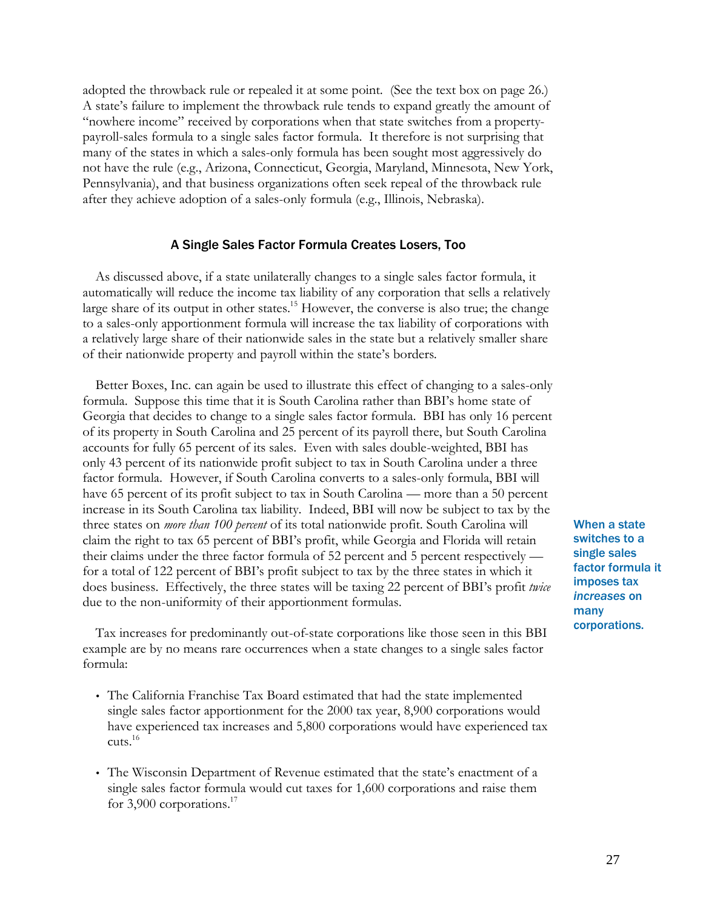adopted the throwback rule or repealed it at some point. (See the text box on page 26.) A state's failure to implement the throwback rule tends to expand greatly the amount of "nowhere income" received by corporations when that state switches from a propertypayroll-sales formula to a single sales factor formula. It therefore is not surprising that many of the states in which a sales-only formula has been sought most aggressively do not have the rule (e.g., Arizona, Connecticut, Georgia, Maryland, Minnesota, New York, Pennsylvania), and that business organizations often seek repeal of the throwback rule after they achieve adoption of a sales-only formula (e.g., Illinois, Nebraska).

# A Single Sales Factor Formula Creates Losers, Too

As discussed above, if a state unilaterally changes to a single sales factor formula, it automatically will reduce the income tax liability of any corporation that sells a relatively large share of its output in other states.<sup>15</sup> However, the converse is also true; the change to a sales-only apportionment formula will increase the tax liability of corporations with a relatively large share of their nationwide sales in the state but a relatively smaller share of their nationwide property and payroll within the state's borders.

Better Boxes, Inc. can again be used to illustrate this effect of changing to a sales-only formula. Suppose this time that it is South Carolina rather than BBI's home state of Georgia that decides to change to a single sales factor formula. BBI has only 16 percent of its property in South Carolina and 25 percent of its payroll there, but South Carolina accounts for fully 65 percent of its sales. Even with sales double-weighted, BBI has only 43 percent of its nationwide profit subject to tax in South Carolina under a three factor formula. However, if South Carolina converts to a sales-only formula, BBI will have 65 percent of its profit subject to tax in South Carolina — more than a 50 percent increase in its South Carolina tax liability. Indeed, BBI will now be subject to tax by the three states on *more than 100 percent* of its total nationwide profit. South Carolina will claim the right to tax 65 percent of BBI's profit, while Georgia and Florida will retain their claims under the three factor formula of 52 percent and 5 percent respectively for a total of 122 percent of BBI's profit subject to tax by the three states in which it does business. Effectively, the three states will be taxing 22 percent of BBI's profit *twice* due to the non-uniformity of their apportionment formulas.

Tax increases for predominantly out-of-state corporations like those seen in this BBI example are by no means rare occurrences when a state changes to a single sales factor formula:

- The California Franchise Tax Board estimated that had the state implemented single sales factor apportionment for the 2000 tax year, 8,900 corporations would have experienced tax increases and 5,800 corporations would have experienced tax cuts.<sup>16</sup>
- The Wisconsin Department of Revenue estimated that the state's enactment of a single sales factor formula would cut taxes for 1,600 corporations and raise them for 3,900 corporations. $17$

When a state switches to a single sales factor formula it imposes tax *increases* on many corporations.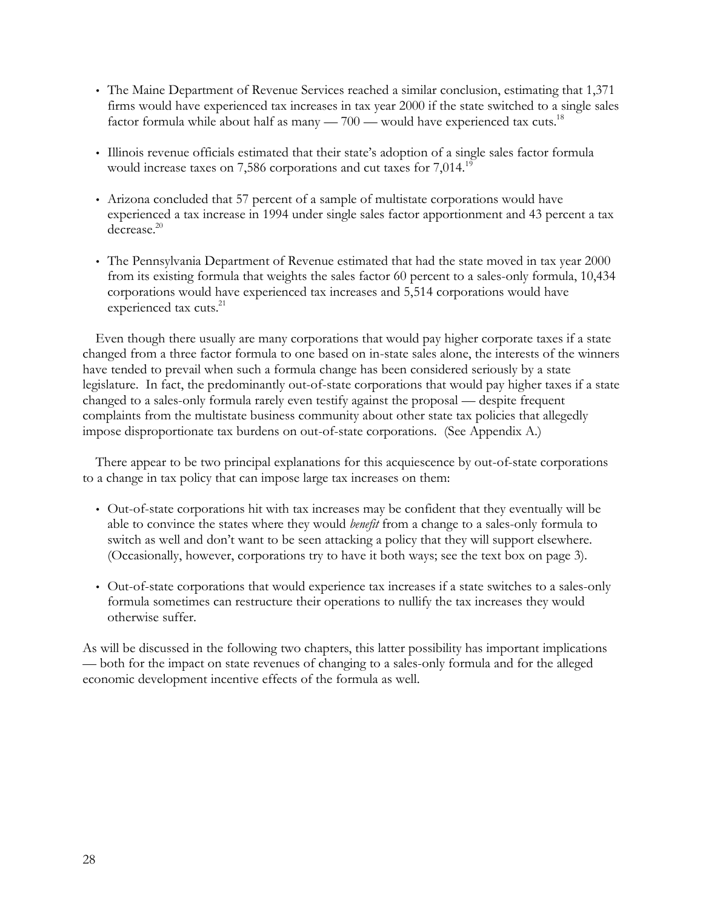- The Maine Department of Revenue Services reached a similar conclusion, estimating that 1,371 firms would have experienced tax increases in tax year 2000 if the state switched to a single sales factor formula while about half as many —  $700$  — would have experienced tax cuts.<sup>18</sup>
- Illinois revenue officials estimated that their state's adoption of a single sales factor formula would increase taxes on 7,586 corporations and cut taxes for  $7,014.^{19}$
- Arizona concluded that 57 percent of a sample of multistate corporations would have experienced a tax increase in 1994 under single sales factor apportionment and 43 percent a tax decrease. 20
- The Pennsylvania Department of Revenue estimated that had the state moved in tax year 2000 from its existing formula that weights the sales factor 60 percent to a sales-only formula, 10,434 corporations would have experienced tax increases and 5,514 corporations would have experienced tax cuts.<sup>21</sup>

Even though there usually are many corporations that would pay higher corporate taxes if a state changed from a three factor formula to one based on in-state sales alone, the interests of the winners have tended to prevail when such a formula change has been considered seriously by a state legislature. In fact, the predominantly out-of-state corporations that would pay higher taxes if a state changed to a sales-only formula rarely even testify against the proposal — despite frequent complaints from the multistate business community about other state tax policies that allegedly impose disproportionate tax burdens on out-of-state corporations. (See Appendix A.)

There appear to be two principal explanations for this acquiescence by out-of-state corporations to a change in tax policy that can impose large tax increases on them:

- Out-of-state corporations hit with tax increases may be confident that they eventually will be able to convince the states where they would *benefit* from a change to a sales-only formula to switch as well and don't want to be seen attacking a policy that they will support elsewhere. (Occasionally, however, corporations try to have it both ways; see the text box on page 3).
- Out-of-state corporations that would experience tax increases if a state switches to a sales-only formula sometimes can restructure their operations to nullify the tax increases they would otherwise suffer.

As will be discussed in the following two chapters, this latter possibility has important implications — both for the impact on state revenues of changing to a sales-only formula and for the alleged economic development incentive effects of the formula as well.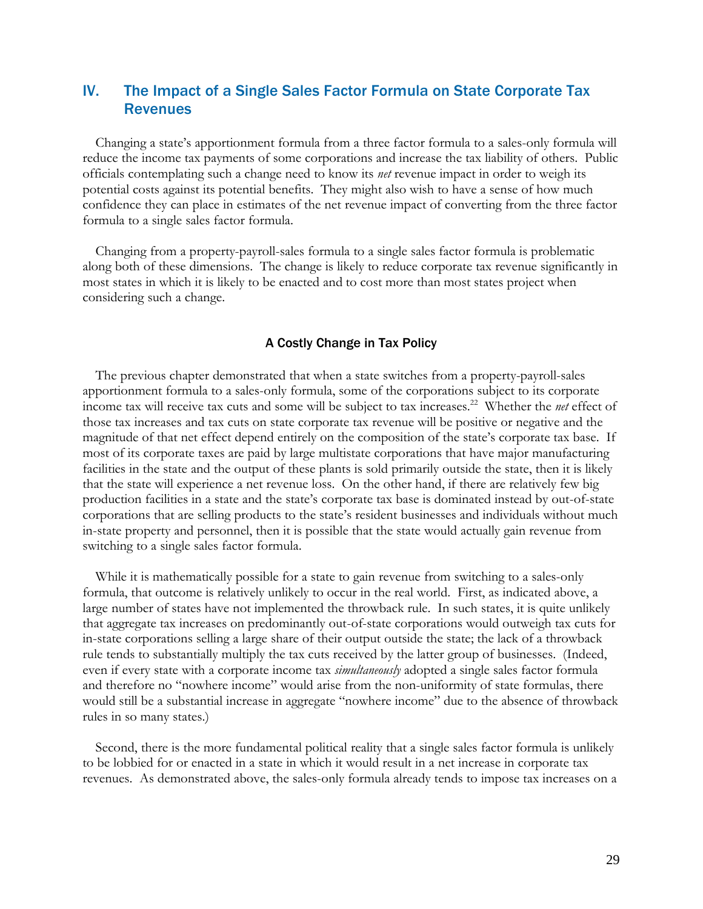# IV. The Impact of a Single Sales Factor Formula on State Corporate Tax **Revenues**

Changing a state's apportionment formula from a three factor formula to a sales-only formula will reduce the income tax payments of some corporations and increase the tax liability of others. Public officials contemplating such a change need to know its *net* revenue impact in order to weigh its potential costs against its potential benefits. They might also wish to have a sense of how much confidence they can place in estimates of the net revenue impact of converting from the three factor formula to a single sales factor formula.

Changing from a property-payroll-sales formula to a single sales factor formula is problematic along both of these dimensions. The change is likely to reduce corporate tax revenue significantly in most states in which it is likely to be enacted and to cost more than most states project when considering such a change.

## A Costly Change in Tax Policy

The previous chapter demonstrated that when a state switches from a property-payroll-sales apportionment formula to a sales-only formula, some of the corporations subject to its corporate income tax will receive tax cuts and some will be subject to tax increases.<sup>22</sup> Whether the *net* effect of those tax increases and tax cuts on state corporate tax revenue will be positive or negative and the magnitude of that net effect depend entirely on the composition of the state's corporate tax base. If most of its corporate taxes are paid by large multistate corporations that have major manufacturing facilities in the state and the output of these plants is sold primarily outside the state, then it is likely that the state will experience a net revenue loss. On the other hand, if there are relatively few big production facilities in a state and the state's corporate tax base is dominated instead by out-of-state corporations that are selling products to the state's resident businesses and individuals without much in-state property and personnel, then it is possible that the state would actually gain revenue from switching to a single sales factor formula.

While it is mathematically possible for a state to gain revenue from switching to a sales-only formula, that outcome is relatively unlikely to occur in the real world. First, as indicated above, a large number of states have not implemented the throwback rule. In such states, it is quite unlikely that aggregate tax increases on predominantly out-of-state corporations would outweigh tax cuts for in-state corporations selling a large share of their output outside the state; the lack of a throwback rule tends to substantially multiply the tax cuts received by the latter group of businesses. (Indeed, even if every state with a corporate income tax *simultaneously* adopted a single sales factor formula and therefore no "nowhere income" would arise from the non-uniformity of state formulas, there would still be a substantial increase in aggregate "nowhere income" due to the absence of throwback rules in so many states.)

Second, there is the more fundamental political reality that a single sales factor formula is unlikely to be lobbied for or enacted in a state in which it would result in a net increase in corporate tax revenues. As demonstrated above, the sales-only formula already tends to impose tax increases on a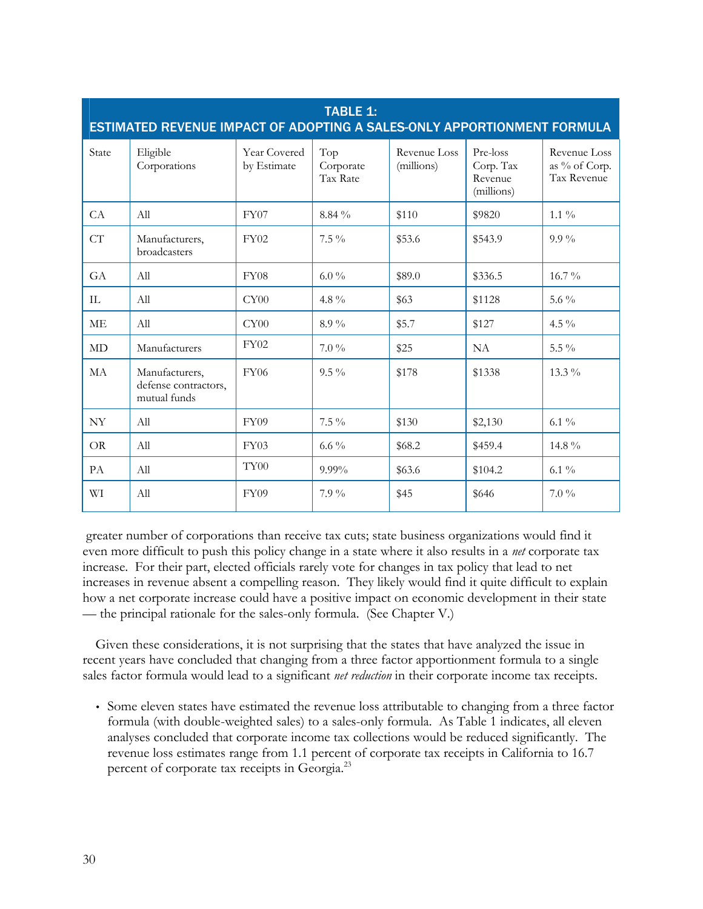| <b>TABLE 1:</b><br>ESTIMATED REVENUE IMPACT OF ADOPTING A SALES-ONLY APPORTIONMENT FORMULA |                                                        |                             |                              |                            |                                                |                                              |
|--------------------------------------------------------------------------------------------|--------------------------------------------------------|-----------------------------|------------------------------|----------------------------|------------------------------------------------|----------------------------------------------|
| State                                                                                      | Eligible<br>Corporations                               | Year Covered<br>by Estimate | Top<br>Corporate<br>Tax Rate | Revenue Loss<br>(millions) | Pre-loss<br>Corp. Tax<br>Revenue<br>(millions) | Revenue Loss<br>as % of Corp.<br>Tax Revenue |
| CA                                                                                         | All                                                    | FY07                        | 8.84 %                       | \$110                      | \$9820                                         | $1.1\%$                                      |
| CT                                                                                         | Manufacturers,<br>broadcasters                         | <b>FY02</b>                 | $7.5\%$                      | \$53.6                     | \$543.9                                        | $9.9\%$                                      |
| GA                                                                                         | All                                                    | FY08                        | $6.0\%$                      | \$89.0                     | \$336.5                                        | $16.7\%$                                     |
| $\mathbf{L}$                                                                               | All                                                    | CY00                        | 4.8 $\%$                     | \$63                       | \$1128                                         | 5.6 $\%$                                     |
| <b>ME</b>                                                                                  | All                                                    | CY00                        | 8.9%                         | \$5.7                      | \$127                                          | 4.5 $\%$                                     |
| MD                                                                                         | Manufacturers                                          | <b>FY02</b>                 | $7.0\%$                      | \$25                       | <b>NA</b>                                      | 5.5 $\%$                                     |
| MA                                                                                         | Manufacturers,<br>defense contractors,<br>mutual funds | <b>FY06</b>                 | $9.5\%$                      | \$178                      | \$1338                                         | $13.3\%$                                     |
| NY                                                                                         | All                                                    | <b>FY09</b>                 | $7.5\%$                      | \$130                      | \$2,130                                        | $6.1\%$                                      |
| OR.                                                                                        | All                                                    | FY03                        | $6.6\%$                      | \$68.2                     | \$459.4                                        | 14.8 %                                       |
| PA                                                                                         | All                                                    | TY <sub>00</sub>            | $9.99\%$                     | \$63.6                     | \$104.2                                        | 6.1 $\%$                                     |
| WI                                                                                         | All                                                    | FY09                        | $7.9\%$                      | \$45                       | \$646                                          | $7.0\%$                                      |

 greater number of corporations than receive tax cuts; state business organizations would find it even more difficult to push this policy change in a state where it also results in a *net* corporate tax increase. For their part, elected officials rarely vote for changes in tax policy that lead to net increases in revenue absent a compelling reason. They likely would find it quite difficult to explain how a net corporate increase could have a positive impact on economic development in their state — the principal rationale for the sales-only formula. (See Chapter V.)

Given these considerations, it is not surprising that the states that have analyzed the issue in recent years have concluded that changing from a three factor apportionment formula to a single sales factor formula would lead to a significant *net reduction* in their corporate income tax receipts.

• Some eleven states have estimated the revenue loss attributable to changing from a three factor formula (with double-weighted sales) to a sales-only formula. As Table 1 indicates, all eleven analyses concluded that corporate income tax collections would be reduced significantly. The revenue loss estimates range from 1.1 percent of corporate tax receipts in California to 16.7 percent of corporate tax receipts in Georgia.<sup>23</sup>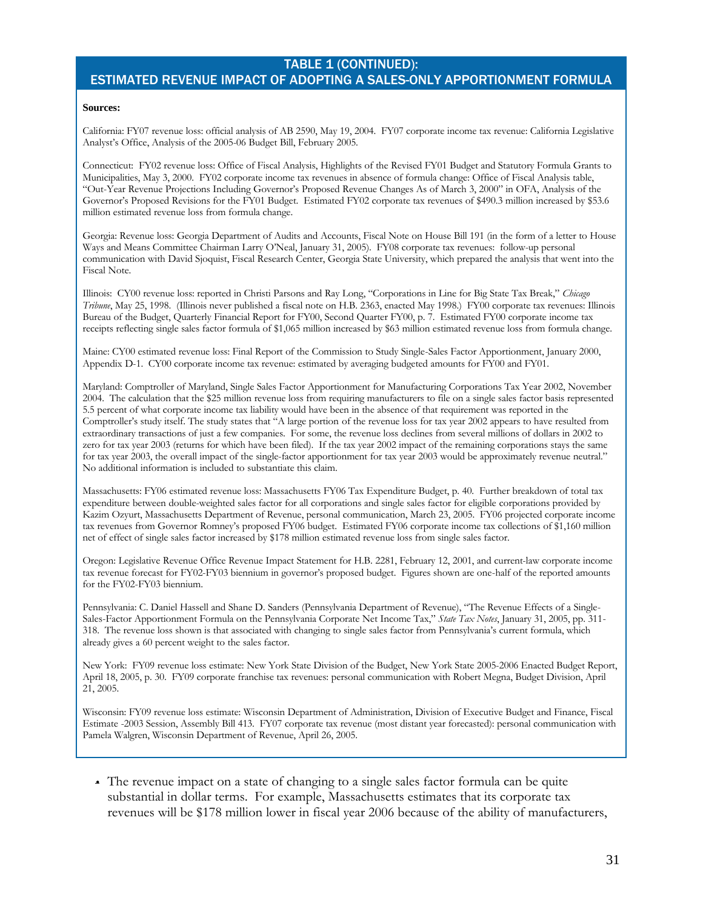# TABLE 1 (CONTINUED): ESTIMATED REVENUE IMPACT OF ADOPTING A SALES-ONLY APPORTIONMENT FORMULA

#### **Sources:**

California: FY07 revenue loss: official analysis of AB 2590, May 19, 2004. FY07 corporate income tax revenue: California Legislative Analyst's Office, Analysis of the 2005-06 Budget Bill, February 2005.

Connecticut: FY02 revenue loss: Office of Fiscal Analysis, Highlights of the Revised FY01 Budget and Statutory Formula Grants to Municipalities, May 3, 2000. FY02 corporate income tax revenues in absence of formula change: Office of Fiscal Analysis table, "Out-Year Revenue Projections Including Governor's Proposed Revenue Changes As of March 3, 2000" in OFA, Analysis of the Governor's Proposed Revisions for the FY01 Budget. Estimated FY02 corporate tax revenues of \$490.3 million increased by \$53.6 million estimated revenue loss from formula change.

Georgia: Revenue loss: Georgia Department of Audits and Accounts, Fiscal Note on House Bill 191 (in the form of a letter to House Ways and Means Committee Chairman Larry O'Neal, January 31, 2005). FY08 corporate tax revenues: follow-up personal communication with David Sjoquist, Fiscal Research Center, Georgia State University, which prepared the analysis that went into the Fiscal Note.

Illinois: CY00 revenue loss: reported in Christi Parsons and Ray Long, "Corporations in Line for Big State Tax Break," *Chicago Tribune*, May 25, 1998. (Illinois never published a fiscal note on H.B. 2363, enacted May 1998.) FY00 corporate tax revenues: Illinois Bureau of the Budget, Quarterly Financial Report for FY00, Second Quarter FY00, p. 7. Estimated FY00 corporate income tax receipts reflecting single sales factor formula of \$1,065 million increased by \$63 million estimated revenue loss from formula change.

Maine: CY00 estimated revenue loss: Final Report of the Commission to Study Single-Sales Factor Apportionment, January 2000, Appendix D-1. CY00 corporate income tax revenue: estimated by averaging budgeted amounts for FY00 and FY01.

Maryland: Comptroller of Maryland, Single Sales Factor Apportionment for Manufacturing Corporations Tax Year 2002, November 2004. The calculation that the \$25 million revenue loss from requiring manufacturers to file on a single sales factor basis represented 5.5 percent of what corporate income tax liability would have been in the absence of that requirement was reported in the Comptroller's study itself. The study states that "A large portion of the revenue loss for tax year 2002 appears to have resulted from extraordinary transactions of just a few companies. For some, the revenue loss declines from several millions of dollars in 2002 to zero for tax year 2003 (returns for which have been filed). If the tax year 2002 impact of the remaining corporations stays the same for tax year 2003, the overall impact of the single-factor apportionment for tax year 2003 would be approximately revenue neutral." No additional information is included to substantiate this claim.

Massachusetts: FY06 estimated revenue loss: Massachusetts FY06 Tax Expenditure Budget, p. 40. Further breakdown of total tax expenditure between double-weighted sales factor for all corporations and single sales factor for eligible corporations provided by Kazim Ozyurt, Massachusetts Department of Revenue, personal communication, March 23, 2005. FY06 projected corporate income tax revenues from Governor Romney's proposed FY06 budget. Estimated FY06 corporate income tax collections of \$1,160 million net of effect of single sales factor increased by \$178 million estimated revenue loss from single sales factor.

Oregon: Legislative Revenue Office Revenue Impact Statement for H.B. 2281, February 12, 2001, and current-law corporate income tax revenue forecast for FY02-FY03 biennium in governor's proposed budget. Figures shown are one-half of the reported amounts for the FY02-FY03 biennium.

Pennsylvania: C. Daniel Hassell and Shane D. Sanders (Pennsylvania Department of Revenue), "The Revenue Effects of a Single-Sales-Factor Apportionment Formula on the Pennsylvania Corporate Net Income Tax," *State Tax Notes*, January 31, 2005, pp. 311- 318. The revenue loss shown is that associated with changing to single sales factor from Pennsylvania's current formula, which already gives a 60 percent weight to the sales factor.

New York: FY09 revenue loss estimate: New York State Division of the Budget, New York State 2005-2006 Enacted Budget Report, April 18, 2005, p. 30. FY09 corporate franchise tax revenues: personal communication with Robert Megna, Budget Division, April 21, 2005.

Wisconsin: FY09 revenue loss estimate: Wisconsin Department of Administration, Division of Executive Budget and Finance, Fiscal Estimate -2003 Session, Assembly Bill 413. FY07 corporate tax revenue (most distant year forecasted): personal communication with Pamela Walgren, Wisconsin Department of Revenue, April 26, 2005.

• The revenue impact on a state of changing to a single sales factor formula can be quite substantial in dollar terms. For example, Massachusetts estimates that its corporate tax revenues will be \$178 million lower in fiscal year 2006 because of the ability of manufacturers,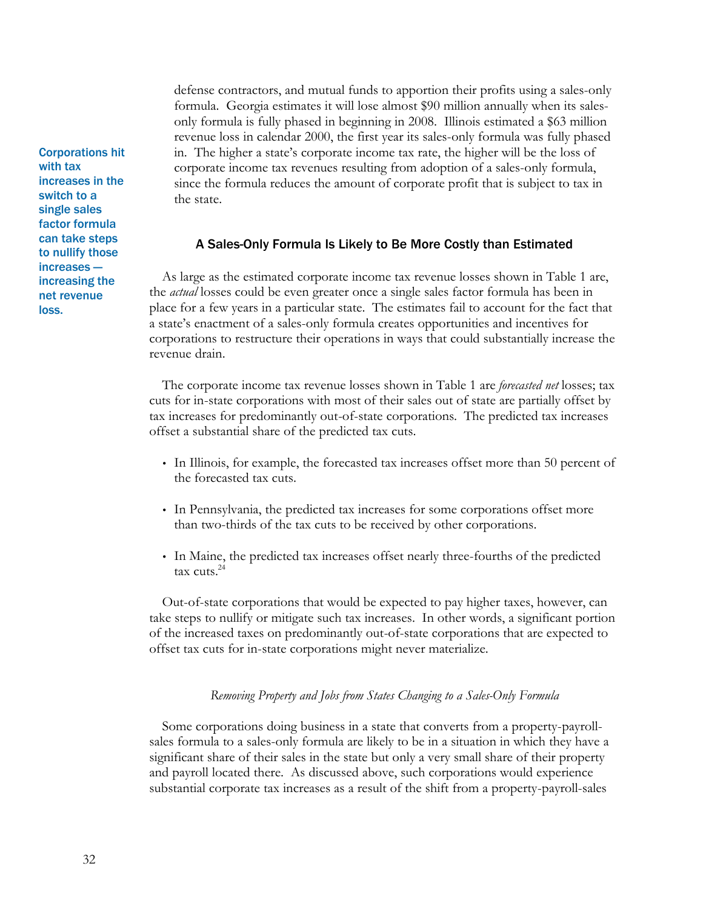defense contractors, and mutual funds to apportion their profits using a sales-only formula. Georgia estimates it will lose almost \$90 million annually when its salesonly formula is fully phased in beginning in 2008. Illinois estimated a \$63 million revenue loss in calendar 2000, the first year its sales-only formula was fully phased in. The higher a state's corporate income tax rate, the higher will be the loss of corporate income tax revenues resulting from adoption of a sales-only formula, since the formula reduces the amount of corporate profit that is subject to tax in the state.

#### A Sales-Only Formula Is Likely to Be More Costly than Estimated

As large as the estimated corporate income tax revenue losses shown in Table 1 are, the *actual* losses could be even greater once a single sales factor formula has been in place for a few years in a particular state. The estimates fail to account for the fact that a state's enactment of a sales-only formula creates opportunities and incentives for corporations to restructure their operations in ways that could substantially increase the revenue drain.

The corporate income tax revenue losses shown in Table 1 are *forecasted net* losses; tax cuts for in-state corporations with most of their sales out of state are partially offset by tax increases for predominantly out-of-state corporations. The predicted tax increases offset a substantial share of the predicted tax cuts.

- In Illinois, for example, the forecasted tax increases offset more than 50 percent of the forecasted tax cuts.
- In Pennsylvania, the predicted tax increases for some corporations offset more than two-thirds of the tax cuts to be received by other corporations.
- In Maine, the predicted tax increases offset nearly three-fourths of the predicted tax cuts. $^{24}$

Out-of-state corporations that would be expected to pay higher taxes, however, can take steps to nullify or mitigate such tax increases. In other words, a significant portion of the increased taxes on predominantly out-of-state corporations that are expected to offset tax cuts for in-state corporations might never materialize.

#### *Removing Property and Jobs from States Changing to a Sales-Only Formula*

Some corporations doing business in a state that converts from a property-payrollsales formula to a sales-only formula are likely to be in a situation in which they have a significant share of their sales in the state but only a very small share of their property and payroll located there. As discussed above, such corporations would experience substantial corporate tax increases as a result of the shift from a property-payroll-sales

Corporations hit with tax increases in the switch to a single sales factor formula can take steps to nullify those increases increasing the net revenue loss.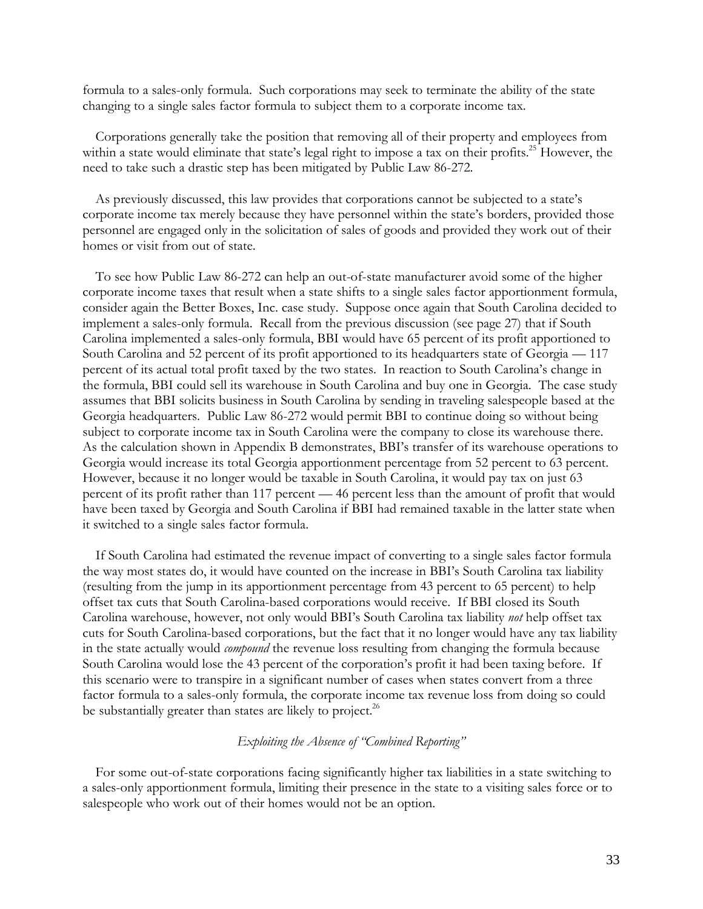formula to a sales-only formula. Such corporations may seek to terminate the ability of the state changing to a single sales factor formula to subject them to a corporate income tax.

Corporations generally take the position that removing all of their property and employees from within a state would eliminate that state's legal right to impose a tax on their profits.<sup>25</sup> However, the need to take such a drastic step has been mitigated by Public Law 86-272.

As previously discussed, this law provides that corporations cannot be subjected to a state's corporate income tax merely because they have personnel within the state's borders, provided those personnel are engaged only in the solicitation of sales of goods and provided they work out of their homes or visit from out of state.

To see how Public Law 86-272 can help an out-of-state manufacturer avoid some of the higher corporate income taxes that result when a state shifts to a single sales factor apportionment formula, consider again the Better Boxes, Inc. case study. Suppose once again that South Carolina decided to implement a sales-only formula. Recall from the previous discussion (see page 27) that if South Carolina implemented a sales-only formula, BBI would have 65 percent of its profit apportioned to South Carolina and 52 percent of its profit apportioned to its headquarters state of Georgia — 117 percent of its actual total profit taxed by the two states. In reaction to South Carolina's change in the formula, BBI could sell its warehouse in South Carolina and buy one in Georgia. The case study assumes that BBI solicits business in South Carolina by sending in traveling salespeople based at the Georgia headquarters. Public Law 86-272 would permit BBI to continue doing so without being subject to corporate income tax in South Carolina were the company to close its warehouse there. As the calculation shown in Appendix B demonstrates, BBI's transfer of its warehouse operations to Georgia would increase its total Georgia apportionment percentage from 52 percent to 63 percent. However, because it no longer would be taxable in South Carolina, it would pay tax on just 63 percent of its profit rather than 117 percent — 46 percent less than the amount of profit that would have been taxed by Georgia and South Carolina if BBI had remained taxable in the latter state when it switched to a single sales factor formula.

If South Carolina had estimated the revenue impact of converting to a single sales factor formula the way most states do, it would have counted on the increase in BBI's South Carolina tax liability (resulting from the jump in its apportionment percentage from 43 percent to 65 percent) to help offset tax cuts that South Carolina-based corporations would receive. If BBI closed its South Carolina warehouse, however, not only would BBI's South Carolina tax liability *not* help offset tax cuts for South Carolina-based corporations, but the fact that it no longer would have any tax liability in the state actually would *compound* the revenue loss resulting from changing the formula because South Carolina would lose the 43 percent of the corporation's profit it had been taxing before. If this scenario were to transpire in a significant number of cases when states convert from a three factor formula to a sales-only formula, the corporate income tax revenue loss from doing so could be substantially greater than states are likely to project.<sup>26</sup>

## *Exploiting the Absence of "Combined Reporting"*

For some out-of-state corporations facing significantly higher tax liabilities in a state switching to a sales-only apportionment formula, limiting their presence in the state to a visiting sales force or to salespeople who work out of their homes would not be an option.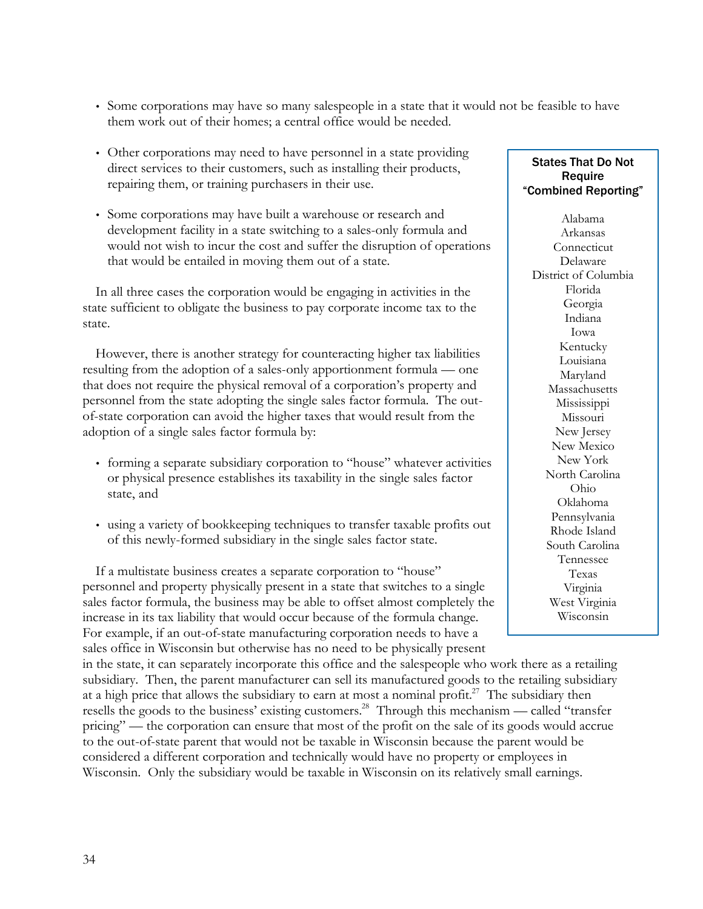- Some corporations may have so many salespeople in a state that it would not be feasible to have them work out of their homes; a central office would be needed.
- Other corporations may need to have personnel in a state providing direct services to their customers, such as installing their products, repairing them, or training purchasers in their use.
- Some corporations may have built a warehouse or research and development facility in a state switching to a sales-only formula and would not wish to incur the cost and suffer the disruption of operations that would be entailed in moving them out of a state.

In all three cases the corporation would be engaging in activities in the state sufficient to obligate the business to pay corporate income tax to the state.

However, there is another strategy for counteracting higher tax liabilities resulting from the adoption of a sales-only apportionment formula — one that does not require the physical removal of a corporation's property and personnel from the state adopting the single sales factor formula. The outof-state corporation can avoid the higher taxes that would result from the adoption of a single sales factor formula by:

- forming a separate subsidiary corporation to "house" whatever activities or physical presence establishes its taxability in the single sales factor state, and
- using a variety of bookkeeping techniques to transfer taxable profits out of this newly-formed subsidiary in the single sales factor state.

If a multistate business creates a separate corporation to "house" personnel and property physically present in a state that switches to a single sales factor formula, the business may be able to offset almost completely the increase in its tax liability that would occur because of the formula change. For example, if an out-of-state manufacturing corporation needs to have a sales office in Wisconsin but otherwise has no need to be physically present

in the state, it can separately incorporate this office and the salespeople who work there as a retailing subsidiary. Then, the parent manufacturer can sell its manufactured goods to the retailing subsidiary at a high price that allows the subsidiary to earn at most a nominal profit.<sup>27</sup> The subsidiary then resells the goods to the business' existing customers.<sup>28</sup> Through this mechanism — called "transfer pricing" — the corporation can ensure that most of the profit on the sale of its goods would accrue to the out-of-state parent that would not be taxable in Wisconsin because the parent would be considered a different corporation and technically would have no property or employees in Wisconsin. Only the subsidiary would be taxable in Wisconsin on its relatively small earnings.

## States That Do Not Require "Combined Reporting"

Alabama Arkansas **Connecticut** Delaware District of Columbia Florida Georgia Indiana Iowa Kentucky Louisiana Maryland Massachusetts Mississippi Missouri New Jersey New Mexico New York North Carolina Ohio Oklahoma Pennsylvania Rhode Island South Carolina Tennessee Texas Virginia West Virginia Wisconsin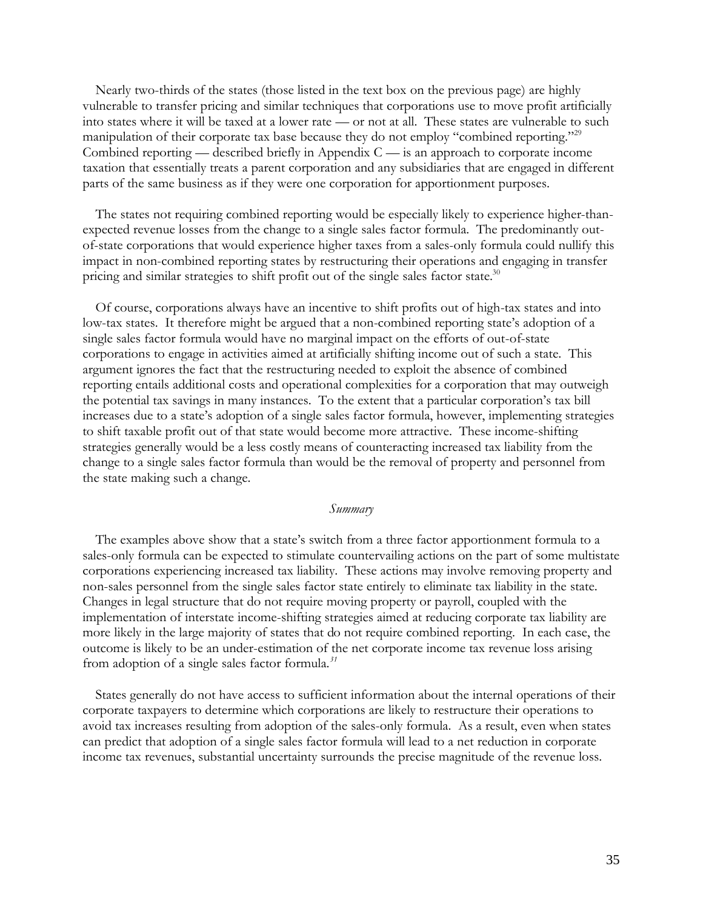Nearly two-thirds of the states (those listed in the text box on the previous page) are highly vulnerable to transfer pricing and similar techniques that corporations use to move profit artificially into states where it will be taxed at a lower rate — or not at all. These states are vulnerable to such manipulation of their corporate tax base because they do not employ "combined reporting."<sup>29</sup> Combined reporting — described briefly in Appendix  $C \rightarrow$  is an approach to corporate income taxation that essentially treats a parent corporation and any subsidiaries that are engaged in different parts of the same business as if they were one corporation for apportionment purposes.

The states not requiring combined reporting would be especially likely to experience higher-thanexpected revenue losses from the change to a single sales factor formula. The predominantly outof-state corporations that would experience higher taxes from a sales-only formula could nullify this impact in non-combined reporting states by restructuring their operations and engaging in transfer pricing and similar strategies to shift profit out of the single sales factor state.<sup>30</sup>

Of course, corporations always have an incentive to shift profits out of high-tax states and into low-tax states. It therefore might be argued that a non-combined reporting state's adoption of a single sales factor formula would have no marginal impact on the efforts of out-of-state corporations to engage in activities aimed at artificially shifting income out of such a state. This argument ignores the fact that the restructuring needed to exploit the absence of combined reporting entails additional costs and operational complexities for a corporation that may outweigh the potential tax savings in many instances. To the extent that a particular corporation's tax bill increases due to a state's adoption of a single sales factor formula, however, implementing strategies to shift taxable profit out of that state would become more attractive. These income-shifting strategies generally would be a less costly means of counteracting increased tax liability from the change to a single sales factor formula than would be the removal of property and personnel from the state making such a change.

#### *Summary*

The examples above show that a state's switch from a three factor apportionment formula to a sales-only formula can be expected to stimulate countervailing actions on the part of some multistate corporations experiencing increased tax liability. These actions may involve removing property and non-sales personnel from the single sales factor state entirely to eliminate tax liability in the state. Changes in legal structure that do not require moving property or payroll, coupled with the implementation of interstate income-shifting strategies aimed at reducing corporate tax liability are more likely in the large majority of states that do not require combined reporting. In each case, the outcome is likely to be an under-estimation of the net corporate income tax revenue loss arising from adoption of a single sales factor formula.*<sup>31</sup>* 

States generally do not have access to sufficient information about the internal operations of their corporate taxpayers to determine which corporations are likely to restructure their operations to avoid tax increases resulting from adoption of the sales-only formula. As a result, even when states can predict that adoption of a single sales factor formula will lead to a net reduction in corporate income tax revenues, substantial uncertainty surrounds the precise magnitude of the revenue loss.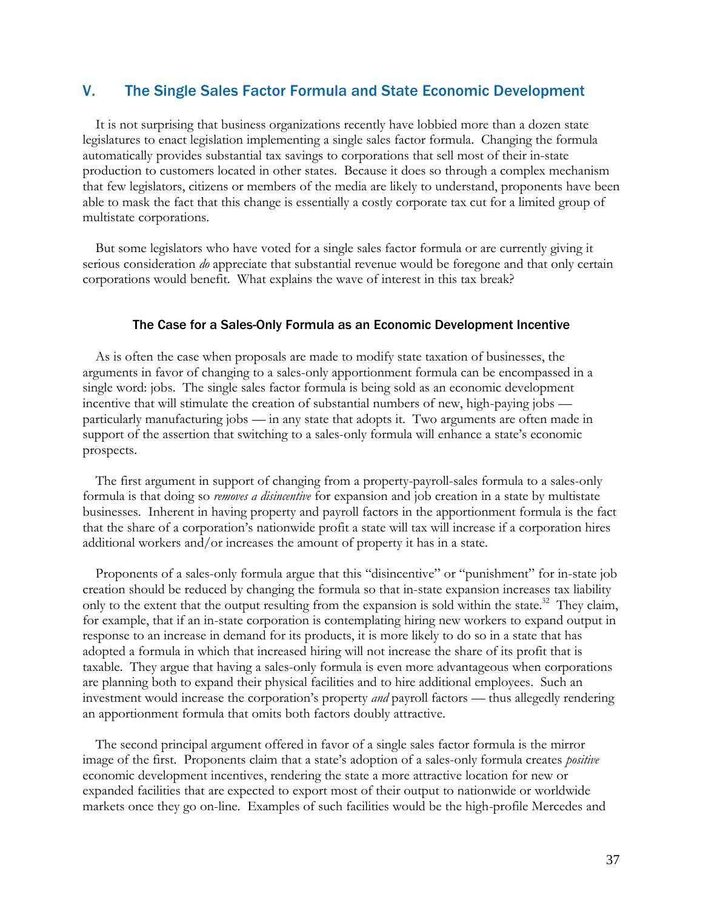# V. The Single Sales Factor Formula and State Economic Development

It is not surprising that business organizations recently have lobbied more than a dozen state legislatures to enact legislation implementing a single sales factor formula. Changing the formula automatically provides substantial tax savings to corporations that sell most of their in-state production to customers located in other states. Because it does so through a complex mechanism that few legislators, citizens or members of the media are likely to understand, proponents have been able to mask the fact that this change is essentially a costly corporate tax cut for a limited group of multistate corporations.

But some legislators who have voted for a single sales factor formula or are currently giving it serious consideration *do* appreciate that substantial revenue would be foregone and that only certain corporations would benefit. What explains the wave of interest in this tax break?

#### The Case for a Sales-Only Formula as an Economic Development Incentive

As is often the case when proposals are made to modify state taxation of businesses, the arguments in favor of changing to a sales-only apportionment formula can be encompassed in a single word: jobs. The single sales factor formula is being sold as an economic development incentive that will stimulate the creation of substantial numbers of new, high-paying jobs particularly manufacturing jobs — in any state that adopts it. Two arguments are often made in support of the assertion that switching to a sales-only formula will enhance a state's economic prospects.

The first argument in support of changing from a property-payroll-sales formula to a sales-only formula is that doing so *removes a disincentive* for expansion and job creation in a state by multistate businesses. Inherent in having property and payroll factors in the apportionment formula is the fact that the share of a corporation's nationwide profit a state will tax will increase if a corporation hires additional workers and/or increases the amount of property it has in a state.

Proponents of a sales-only formula argue that this "disincentive" or "punishment" for in-state job creation should be reduced by changing the formula so that in-state expansion increases tax liability only to the extent that the output resulting from the expansion is sold within the state.<sup>32</sup> They claim, for example, that if an in-state corporation is contemplating hiring new workers to expand output in response to an increase in demand for its products, it is more likely to do so in a state that has adopted a formula in which that increased hiring will not increase the share of its profit that is taxable. They argue that having a sales-only formula is even more advantageous when corporations are planning both to expand their physical facilities and to hire additional employees. Such an investment would increase the corporation's property *and* payroll factors — thus allegedly rendering an apportionment formula that omits both factors doubly attractive.

The second principal argument offered in favor of a single sales factor formula is the mirror image of the first. Proponents claim that a state's adoption of a sales-only formula creates *positive* economic development incentives, rendering the state a more attractive location for new or expanded facilities that are expected to export most of their output to nationwide or worldwide markets once they go on-line. Examples of such facilities would be the high-profile Mercedes and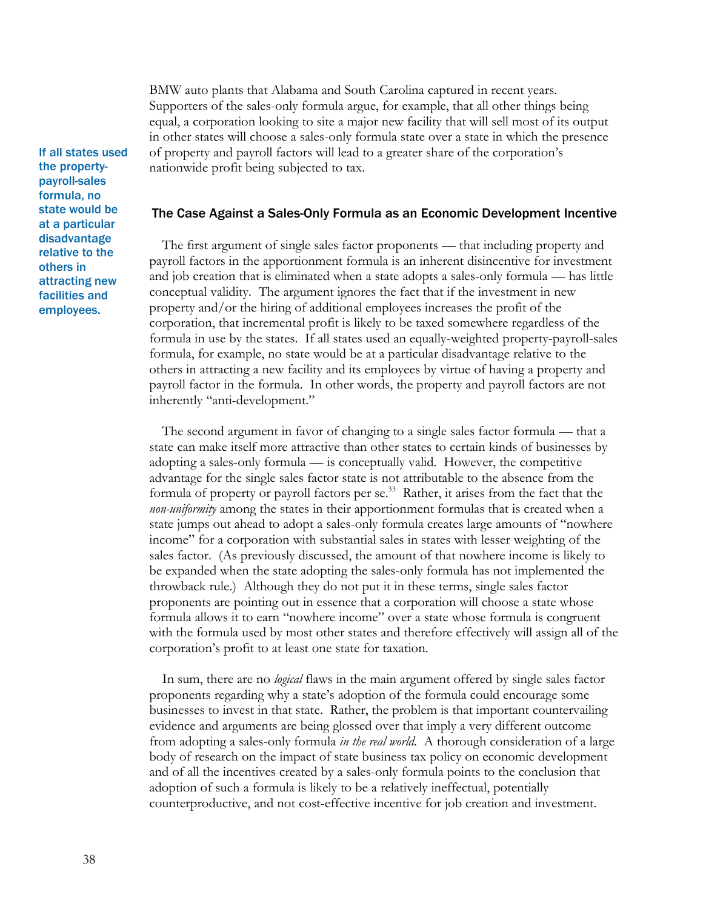BMW auto plants that Alabama and South Carolina captured in recent years. Supporters of the sales-only formula argue, for example, that all other things being equal, a corporation looking to site a major new facility that will sell most of its output in other states will choose a sales-only formula state over a state in which the presence of property and payroll factors will lead to a greater share of the corporation's nationwide profit being subjected to tax.

#### The Case Against a Sales-Only Formula as an Economic Development Incentive

The first argument of single sales factor proponents — that including property and payroll factors in the apportionment formula is an inherent disincentive for investment and job creation that is eliminated when a state adopts a sales-only formula — has little conceptual validity. The argument ignores the fact that if the investment in new property and/or the hiring of additional employees increases the profit of the corporation, that incremental profit is likely to be taxed somewhere regardless of the formula in use by the states. If all states used an equally-weighted property-payroll-sales formula, for example, no state would be at a particular disadvantage relative to the others in attracting a new facility and its employees by virtue of having a property and payroll factor in the formula. In other words, the property and payroll factors are not inherently "anti-development."

The second argument in favor of changing to a single sales factor formula — that a state can make itself more attractive than other states to certain kinds of businesses by adopting a sales-only formula — is conceptually valid. However, the competitive advantage for the single sales factor state is not attributable to the absence from the formula of property or payroll factors per se.<sup>33</sup> Rather, it arises from the fact that the *non-uniformity* among the states in their apportionment formulas that is created when a state jumps out ahead to adopt a sales-only formula creates large amounts of "nowhere income" for a corporation with substantial sales in states with lesser weighting of the sales factor. (As previously discussed, the amount of that nowhere income is likely to be expanded when the state adopting the sales-only formula has not implemented the throwback rule.) Although they do not put it in these terms, single sales factor proponents are pointing out in essence that a corporation will choose a state whose formula allows it to earn "nowhere income" over a state whose formula is congruent with the formula used by most other states and therefore effectively will assign all of the corporation's profit to at least one state for taxation.

In sum, there are no *logical* flaws in the main argument offered by single sales factor proponents regarding why a state's adoption of the formula could encourage some businesses to invest in that state. Rather, the problem is that important countervailing evidence and arguments are being glossed over that imply a very different outcome from adopting a sales-only formula *in the real world*. A thorough consideration of a large body of research on the impact of state business tax policy on economic development and of all the incentives created by a sales-only formula points to the conclusion that adoption of such a formula is likely to be a relatively ineffectual, potentially counterproductive, and not cost-effective incentive for job creation and investment.

If all states used the propertypayroll-sales formula, no state would be at a particular disadvantage relative to the others in attracting new facilities and employees.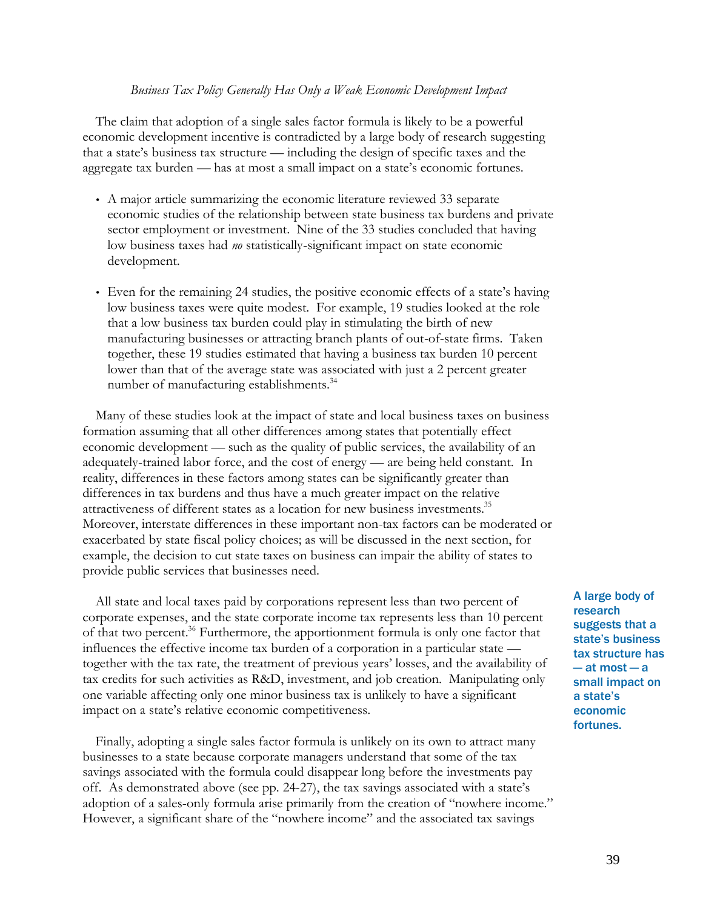#### *Business Tax Policy Generally Has Only a Weak Economic Development Impact*

The claim that adoption of a single sales factor formula is likely to be a powerful economic development incentive is contradicted by a large body of research suggesting that a state's business tax structure — including the design of specific taxes and the aggregate tax burden — has at most a small impact on a state's economic fortunes.

- A major article summarizing the economic literature reviewed 33 separate economic studies of the relationship between state business tax burdens and private sector employment or investment. Nine of the 33 studies concluded that having low business taxes had *no* statistically-significant impact on state economic development.
- Even for the remaining 24 studies, the positive economic effects of a state's having low business taxes were quite modest. For example, 19 studies looked at the role that a low business tax burden could play in stimulating the birth of new manufacturing businesses or attracting branch plants of out-of-state firms. Taken together, these 19 studies estimated that having a business tax burden 10 percent lower than that of the average state was associated with just a 2 percent greater number of manufacturing establishments.<sup>34</sup>

Many of these studies look at the impact of state and local business taxes on business formation assuming that all other differences among states that potentially effect economic development — such as the quality of public services, the availability of an adequately-trained labor force, and the cost of energy — are being held constant. In reality, differences in these factors among states can be significantly greater than differences in tax burdens and thus have a much greater impact on the relative attractiveness of different states as a location for new business investments.<sup>35</sup> Moreover, interstate differences in these important non-tax factors can be moderated or exacerbated by state fiscal policy choices; as will be discussed in the next section, for example, the decision to cut state taxes on business can impair the ability of states to provide public services that businesses need.

All state and local taxes paid by corporations represent less than two percent of corporate expenses, and the state corporate income tax represents less than 10 percent of that two percent.<sup>36</sup> Furthermore, the apportionment formula is only one factor that influences the effective income tax burden of a corporation in a particular state together with the tax rate, the treatment of previous years' losses, and the availability of tax credits for such activities as R&D, investment, and job creation. Manipulating only one variable affecting only one minor business tax is unlikely to have a significant impact on a state's relative economic competitiveness.

Finally, adopting a single sales factor formula is unlikely on its own to attract many businesses to a state because corporate managers understand that some of the tax savings associated with the formula could disappear long before the investments pay off. As demonstrated above (see pp. 24-27), the tax savings associated with a state's adoption of a sales-only formula arise primarily from the creation of "nowhere income." However, a significant share of the "nowhere income" and the associated tax savings

A large body of research suggests that a state's business tax structure has — at most — a small impact on a state's economic fortunes.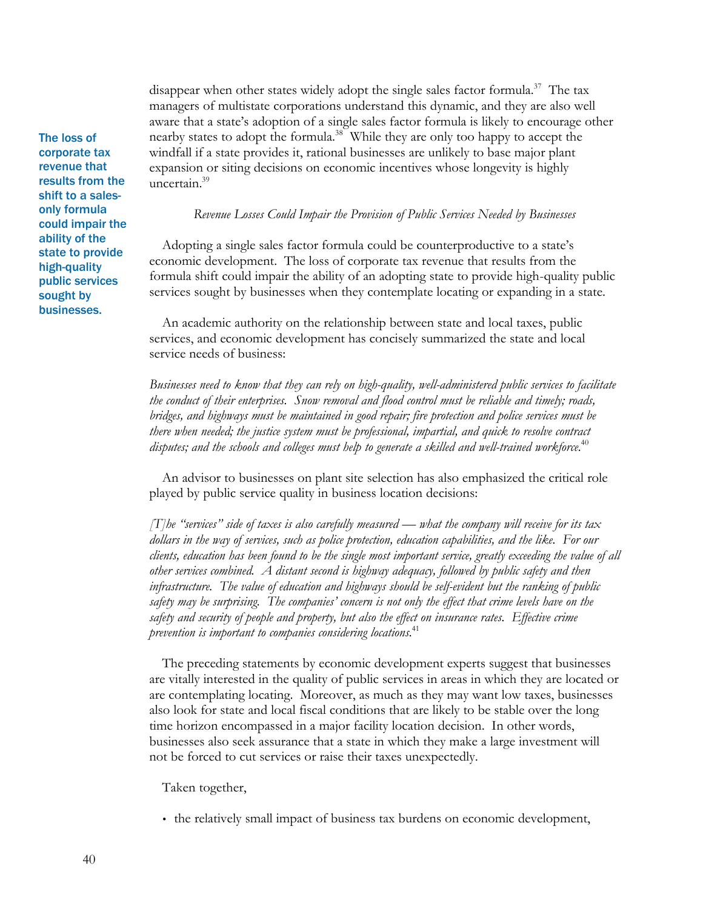disappear when other states widely adopt the single sales factor formula.<sup>37</sup> The tax managers of multistate corporations understand this dynamic, and they are also well aware that a state's adoption of a single sales factor formula is likely to encourage other nearby states to adopt the formula.<sup>38</sup> While they are only too happy to accept the windfall if a state provides it, rational businesses are unlikely to base major plant expansion or siting decisions on economic incentives whose longevity is highly uncertain.<sup>39</sup>

*Revenue Losses Could Impair the Provision of Public Services Needed by Businesses*

Adopting a single sales factor formula could be counterproductive to a state's economic development. The loss of corporate tax revenue that results from the formula shift could impair the ability of an adopting state to provide high-quality public services sought by businesses when they contemplate locating or expanding in a state.

An academic authority on the relationship between state and local taxes, public services, and economic development has concisely summarized the state and local service needs of business:

*Businesses need to know that they can rely on high-quality, well-administered public services to facilitate the conduct of their enterprises. Snow removal and flood control must be reliable and timely; roads, bridges, and highways must be maintained in good repair; fire protection and police services must be there when needed; the justice system must be professional, impartial, and quick to resolve contract disputes; and the schools and colleges must help to generate a skilled and well-trained workforce.*<sup>40</sup>

An advisor to businesses on plant site selection has also emphasized the critical role played by public service quality in business location decisions:

*[T]he "services" side of taxes is also carefully measured — what the company will receive for its tax dollars in the way of services, such as police protection, education capabilities, and the like. For our clients, education has been found to be the single most important service, greatly exceeding the value of all other services combined. A distant second is highway adequacy, followed by public safety and then infrastructure. The value of education and highways should be self-evident but the ranking of public safety may be surprising. The companies' concern is not only the effect that crime levels have on the safety and security of people and property, but also the effect on insurance rates. Effective crime prevention is important to companies considering locations.*<sup>41</sup>

The preceding statements by economic development experts suggest that businesses are vitally interested in the quality of public services in areas in which they are located or are contemplating locating. Moreover, as much as they may want low taxes, businesses also look for state and local fiscal conditions that are likely to be stable over the long time horizon encompassed in a major facility location decision. In other words, businesses also seek assurance that a state in which they make a large investment will not be forced to cut services or raise their taxes unexpectedly.

Taken together,

• the relatively small impact of business tax burdens on economic development,

The loss of corporate tax revenue that results from the shift to a salesonly formula could impair the ability of the state to provide high-quality public services sought by businesses.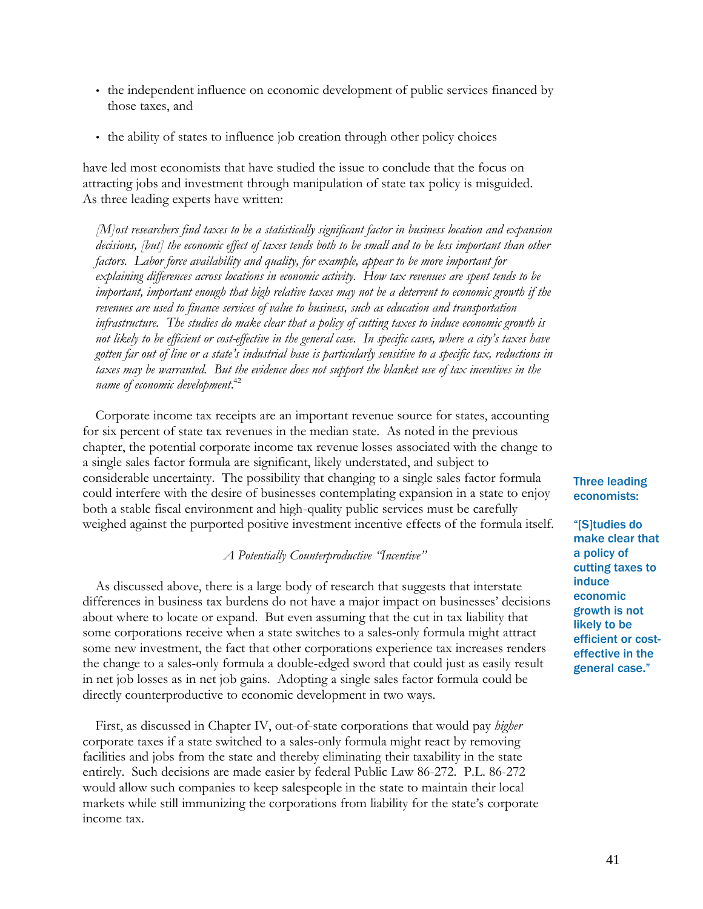- the independent influence on economic development of public services financed by those taxes, and
- the ability of states to influence job creation through other policy choices

have led most economists that have studied the issue to conclude that the focus on attracting jobs and investment through manipulation of state tax policy is misguided. As three leading experts have written:

*[M]ost researchers find taxes to be a statistically significant factor in business location and expansion decisions, [but] the economic effect of taxes tends both to be small and to be less important than other factors. Labor force availability and quality, for example, appear to be more important for explaining differences across locations in economic activity. How tax revenues are spent tends to be important, important enough that high relative taxes may not be a deterrent to economic growth if the revenues are used to finance services of value to business, such as education and transportation infrastructure. The studies do make clear that a policy of cutting taxes to induce economic growth is not likely to be efficient or cost-effective in the general case. In specific cases, where a city's taxes have gotten far out of line or a state's industrial base is particularly sensitive to a specific tax, reductions in taxes may be warranted. But the evidence does not support the blanket use of tax incentives in the name of economic development*. 42

Corporate income tax receipts are an important revenue source for states, accounting for six percent of state tax revenues in the median state. As noted in the previous chapter, the potential corporate income tax revenue losses associated with the change to a single sales factor formula are significant, likely understated, and subject to considerable uncertainty. The possibility that changing to a single sales factor formula could interfere with the desire of businesses contemplating expansion in a state to enjoy both a stable fiscal environment and high-quality public services must be carefully weighed against the purported positive investment incentive effects of the formula itself.

## *A Potentially Counterproductive "Incentive"*

As discussed above, there is a large body of research that suggests that interstate differences in business tax burdens do not have a major impact on businesses' decisions about where to locate or expand. But even assuming that the cut in tax liability that some corporations receive when a state switches to a sales-only formula might attract some new investment, the fact that other corporations experience tax increases renders the change to a sales-only formula a double-edged sword that could just as easily result in net job losses as in net job gains. Adopting a single sales factor formula could be directly counterproductive to economic development in two ways.

First, as discussed in Chapter IV, out-of-state corporations that would pay *higher* corporate taxes if a state switched to a sales-only formula might react by removing facilities and jobs from the state and thereby eliminating their taxability in the state entirely. Such decisions are made easier by federal Public Law 86-272. P.L. 86-272 would allow such companies to keep salespeople in the state to maintain their local markets while still immunizing the corporations from liability for the state's corporate income tax.

## Three leading economists:

"[S]tudies do make clear that a policy of cutting taxes to induce economic growth is not likely to be efficient or costeffective in the general case."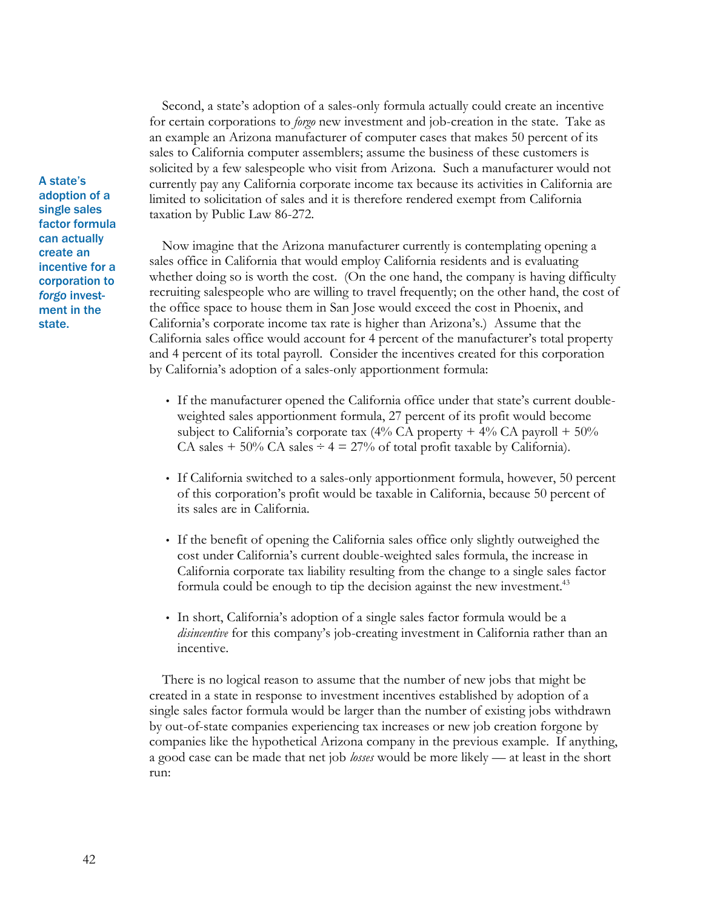Second, a state's adoption of a sales-only formula actually could create an incentive for certain corporations to *forgo* new investment and job-creation in the state. Take as an example an Arizona manufacturer of computer cases that makes 50 percent of its sales to California computer assemblers; assume the business of these customers is solicited by a few salespeople who visit from Arizona. Such a manufacturer would not currently pay any California corporate income tax because its activities in California are limited to solicitation of sales and it is therefore rendered exempt from California taxation by Public Law 86-272.

Now imagine that the Arizona manufacturer currently is contemplating opening a sales office in California that would employ California residents and is evaluating whether doing so is worth the cost. (On the one hand, the company is having difficulty recruiting salespeople who are willing to travel frequently; on the other hand, the cost of the office space to house them in San Jose would exceed the cost in Phoenix, and California's corporate income tax rate is higher than Arizona's.) Assume that the California sales office would account for 4 percent of the manufacturer's total property and 4 percent of its total payroll. Consider the incentives created for this corporation by California's adoption of a sales-only apportionment formula:

- If the manufacturer opened the California office under that state's current doubleweighted sales apportionment formula, 27 percent of its profit would become subject to California's corporate tax  $(4\%$  CA property  $+ 4\%$  CA payroll  $+ 50\%$ CA sales  $+$  50% CA sales  $\div$  4 = 27% of total profit taxable by California).
- If California switched to a sales-only apportionment formula, however, 50 percent of this corporation's profit would be taxable in California, because 50 percent of its sales are in California.
- If the benefit of opening the California sales office only slightly outweighed the cost under California's current double-weighted sales formula, the increase in California corporate tax liability resulting from the change to a single sales factor formula could be enough to tip the decision against the new investment.<sup>43</sup>
- In short, California's adoption of a single sales factor formula would be a *disincentive* for this company's job-creating investment in California rather than an incentive.

There is no logical reason to assume that the number of new jobs that might be created in a state in response to investment incentives established by adoption of a single sales factor formula would be larger than the number of existing jobs withdrawn by out-of-state companies experiencing tax increases or new job creation forgone by companies like the hypothetical Arizona company in the previous example. If anything, a good case can be made that net job *losses* would be more likely — at least in the short run:

A state's adoption of a single sales factor formula can actually create an incentive for a corporation to *forgo* investment in the state.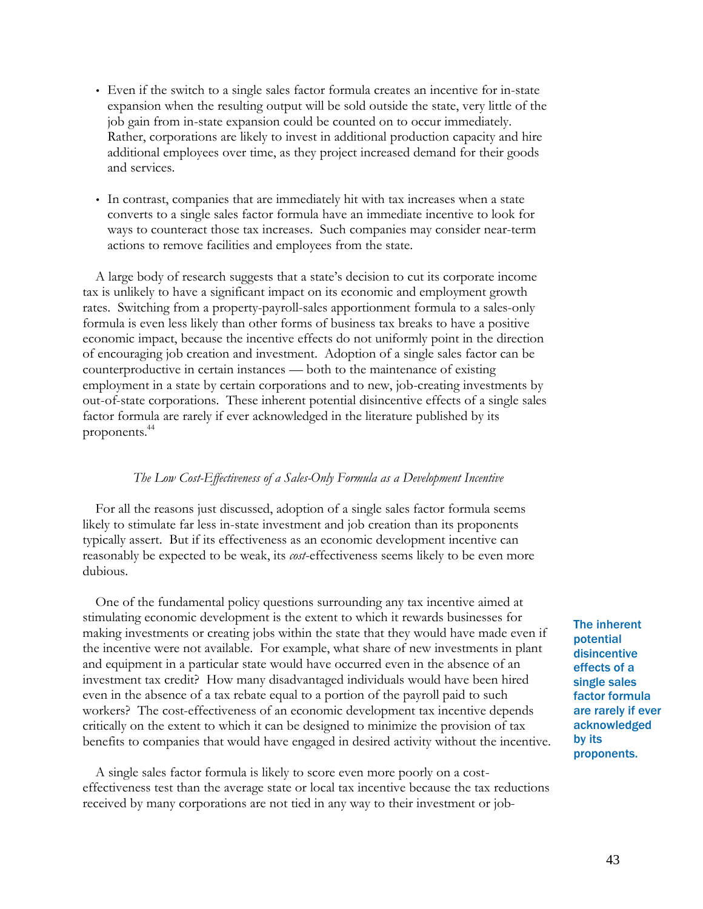- Even if the switch to a single sales factor formula creates an incentive for in-state expansion when the resulting output will be sold outside the state, very little of the job gain from in-state expansion could be counted on to occur immediately. Rather, corporations are likely to invest in additional production capacity and hire additional employees over time, as they project increased demand for their goods and services.
- In contrast, companies that are immediately hit with tax increases when a state converts to a single sales factor formula have an immediate incentive to look for ways to counteract those tax increases. Such companies may consider near-term actions to remove facilities and employees from the state.

A large body of research suggests that a state's decision to cut its corporate income tax is unlikely to have a significant impact on its economic and employment growth rates. Switching from a property-payroll-sales apportionment formula to a sales-only formula is even less likely than other forms of business tax breaks to have a positive economic impact, because the incentive effects do not uniformly point in the direction of encouraging job creation and investment. Adoption of a single sales factor can be counterproductive in certain instances — both to the maintenance of existing employment in a state by certain corporations and to new, job-creating investments by out-of-state corporations. These inherent potential disincentive effects of a single sales factor formula are rarely if ever acknowledged in the literature published by its proponents.<sup>44</sup>

#### *The Low Cost-Effectiveness of a Sales-Only Formula as a Development Incentive*

For all the reasons just discussed, adoption of a single sales factor formula seems likely to stimulate far less in-state investment and job creation than its proponents typically assert. But if its effectiveness as an economic development incentive can reasonably be expected to be weak, its *cost*-effectiveness seems likely to be even more dubious.

One of the fundamental policy questions surrounding any tax incentive aimed at stimulating economic development is the extent to which it rewards businesses for making investments or creating jobs within the state that they would have made even if the incentive were not available. For example, what share of new investments in plant and equipment in a particular state would have occurred even in the absence of an investment tax credit? How many disadvantaged individuals would have been hired even in the absence of a tax rebate equal to a portion of the payroll paid to such workers? The cost-effectiveness of an economic development tax incentive depends critically on the extent to which it can be designed to minimize the provision of tax benefits to companies that would have engaged in desired activity without the incentive.

A single sales factor formula is likely to score even more poorly on a costeffectiveness test than the average state or local tax incentive because the tax reductions received by many corporations are not tied in any way to their investment or jobThe inherent potential disincentive effects of a single sales factor formula are rarely if ever acknowledged by its proponents.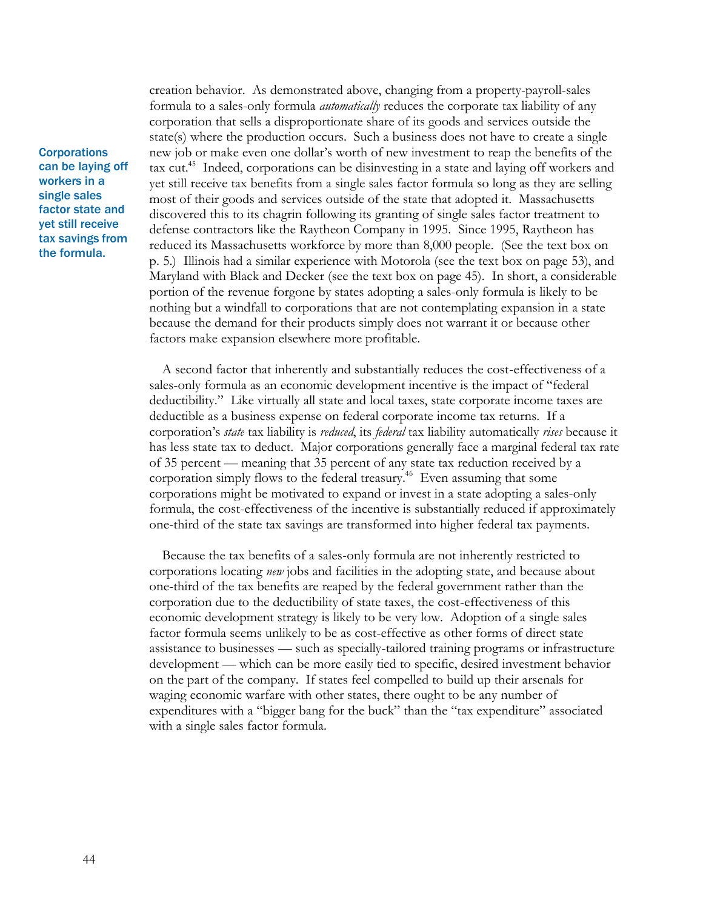**Corporations** can be laying off workers in a single sales factor state and yet still receive tax savings from the formula.

creation behavior. As demonstrated above, changing from a property-payroll-sales formula to a sales-only formula *automatically* reduces the corporate tax liability of any corporation that sells a disproportionate share of its goods and services outside the state(s) where the production occurs. Such a business does not have to create a single new job or make even one dollar's worth of new investment to reap the benefits of the tax cut.<sup>45</sup> Indeed, corporations can be disinvesting in a state and laying off workers and yet still receive tax benefits from a single sales factor formula so long as they are selling most of their goods and services outside of the state that adopted it. Massachusetts discovered this to its chagrin following its granting of single sales factor treatment to defense contractors like the Raytheon Company in 1995. Since 1995, Raytheon has reduced its Massachusetts workforce by more than 8,000 people. (See the text box on p. 5.) Illinois had a similar experience with Motorola (see the text box on page 53), and Maryland with Black and Decker (see the text box on page 45). In short, a considerable portion of the revenue forgone by states adopting a sales-only formula is likely to be nothing but a windfall to corporations that are not contemplating expansion in a state because the demand for their products simply does not warrant it or because other factors make expansion elsewhere more profitable.

A second factor that inherently and substantially reduces the cost-effectiveness of a sales-only formula as an economic development incentive is the impact of "federal deductibility." Like virtually all state and local taxes, state corporate income taxes are deductible as a business expense on federal corporate income tax returns. If a corporation's *state* tax liability is *reduced*, its *federal* tax liability automatically *rises* because it has less state tax to deduct. Major corporations generally face a marginal federal tax rate of 35 percent — meaning that 35 percent of any state tax reduction received by a corporation simply flows to the federal treasury.<sup>46</sup> Even assuming that some corporations might be motivated to expand or invest in a state adopting a sales-only formula, the cost-effectiveness of the incentive is substantially reduced if approximately one-third of the state tax savings are transformed into higher federal tax payments.

Because the tax benefits of a sales-only formula are not inherently restricted to corporations locating *new* jobs and facilities in the adopting state, and because about one-third of the tax benefits are reaped by the federal government rather than the corporation due to the deductibility of state taxes, the cost-effectiveness of this economic development strategy is likely to be very low. Adoption of a single sales factor formula seems unlikely to be as cost-effective as other forms of direct state assistance to businesses — such as specially-tailored training programs or infrastructure development — which can be more easily tied to specific, desired investment behavior on the part of the company. If states feel compelled to build up their arsenals for waging economic warfare with other states, there ought to be any number of expenditures with a "bigger bang for the buck" than the "tax expenditure" associated with a single sales factor formula.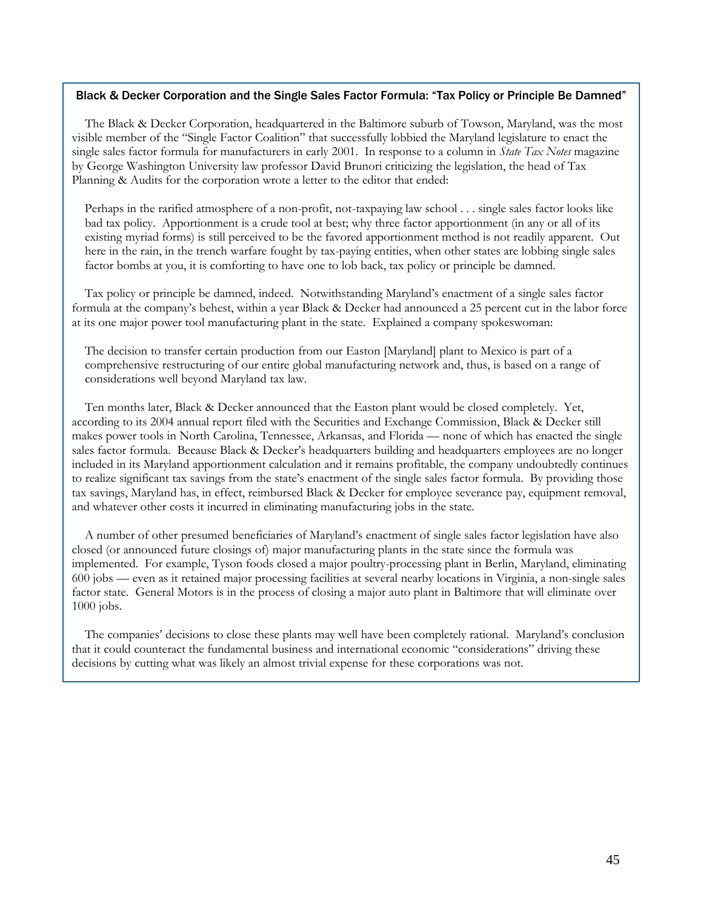#### Black & Decker Corporation and the Single Sales Factor Formula: "Tax Policy or Principle Be Damned"

The Black & Decker Corporation, headquartered in the Baltimore suburb of Towson, Maryland, was the most visible member of the "Single Factor Coalition" that successfully lobbied the Maryland legislature to enact the single sales factor formula for manufacturers in early 2001. In response to a column in *State Tax Notes* magazine by George Washington University law professor David Brunori criticizing the legislation, the head of Tax Planning & Audits for the corporation wrote a letter to the editor that ended:

Perhaps in the rarified atmosphere of a non-profit, not-taxpaying law school . . . single sales factor looks like bad tax policy. Apportionment is a crude tool at best; why three factor apportionment (in any or all of its existing myriad forms) is still perceived to be the favored apportionment method is not readily apparent. Out here in the rain, in the trench warfare fought by tax-paying entities, when other states are lobbing single sales factor bombs at you, it is comforting to have one to lob back, tax policy or principle be damned.

Tax policy or principle be damned, indeed. Notwithstanding Maryland's enactment of a single sales factor formula at the company's behest, within a year Black & Decker had announced a 25 percent cut in the labor force at its one major power tool manufacturing plant in the state. Explained a company spokeswoman:

The decision to transfer certain production from our Easton [Maryland] plant to Mexico is part of a comprehensive restructuring of our entire global manufacturing network and, thus, is based on a range of considerations well beyond Maryland tax law.

Ten months later, Black & Decker announced that the Easton plant would be closed completely. Yet, according to its 2004 annual report filed with the Securities and Exchange Commission, Black & Decker still makes power tools in North Carolina, Tennessee, Arkansas, and Florida — none of which has enacted the single sales factor formula. Because Black & Decker's headquarters building and headquarters employees are no longer included in its Maryland apportionment calculation and it remains profitable, the company undoubtedly continues to realize significant tax savings from the state's enactment of the single sales factor formula. By providing those tax savings, Maryland has, in effect, reimbursed Black & Decker for employee severance pay, equipment removal, and whatever other costs it incurred in eliminating manufacturing jobs in the state.

A number of other presumed beneficiaries of Maryland's enactment of single sales factor legislation have also closed (or announced future closings of) major manufacturing plants in the state since the formula was implemented. For example, Tyson foods closed a major poultry-processing plant in Berlin, Maryland, eliminating 600 jobs — even as it retained major processing facilities at several nearby locations in Virginia, a non-single sales factor state. General Motors is in the process of closing a major auto plant in Baltimore that will eliminate over 1000 jobs.

The companies' decisions to close these plants may well have been completely rational. Maryland's conclusion that it could counteract the fundamental business and international economic "considerations" driving these decisions by cutting what was likely an almost trivial expense for these corporations was not.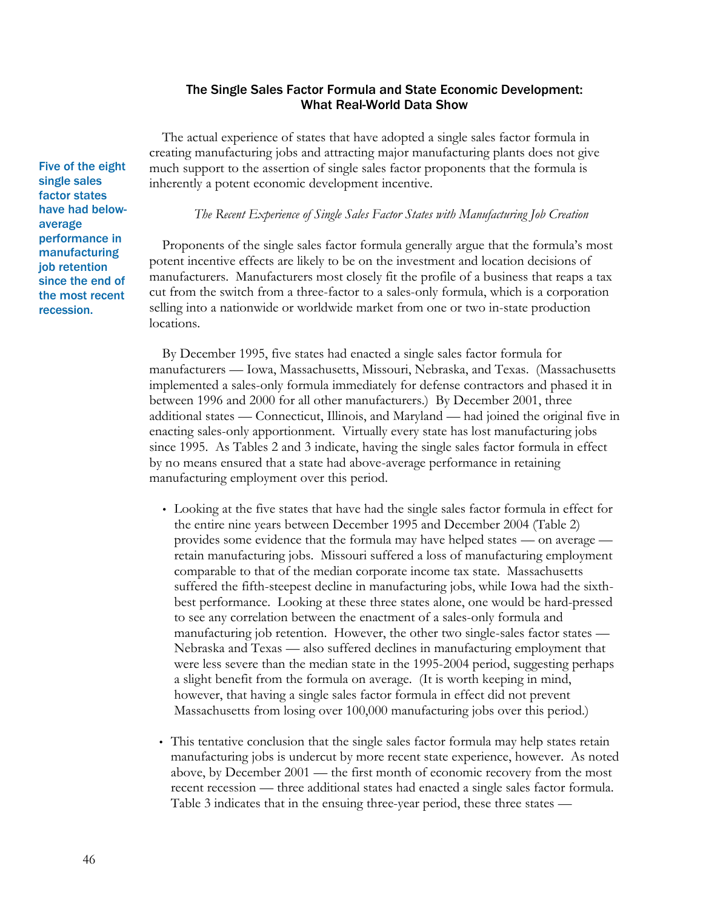## The Single Sales Factor Formula and State Economic Development: What Real-World Data Show

The actual experience of states that have adopted a single sales factor formula in creating manufacturing jobs and attracting major manufacturing plants does not give much support to the assertion of single sales factor proponents that the formula is inherently a potent economic development incentive.

## *The Recent Experience of Single Sales Factor States with Manufacturing Job Creation*

Proponents of the single sales factor formula generally argue that the formula's most potent incentive effects are likely to be on the investment and location decisions of manufacturers. Manufacturers most closely fit the profile of a business that reaps a tax cut from the switch from a three-factor to a sales-only formula, which is a corporation selling into a nationwide or worldwide market from one or two in-state production locations.

By December 1995, five states had enacted a single sales factor formula for manufacturers — Iowa, Massachusetts, Missouri, Nebraska, and Texas. (Massachusetts implemented a sales-only formula immediately for defense contractors and phased it in between 1996 and 2000 for all other manufacturers.) By December 2001, three additional states — Connecticut, Illinois, and Maryland — had joined the original five in enacting sales-only apportionment. Virtually every state has lost manufacturing jobs since 1995. As Tables 2 and 3 indicate, having the single sales factor formula in effect by no means ensured that a state had above-average performance in retaining manufacturing employment over this period.

- Looking at the five states that have had the single sales factor formula in effect for the entire nine years between December 1995 and December 2004 (Table 2) provides some evidence that the formula may have helped states — on average retain manufacturing jobs. Missouri suffered a loss of manufacturing employment comparable to that of the median corporate income tax state. Massachusetts suffered the fifth-steepest decline in manufacturing jobs, while Iowa had the sixthbest performance. Looking at these three states alone, one would be hard-pressed to see any correlation between the enactment of a sales-only formula and manufacturing job retention. However, the other two single-sales factor states — Nebraska and Texas — also suffered declines in manufacturing employment that were less severe than the median state in the 1995-2004 period, suggesting perhaps a slight benefit from the formula on average. (It is worth keeping in mind, however, that having a single sales factor formula in effect did not prevent Massachusetts from losing over 100,000 manufacturing jobs over this period.)
- This tentative conclusion that the single sales factor formula may help states retain manufacturing jobs is undercut by more recent state experience, however. As noted above, by December 2001 — the first month of economic recovery from the most recent recession — three additional states had enacted a single sales factor formula. Table 3 indicates that in the ensuing three-year period, these three states —

Five of the eight single sales factor states have had belowaverage performance in manufacturing job retention since the end of the most recent recession.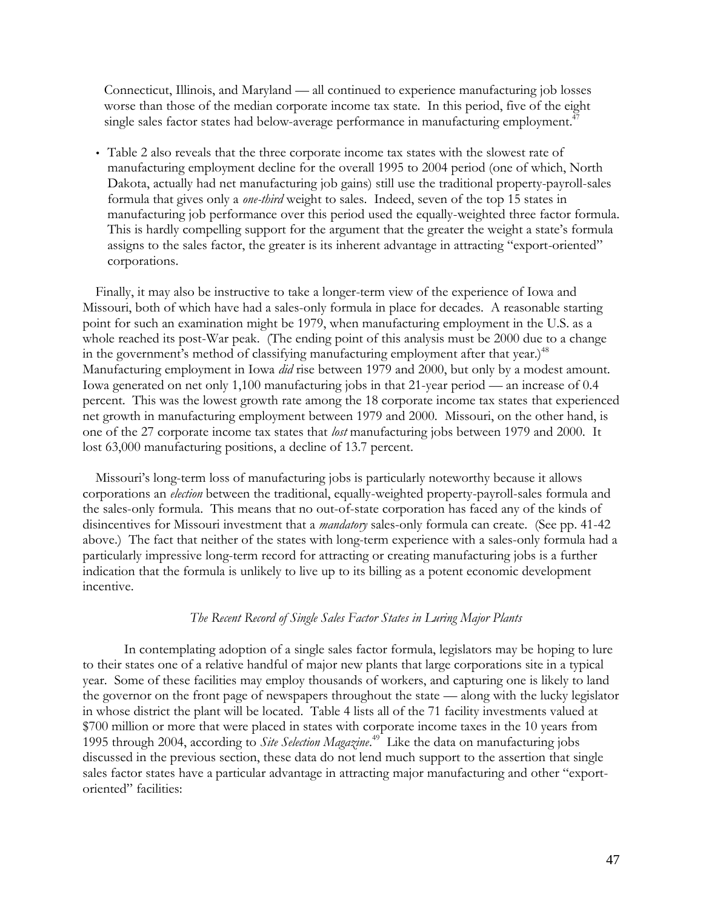Connecticut, Illinois, and Maryland — all continued to experience manufacturing job losses worse than those of the median corporate income tax state. In this period, five of the eight single sales factor states had below-average performance in manufacturing employment.<sup>47</sup>

• Table 2 also reveals that the three corporate income tax states with the slowest rate of manufacturing employment decline for the overall 1995 to 2004 period (one of which, North Dakota, actually had net manufacturing job gains) still use the traditional property-payroll-sales formula that gives only a *one-third* weight to sales. Indeed, seven of the top 15 states in manufacturing job performance over this period used the equally-weighted three factor formula. This is hardly compelling support for the argument that the greater the weight a state's formula assigns to the sales factor, the greater is its inherent advantage in attracting "export-oriented" corporations.

Finally, it may also be instructive to take a longer-term view of the experience of Iowa and Missouri, both of which have had a sales-only formula in place for decades. A reasonable starting point for such an examination might be 1979, when manufacturing employment in the U.S. as a whole reached its post-War peak. (The ending point of this analysis must be 2000 due to a change in the government's method of classifying manufacturing employment after that year.)<sup>48</sup> Manufacturing employment in Iowa *did* rise between 1979 and 2000, but only by a modest amount. Iowa generated on net only 1,100 manufacturing jobs in that 21-year period — an increase of 0.4 percent. This was the lowest growth rate among the 18 corporate income tax states that experienced net growth in manufacturing employment between 1979 and 2000. Missouri, on the other hand, is one of the 27 corporate income tax states that *lost* manufacturing jobs between 1979 and 2000. It lost 63,000 manufacturing positions, a decline of 13.7 percent.

Missouri's long-term loss of manufacturing jobs is particularly noteworthy because it allows corporations an *election* between the traditional, equally-weighted property-payroll-sales formula and the sales-only formula. This means that no out-of-state corporation has faced any of the kinds of disincentives for Missouri investment that a *mandatory* sales-only formula can create. (See pp. 41-42 above.) The fact that neither of the states with long-term experience with a sales-only formula had a particularly impressive long-term record for attracting or creating manufacturing jobs is a further indication that the formula is unlikely to live up to its billing as a potent economic development incentive.

## *The Recent Record of Single Sales Factor States in Luring Major Plants*

In contemplating adoption of a single sales factor formula, legislators may be hoping to lure to their states one of a relative handful of major new plants that large corporations site in a typical year. Some of these facilities may employ thousands of workers, and capturing one is likely to land the governor on the front page of newspapers throughout the state — along with the lucky legislator in whose district the plant will be located. Table 4 lists all of the 71 facility investments valued at \$700 million or more that were placed in states with corporate income taxes in the 10 years from 1995 through 2004, according to *Site Selection Magazine*. <sup>49</sup> Like the data on manufacturing jobs discussed in the previous section, these data do not lend much support to the assertion that single sales factor states have a particular advantage in attracting major manufacturing and other "exportoriented" facilities: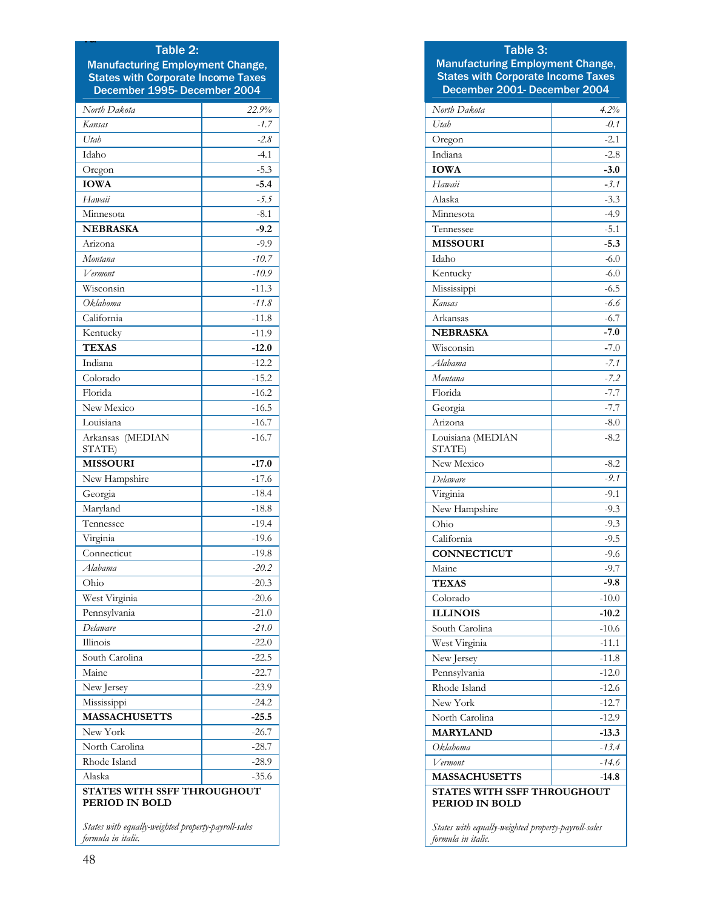#### Table 2:

Ta

Manufacturing Employment Change, States with Corporate Income Taxes December 1995- December 2004

| North Dakota                                        | 22.9%   |  |  |
|-----------------------------------------------------|---------|--|--|
| Kansas                                              | $-1.7$  |  |  |
| Utah                                                | $-2.8$  |  |  |
| Idaho                                               | $-4.1$  |  |  |
| Oregon                                              | $-5.3$  |  |  |
| <b>IOWA</b>                                         | $-5.4$  |  |  |
| Hawaii                                              | $-5.5$  |  |  |
| Minnesota                                           | $-8.1$  |  |  |
| <b>NEBRASKA</b>                                     | -9.2    |  |  |
| Arizona                                             | -9.9    |  |  |
| Montana                                             | $-10.7$ |  |  |
| Vermont                                             | $-10.9$ |  |  |
| Wisconsin                                           | $-11.3$ |  |  |
| Oklahoma                                            | $-11.8$ |  |  |
| California                                          | $-11.8$ |  |  |
| Kentucky                                            | $-11.9$ |  |  |
| <b>TEXAS</b>                                        | $-12.0$ |  |  |
| Indiana                                             | $-12.2$ |  |  |
| Colorado                                            | $-15.2$ |  |  |
| Florida                                             | $-16.2$ |  |  |
| New Mexico                                          | $-16.5$ |  |  |
| Louisiana                                           | $-16.7$ |  |  |
| (MEDIAN<br>Arkansas<br>STATE)                       | $-16.7$ |  |  |
| <b>MISSOURI</b>                                     | $-17.0$ |  |  |
| New Hampshire                                       | $-17.6$ |  |  |
| Georgia                                             | $-18.4$ |  |  |
| Maryland                                            | $-18.8$ |  |  |
| Tennessee                                           | $-19.4$ |  |  |
| Virginia                                            | $-19.6$ |  |  |
| Connecticut                                         | $-19.8$ |  |  |
| Alabama                                             | $-20.2$ |  |  |
| Ohio                                                | $-20.3$ |  |  |
| West Virginia                                       | $-20.6$ |  |  |
| Pennsylvania                                        | $-21.0$ |  |  |
| Delaware                                            | $-21.0$ |  |  |
| Illinois                                            | $-22.0$ |  |  |
| South Carolina                                      | -22.5   |  |  |
| Maine                                               | $-22.7$ |  |  |
| New Jersey                                          | $-23.9$ |  |  |
| Mississippi                                         | $-24.2$ |  |  |
| <b>MASSACHUSETTS</b>                                | $-25.5$ |  |  |
| New York                                            | -26.7   |  |  |
| North Carolina                                      | -28.7   |  |  |
| Rhode Island                                        | -28.9   |  |  |
| Alaska                                              | $-35.6$ |  |  |
| <b>STATES WITH SSFF THROUGHOUT</b>                  |         |  |  |
| PERIOD IN BOLD                                      |         |  |  |
| States with equally-weighted property-payroll-sales |         |  |  |

## Table 3:

Manufacturing Employment Change, States with Corporate Income Taxes December 2001- December 2004

| North Dakota                | 4.2%    |  |  |
|-----------------------------|---------|--|--|
| Utah                        | $-0.1$  |  |  |
| Oregon                      | $-2.1$  |  |  |
| Indiana                     | $-2.8$  |  |  |
| <b>IOWA</b>                 | $-3.0$  |  |  |
| Hawaii                      | $-3.1$  |  |  |
| Alaska                      | $-3.3$  |  |  |
| Minnesota                   | $-4.9$  |  |  |
| Tennessee                   | $-5.1$  |  |  |
| <b>MISSOURI</b>             | $-5.3$  |  |  |
| Idaho                       | $-6.0$  |  |  |
| Kentucky                    | $-6.0$  |  |  |
| Mississippi                 | $-6.5$  |  |  |
| Kansas                      | -6.6    |  |  |
| Arkansas                    | $-6.7$  |  |  |
| <b>NEBRASKA</b>             | $-7.0$  |  |  |
| Wisconsin                   | $-7.0$  |  |  |
| Alabama                     | -7.1    |  |  |
| Montana                     | -7.2    |  |  |
| Florida                     | $-7.7$  |  |  |
| Georgia                     | $-7.7$  |  |  |
| Arizona                     | $-8.0$  |  |  |
| Louisiana (MEDIAN<br>STATE) | $-8.2$  |  |  |
| New Mexico                  | $-8.2$  |  |  |
| Delaware                    | $-9.1$  |  |  |
| Virginia                    | $-9.1$  |  |  |
| New Hampshire               | $-9.3$  |  |  |
| Ohio                        | -9.3    |  |  |
| California                  | $-9.5$  |  |  |
| <b>CONNECTICUT</b>          | $-9.6$  |  |  |
| Maine                       | $-9.7$  |  |  |
| <b>TEXAS</b>                | -9.8    |  |  |
| Colorado                    | $-10.0$ |  |  |
| <b>ILLINOIS</b>             | $-10.2$ |  |  |
| South Carolina              | $-10.6$ |  |  |
| West Virginia               | $-11.1$ |  |  |
| New Jersey                  | $-11.8$ |  |  |
| Pennsylvania                | $-12.0$ |  |  |
| Rhode Island                | -12.6   |  |  |
| New York                    | $-12.7$ |  |  |
| North Carolina              | $-12.9$ |  |  |
| <b>MARYLAND</b>             | $-13.3$ |  |  |
| Oklahoma                    | $-13.4$ |  |  |
| Vermont                     | $-14.6$ |  |  |
| <b>MASSACHUSETTS</b>        | $-14.8$ |  |  |
| STATES WITH SSFF THROUGHOUT |         |  |  |
| PERIOD IN BOLD              |         |  |  |

*States with equally-weighted property-payroll-sales formula in italic.*

*formula in italic.*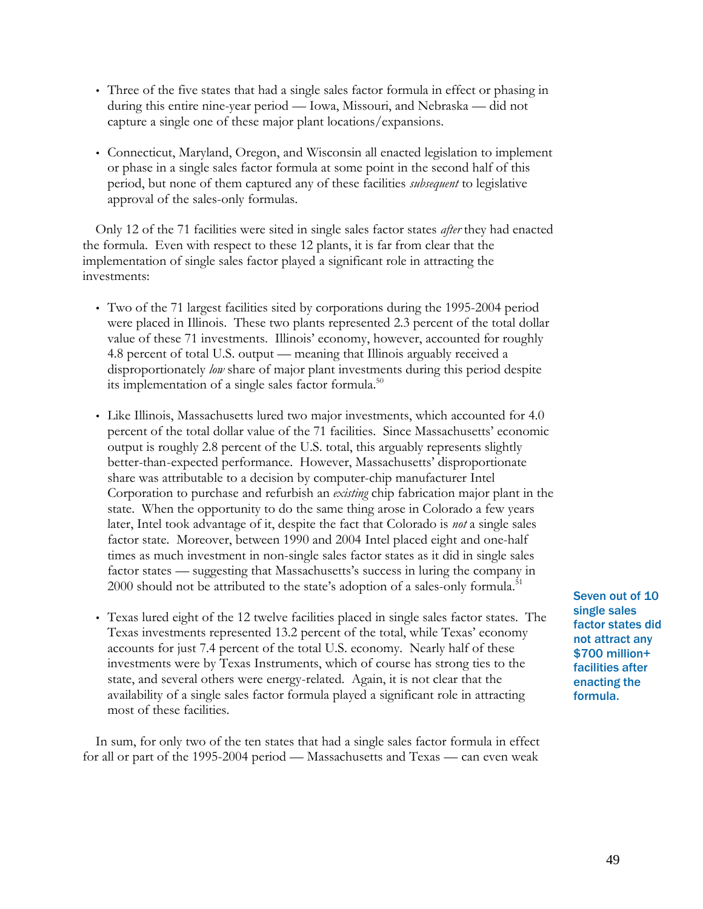- Three of the five states that had a single sales factor formula in effect or phasing in during this entire nine-year period — Iowa, Missouri, and Nebraska — did not capture a single one of these major plant locations/expansions.
- Connecticut, Maryland, Oregon, and Wisconsin all enacted legislation to implement or phase in a single sales factor formula at some point in the second half of this period, but none of them captured any of these facilities *subsequent* to legislative approval of the sales-only formulas.

Only 12 of the 71 facilities were sited in single sales factor states *after* they had enacted the formula. Even with respect to these 12 plants, it is far from clear that the implementation of single sales factor played a significant role in attracting the investments:

- Two of the 71 largest facilities sited by corporations during the 1995-2004 period were placed in Illinois. These two plants represented 2.3 percent of the total dollar value of these 71 investments. Illinois' economy, however, accounted for roughly 4.8 percent of total U.S. output — meaning that Illinois arguably received a disproportionately *low* share of major plant investments during this period despite its implementation of a single sales factor formula.<sup>50</sup>
- Like Illinois, Massachusetts lured two major investments, which accounted for 4.0 percent of the total dollar value of the 71 facilities. Since Massachusetts' economic output is roughly 2.8 percent of the U.S. total, this arguably represents slightly better-than-expected performance. However, Massachusetts' disproportionate share was attributable to a decision by computer-chip manufacturer Intel Corporation to purchase and refurbish an *existing* chip fabrication major plant in the state. When the opportunity to do the same thing arose in Colorado a few years later, Intel took advantage of it, despite the fact that Colorado is *not* a single sales factor state. Moreover, between 1990 and 2004 Intel placed eight and one-half times as much investment in non-single sales factor states as it did in single sales factor states — suggesting that Massachusetts's success in luring the company in  $2000$  should not be attributed to the state's adoption of a sales-only formula.<sup>51</sup>
- Texas lured eight of the 12 twelve facilities placed in single sales factor states. The Texas investments represented 13.2 percent of the total, while Texas' economy accounts for just 7.4 percent of the total U.S. economy. Nearly half of these investments were by Texas Instruments, which of course has strong ties to the state, and several others were energy-related. Again, it is not clear that the availability of a single sales factor formula played a significant role in attracting most of these facilities.

In sum, for only two of the ten states that had a single sales factor formula in effect for all or part of the 1995-2004 period — Massachusetts and Texas — can even weak

Seven out of 10 single sales factor states did not attract any \$700 million+ facilities after enacting the formula.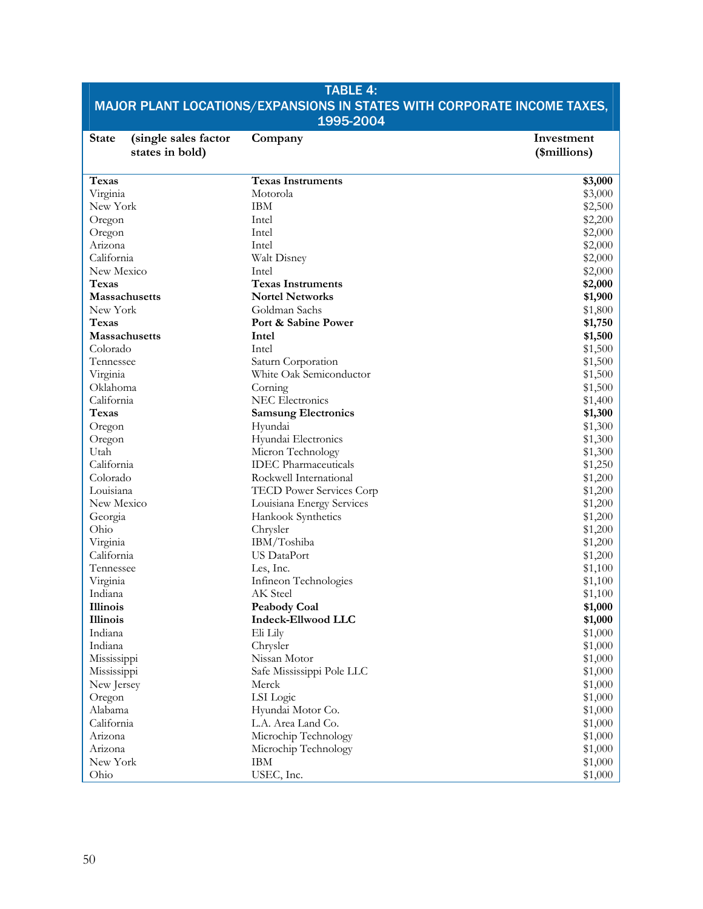| <b>TABLE 4:</b>                                                         |                                                  |                    |  |  |
|-------------------------------------------------------------------------|--------------------------------------------------|--------------------|--|--|
| MAJOR PLANT LOCATIONS/EXPANSIONS IN STATES WITH CORPORATE INCOME TAXES, |                                                  |                    |  |  |
|                                                                         | 1995-2004                                        |                    |  |  |
| <b>State</b><br>(single sales factor                                    | Company                                          | Investment         |  |  |
| states in bold)                                                         |                                                  | (\$millions)       |  |  |
|                                                                         |                                                  |                    |  |  |
| <b>Texas</b>                                                            | <b>Texas Instruments</b>                         | \$3,000            |  |  |
| Virginia                                                                | Motorola                                         | \$3,000            |  |  |
| New York                                                                | <b>IBM</b>                                       | \$2,500            |  |  |
| Oregon                                                                  | Intel                                            | \$2,200            |  |  |
| Oregon                                                                  | Intel                                            | \$2,000            |  |  |
| Arizona                                                                 | Intel                                            | \$2,000            |  |  |
| California                                                              | Walt Disney                                      | \$2,000            |  |  |
| New Mexico                                                              | Intel                                            | \$2,000            |  |  |
| <b>Texas</b>                                                            | <b>Texas Instruments</b>                         | \$2,000            |  |  |
| Massachusetts                                                           | <b>Nortel Networks</b>                           | \$1,900            |  |  |
| New York                                                                | Goldman Sachs                                    | \$1,800            |  |  |
| <b>Texas</b>                                                            | Port & Sabine Power                              | \$1,750            |  |  |
| <b>Massachusetts</b>                                                    | Intel                                            | \$1,500            |  |  |
| Colorado                                                                | Intel                                            | \$1,500            |  |  |
| Tennessee                                                               | Saturn Corporation                               | \$1,500            |  |  |
| Virginia                                                                | White Oak Semiconductor                          | \$1,500            |  |  |
| Oklahoma                                                                | Corning                                          | \$1,500            |  |  |
| California                                                              | <b>NEC Electronics</b>                           | \$1,400            |  |  |
| Texas                                                                   | <b>Samsung Electronics</b>                       | \$1,300            |  |  |
| Oregon                                                                  | Hyundai                                          | \$1,300            |  |  |
| Oregon                                                                  | Hyundai Electronics                              | \$1,300            |  |  |
| Utah<br>California                                                      | Micron Technology<br><b>IDEC</b> Pharmaceuticals | \$1,300            |  |  |
| Colorado                                                                | Rockwell International                           | \$1,250<br>\$1,200 |  |  |
| Louisiana                                                               | TECD Power Services Corp                         | \$1,200            |  |  |
| New Mexico                                                              | Louisiana Energy Services                        | \$1,200            |  |  |
| Georgia                                                                 | Hankook Synthetics                               | \$1,200            |  |  |
| Ohio                                                                    | Chrysler                                         | \$1,200            |  |  |
| Virginia                                                                | IBM/Toshiba                                      | \$1,200            |  |  |
| California                                                              | <b>US</b> DataPort                               | \$1,200            |  |  |
| Tennessee                                                               | Les, Inc.                                        | \$1,100            |  |  |
| Virginia                                                                | Infineon Technologies                            | \$1,100            |  |  |
| Indiana                                                                 | AK Steel                                         | \$1,100            |  |  |
| Illinois                                                                | <b>Peabody Coal</b>                              | \$1,000            |  |  |
| Illinois                                                                | <b>Indeck-Ellwood LLC</b>                        | \$1,000            |  |  |
| Indiana                                                                 | Eli Lily                                         | \$1,000            |  |  |
| Indiana                                                                 | Chrysler                                         | \$1,000            |  |  |
| Mississippi                                                             | Nissan Motor                                     | \$1,000            |  |  |
| Mississippi                                                             | Safe Mississippi Pole LLC                        | \$1,000            |  |  |
| New Jersey                                                              | Merck                                            | \$1,000            |  |  |
| Oregon                                                                  | LSI Logic                                        | \$1,000            |  |  |
| Alabama                                                                 | Hyundai Motor Co.                                | \$1,000            |  |  |
| California                                                              | L.A. Area Land Co.                               | \$1,000            |  |  |
| Arizona                                                                 | Microchip Technology                             | \$1,000            |  |  |
| Arizona                                                                 | Microchip Technology                             | \$1,000            |  |  |
| New York                                                                | <b>IBM</b>                                       | \$1,000            |  |  |
| Ohio                                                                    | USEC, Inc.                                       | \$1,000            |  |  |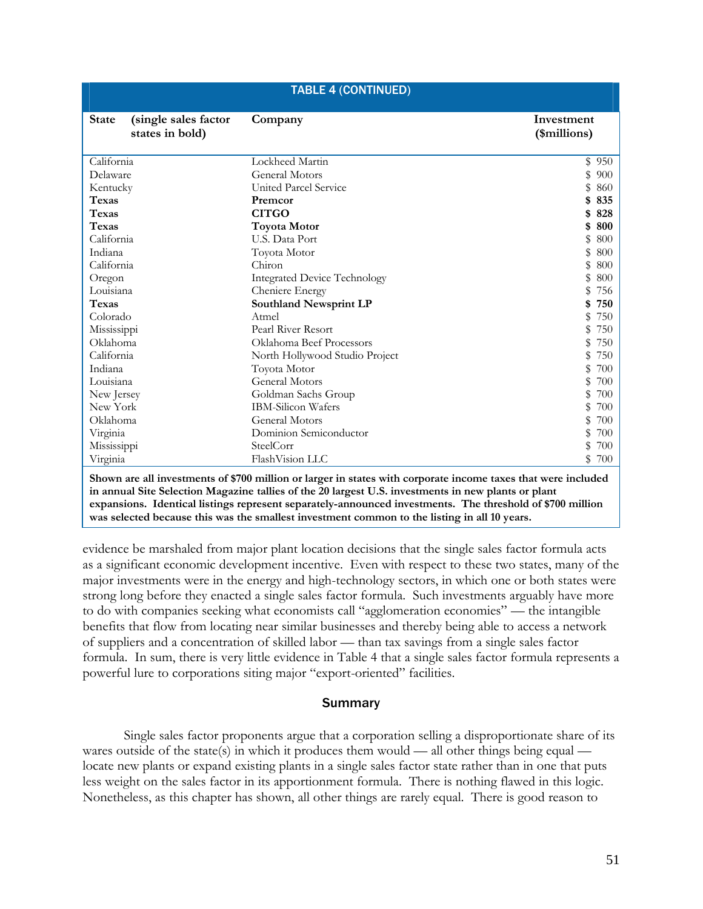| <b>TABLE 4 (CONTINUED)</b>                                                                                                                                                                                                                                                                                                                                                                                        |                                     |                            |  |
|-------------------------------------------------------------------------------------------------------------------------------------------------------------------------------------------------------------------------------------------------------------------------------------------------------------------------------------------------------------------------------------------------------------------|-------------------------------------|----------------------------|--|
| <b>State</b><br>(single sales factor<br>states in bold)                                                                                                                                                                                                                                                                                                                                                           | Company                             | Investment<br>(\$millions) |  |
| California                                                                                                                                                                                                                                                                                                                                                                                                        | Lockheed Martin                     | \$950                      |  |
| Delaware                                                                                                                                                                                                                                                                                                                                                                                                          | <b>General Motors</b>               | 900                        |  |
| Kentucky                                                                                                                                                                                                                                                                                                                                                                                                          | United Parcel Service               | 860                        |  |
| Texas                                                                                                                                                                                                                                                                                                                                                                                                             | Premcor                             | 835                        |  |
| <b>Texas</b>                                                                                                                                                                                                                                                                                                                                                                                                      | <b>CITGO</b>                        | 828                        |  |
| <b>Texas</b>                                                                                                                                                                                                                                                                                                                                                                                                      | <b>Toyota Motor</b>                 | 800                        |  |
| California                                                                                                                                                                                                                                                                                                                                                                                                        | U.S. Data Port                      | 800                        |  |
| Indiana                                                                                                                                                                                                                                                                                                                                                                                                           | Toyota Motor                        | 800                        |  |
| California                                                                                                                                                                                                                                                                                                                                                                                                        | Chiron                              | 800                        |  |
| Oregon                                                                                                                                                                                                                                                                                                                                                                                                            | <b>Integrated Device Technology</b> | 800                        |  |
| Louisiana                                                                                                                                                                                                                                                                                                                                                                                                         | Cheniere Energy                     | 756                        |  |
| <b>Texas</b>                                                                                                                                                                                                                                                                                                                                                                                                      | Southland Newsprint LP              | 750                        |  |
| Colorado                                                                                                                                                                                                                                                                                                                                                                                                          | Atmel                               | 750                        |  |
| Mississippi                                                                                                                                                                                                                                                                                                                                                                                                       | Pearl River Resort                  | 750                        |  |
| Oklahoma                                                                                                                                                                                                                                                                                                                                                                                                          | Oklahoma Beef Processors            | 750                        |  |
| California                                                                                                                                                                                                                                                                                                                                                                                                        | North Hollywood Studio Project      | 750                        |  |
| Indiana                                                                                                                                                                                                                                                                                                                                                                                                           | Toyota Motor                        | 700                        |  |
| Louisiana                                                                                                                                                                                                                                                                                                                                                                                                         | <b>General Motors</b>               | 700                        |  |
| New Jersey                                                                                                                                                                                                                                                                                                                                                                                                        | Goldman Sachs Group                 | 700                        |  |
| New York                                                                                                                                                                                                                                                                                                                                                                                                          | <b>IBM-Silicon Wafers</b>           | 700                        |  |
| Oklahoma                                                                                                                                                                                                                                                                                                                                                                                                          | <b>General Motors</b>               | 700                        |  |
| Virginia                                                                                                                                                                                                                                                                                                                                                                                                          | Dominion Semiconductor              | 700                        |  |
| Mississippi                                                                                                                                                                                                                                                                                                                                                                                                       | SteelCorr                           | 700                        |  |
| Virginia                                                                                                                                                                                                                                                                                                                                                                                                          | FlashVision LLC                     | 700<br>\$                  |  |
| Shown are all investments of \$700 million or larger in states with corporate income taxes that were included<br>$\mathbf{u}$ and $\mathbf{u}$ and $\mathbf{u}$ and $\mathbf{u}$ and $\mathbf{u}$ and $\mathbf{u}$ and $\mathbf{u}$ and $\mathbf{u}$ and $\mathbf{u}$ and $\mathbf{u}$ and $\mathbf{u}$ and $\mathbf{u}$ and $\mathbf{u}$ and $\mathbf{u}$ and $\mathbf{u}$ and $\mathbf{u}$ and $\mathbf{u}$ and |                                     |                            |  |

**in annual Site Selection Magazine tallies of the 20 largest U.S. investments in new plants or plant expansions. Identical listings represent separately-announced investments. The threshold of \$700 million was selected because this was the smallest investment common to the listing in all 10 years.**

evidence be marshaled from major plant location decisions that the single sales factor formula acts as a significant economic development incentive. Even with respect to these two states, many of the major investments were in the energy and high-technology sectors, in which one or both states were strong long before they enacted a single sales factor formula. Such investments arguably have more to do with companies seeking what economists call "agglomeration economies" — the intangible benefits that flow from locating near similar businesses and thereby being able to access a network of suppliers and a concentration of skilled labor — than tax savings from a single sales factor formula. In sum, there is very little evidence in Table 4 that a single sales factor formula represents a powerful lure to corporations siting major "export-oriented" facilities.

## Summary

Single sales factor proponents argue that a corporation selling a disproportionate share of its wares outside of the state(s) in which it produces them would — all other things being equal locate new plants or expand existing plants in a single sales factor state rather than in one that puts less weight on the sales factor in its apportionment formula. There is nothing flawed in this logic. Nonetheless, as this chapter has shown, all other things are rarely equal. There is good reason to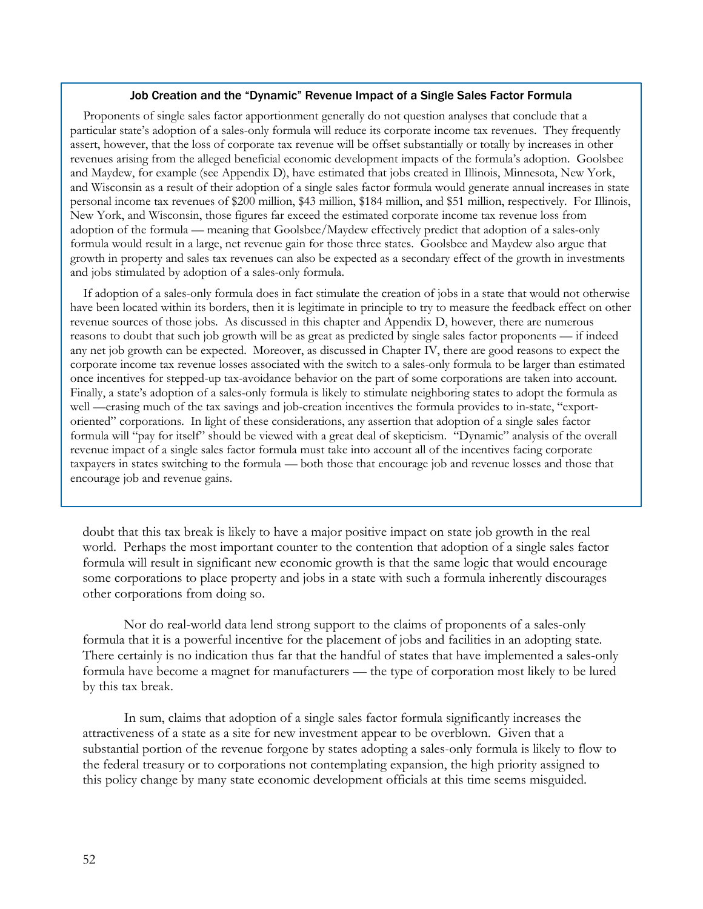#### Job Creation and the "Dynamic" Revenue Impact of a Single Sales Factor Formula

Proponents of single sales factor apportionment generally do not question analyses that conclude that a particular state's adoption of a sales-only formula will reduce its corporate income tax revenues. They frequently assert, however, that the loss of corporate tax revenue will be offset substantially or totally by increases in other revenues arising from the alleged beneficial economic development impacts of the formula's adoption. Goolsbee and Maydew, for example (see Appendix D), have estimated that jobs created in Illinois, Minnesota, New York, and Wisconsin as a result of their adoption of a single sales factor formula would generate annual increases in state personal income tax revenues of \$200 million, \$43 million, \$184 million, and \$51 million, respectively. For Illinois, New York, and Wisconsin, those figures far exceed the estimated corporate income tax revenue loss from adoption of the formula — meaning that Goolsbee/Maydew effectively predict that adoption of a sales-only formula would result in a large, net revenue gain for those three states. Goolsbee and Maydew also argue that growth in property and sales tax revenues can also be expected as a secondary effect of the growth in investments and jobs stimulated by adoption of a sales-only formula.

If adoption of a sales-only formula does in fact stimulate the creation of jobs in a state that would not otherwise have been located within its borders, then it is legitimate in principle to try to measure the feedback effect on other revenue sources of those jobs. As discussed in this chapter and Appendix D, however, there are numerous reasons to doubt that such job growth will be as great as predicted by single sales factor proponents — if indeed any net job growth can be expected. Moreover, as discussed in Chapter IV, there are good reasons to expect the corporate income tax revenue losses associated with the switch to a sales-only formula to be larger than estimated once incentives for stepped-up tax-avoidance behavior on the part of some corporations are taken into account. Finally, a state's adoption of a sales-only formula is likely to stimulate neighboring states to adopt the formula as well —erasing much of the tax savings and job-creation incentives the formula provides to in-state, "exportoriented" corporations. In light of these considerations, any assertion that adoption of a single sales factor formula will "pay for itself" should be viewed with a great deal of skepticism. "Dynamic" analysis of the overall revenue impact of a single sales factor formula must take into account all of the incentives facing corporate taxpayers in states switching to the formula — both those that encourage job and revenue losses and those that encourage job and revenue gains.

doubt that this tax break is likely to have a major positive impact on state job growth in the real world. Perhaps the most important counter to the contention that adoption of a single sales factor formula will result in significant new economic growth is that the same logic that would encourage some corporations to place property and jobs in a state with such a formula inherently discourages other corporations from doing so.

Nor do real-world data lend strong support to the claims of proponents of a sales-only formula that it is a powerful incentive for the placement of jobs and facilities in an adopting state. There certainly is no indication thus far that the handful of states that have implemented a sales-only formula have become a magnet for manufacturers — the type of corporation most likely to be lured by this tax break.

In sum, claims that adoption of a single sales factor formula significantly increases the attractiveness of a state as a site for new investment appear to be overblown. Given that a substantial portion of the revenue forgone by states adopting a sales-only formula is likely to flow to the federal treasury or to corporations not contemplating expansion, the high priority assigned to this policy change by many state economic development officials at this time seems misguided.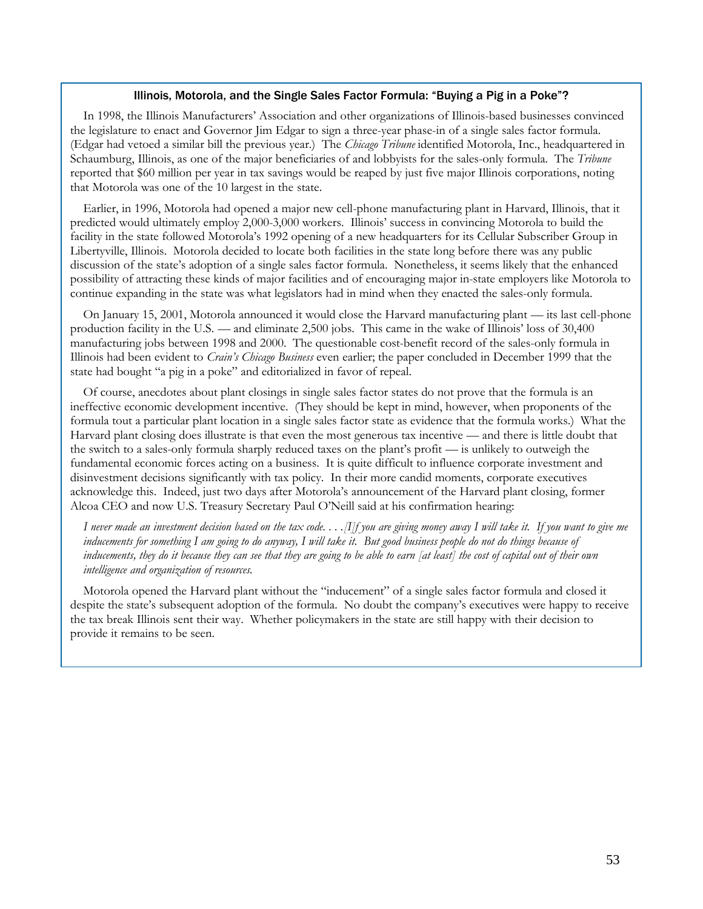#### Illinois, Motorola, and the Single Sales Factor Formula: "Buying a Pig in a Poke"?

In 1998, the Illinois Manufacturers' Association and other organizations of Illinois-based businesses convinced the legislature to enact and Governor Jim Edgar to sign a three-year phase-in of a single sales factor formula. (Edgar had vetoed a similar bill the previous year.) The *Chicago Tribune* identified Motorola, Inc., headquartered in Schaumburg, Illinois, as one of the major beneficiaries of and lobbyists for the sales-only formula. The *Tribune* reported that \$60 million per year in tax savings would be reaped by just five major Illinois corporations, noting that Motorola was one of the 10 largest in the state.

Earlier, in 1996, Motorola had opened a major new cell-phone manufacturing plant in Harvard, Illinois, that it predicted would ultimately employ 2,000-3,000 workers. Illinois' success in convincing Motorola to build the facility in the state followed Motorola's 1992 opening of a new headquarters for its Cellular Subscriber Group in Libertyville, Illinois. Motorola decided to locate both facilities in the state long before there was any public discussion of the state's adoption of a single sales factor formula. Nonetheless, it seems likely that the enhanced possibility of attracting these kinds of major facilities and of encouraging major in-state employers like Motorola to continue expanding in the state was what legislators had in mind when they enacted the sales-only formula.

On January 15, 2001, Motorola announced it would close the Harvard manufacturing plant — its last cell-phone production facility in the U.S. — and eliminate 2,500 jobs. This came in the wake of Illinois' loss of 30,400 manufacturing jobs between 1998 and 2000. The questionable cost-benefit record of the sales-only formula in Illinois had been evident to *Crain's Chicago Business* even earlier; the paper concluded in December 1999 that the state had bought "a pig in a poke" and editorialized in favor of repeal.

Of course, anecdotes about plant closings in single sales factor states do not prove that the formula is an ineffective economic development incentive. (They should be kept in mind, however, when proponents of the formula tout a particular plant location in a single sales factor state as evidence that the formula works.) What the Harvard plant closing does illustrate is that even the most generous tax incentive — and there is little doubt that the switch to a sales-only formula sharply reduced taxes on the plant's profit — is unlikely to outweigh the fundamental economic forces acting on a business. It is quite difficult to influence corporate investment and disinvestment decisions significantly with tax policy. In their more candid moments, corporate executives acknowledge this. Indeed, just two days after Motorola's announcement of the Harvard plant closing, former Alcoa CEO and now U.S. Treasury Secretary Paul O'Neill said at his confirmation hearing:

*I never made an investment decision based on the tax code. . . .[I]f you are giving money away I will take it. If you want to give me inducements for something I am going to do anyway, I will take it. But good business people do not do things because of inducements, they do it because they can see that they are going to be able to earn [at least] the cost of capital out of their own intelligence and organization of resources.* 

Motorola opened the Harvard plant without the "inducement" of a single sales factor formula and closed it despite the state's subsequent adoption of the formula. No doubt the company's executives were happy to receive the tax break Illinois sent their way. Whether policymakers in the state are still happy with their decision to provide it remains to be seen.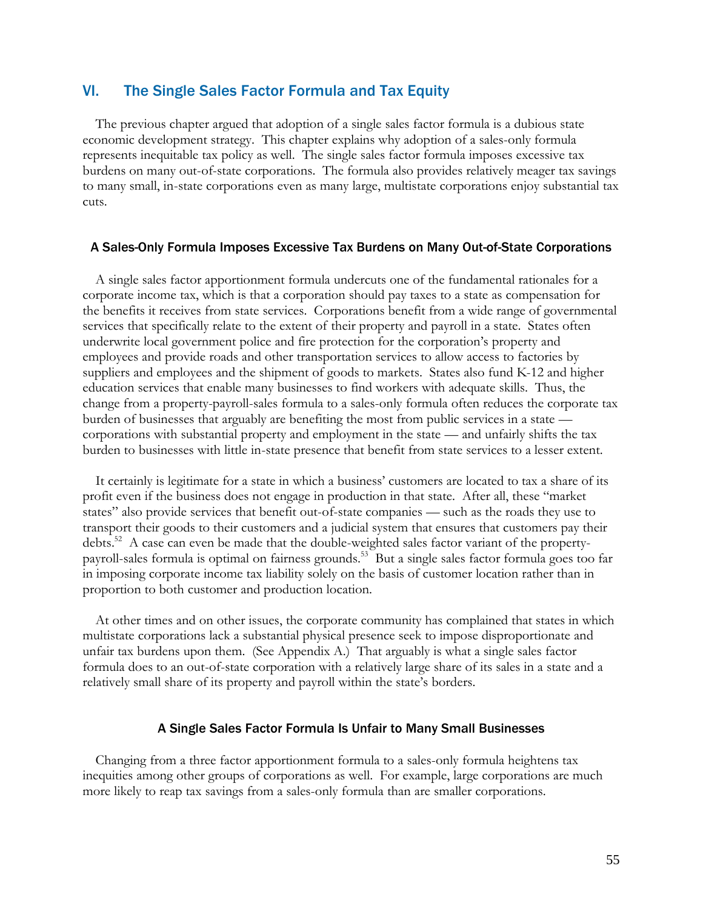# VI. The Single Sales Factor Formula and Tax Equity

The previous chapter argued that adoption of a single sales factor formula is a dubious state economic development strategy. This chapter explains why adoption of a sales-only formula represents inequitable tax policy as well. The single sales factor formula imposes excessive tax burdens on many out-of-state corporations. The formula also provides relatively meager tax savings to many small, in-state corporations even as many large, multistate corporations enjoy substantial tax cuts.

#### A Sales-Only Formula Imposes Excessive Tax Burdens on Many Out-of-State Corporations

A single sales factor apportionment formula undercuts one of the fundamental rationales for a corporate income tax, which is that a corporation should pay taxes to a state as compensation for the benefits it receives from state services. Corporations benefit from a wide range of governmental services that specifically relate to the extent of their property and payroll in a state. States often underwrite local government police and fire protection for the corporation's property and employees and provide roads and other transportation services to allow access to factories by suppliers and employees and the shipment of goods to markets. States also fund K-12 and higher education services that enable many businesses to find workers with adequate skills. Thus, the change from a property-payroll-sales formula to a sales-only formula often reduces the corporate tax burden of businesses that arguably are benefiting the most from public services in a state corporations with substantial property and employment in the state — and unfairly shifts the tax burden to businesses with little in-state presence that benefit from state services to a lesser extent.

It certainly is legitimate for a state in which a business' customers are located to tax a share of its profit even if the business does not engage in production in that state. After all, these "market states" also provide services that benefit out-of-state companies — such as the roads they use to transport their goods to their customers and a judicial system that ensures that customers pay their debts.<sup>52</sup> A case can even be made that the double-weighted sales factor variant of the propertypayroll-sales formula is optimal on fairness grounds.<sup>53</sup> But a single sales factor formula goes too far in imposing corporate income tax liability solely on the basis of customer location rather than in proportion to both customer and production location.

At other times and on other issues, the corporate community has complained that states in which multistate corporations lack a substantial physical presence seek to impose disproportionate and unfair tax burdens upon them. (See Appendix A.) That arguably is what a single sales factor formula does to an out-of-state corporation with a relatively large share of its sales in a state and a relatively small share of its property and payroll within the state's borders.

#### A Single Sales Factor Formula Is Unfair to Many Small Businesses

Changing from a three factor apportionment formula to a sales-only formula heightens tax inequities among other groups of corporations as well. For example, large corporations are much more likely to reap tax savings from a sales-only formula than are smaller corporations.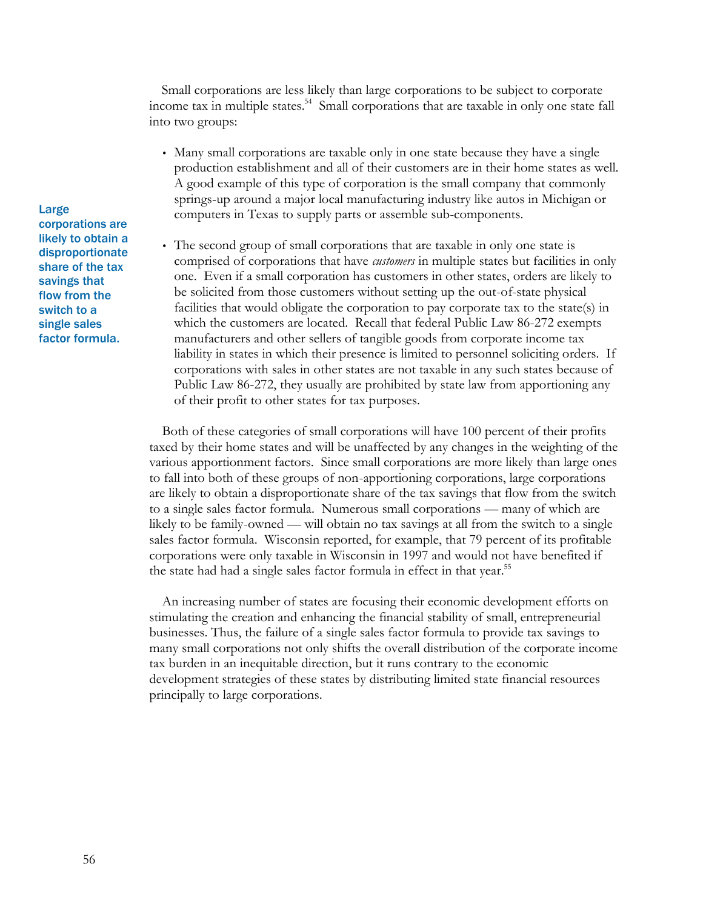Small corporations are less likely than large corporations to be subject to corporate income tax in multiple states.<sup>54</sup> Small corporations that are taxable in only one state fall into two groups:

• Many small corporations are taxable only in one state because they have a single production establishment and all of their customers are in their home states as well. A good example of this type of corporation is the small company that commonly springs-up around a major local manufacturing industry like autos in Michigan or computers in Texas to supply parts or assemble sub-components.

• The second group of small corporations that are taxable in only one state is comprised of corporations that have *customers* in multiple states but facilities in only one. Even if a small corporation has customers in other states, orders are likely to be solicited from those customers without setting up the out-of-state physical facilities that would obligate the corporation to pay corporate tax to the state(s) in which the customers are located. Recall that federal Public Law 86-272 exempts manufacturers and other sellers of tangible goods from corporate income tax liability in states in which their presence is limited to personnel soliciting orders. If corporations with sales in other states are not taxable in any such states because of Public Law 86-272, they usually are prohibited by state law from apportioning any of their profit to other states for tax purposes.

Both of these categories of small corporations will have 100 percent of their profits taxed by their home states and will be unaffected by any changes in the weighting of the various apportionment factors. Since small corporations are more likely than large ones to fall into both of these groups of non-apportioning corporations, large corporations are likely to obtain a disproportionate share of the tax savings that flow from the switch to a single sales factor formula. Numerous small corporations — many of which are likely to be family-owned — will obtain no tax savings at all from the switch to a single sales factor formula. Wisconsin reported, for example, that 79 percent of its profitable corporations were only taxable in Wisconsin in 1997 and would not have benefited if the state had had a single sales factor formula in effect in that year.<sup>55</sup>

An increasing number of states are focusing their economic development efforts on stimulating the creation and enhancing the financial stability of small, entrepreneurial businesses. Thus, the failure of a single sales factor formula to provide tax savings to many small corporations not only shifts the overall distribution of the corporate income tax burden in an inequitable direction, but it runs contrary to the economic development strategies of these states by distributing limited state financial resources principally to large corporations.

Large corporations are likely to obtain a disproportionate share of the tax savings that flow from the switch to a single sales factor formula.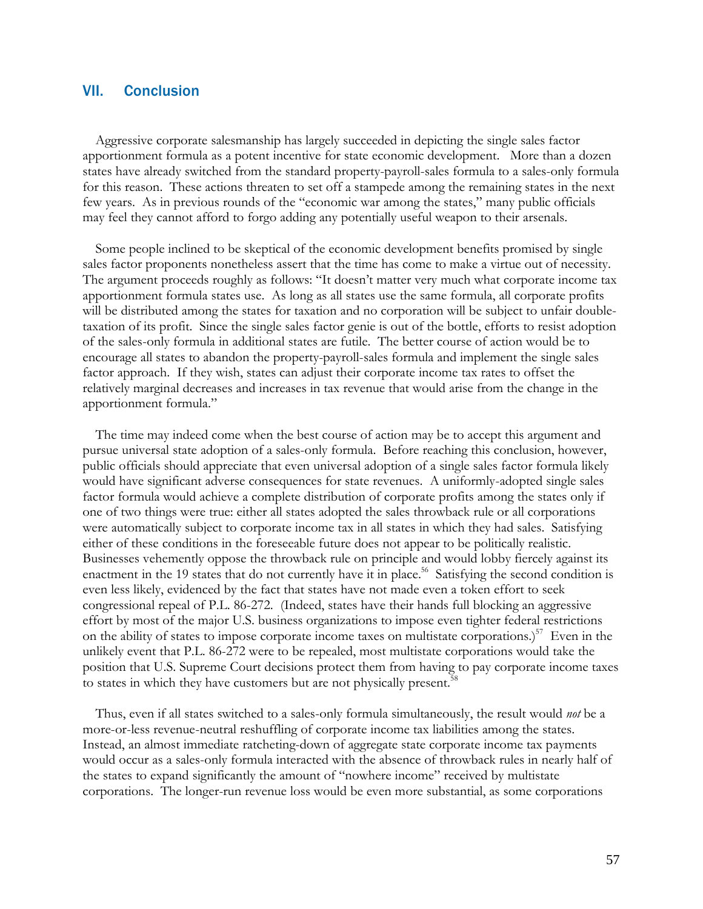# VII. Conclusion

Aggressive corporate salesmanship has largely succeeded in depicting the single sales factor apportionment formula as a potent incentive for state economic development. More than a dozen states have already switched from the standard property-payroll-sales formula to a sales-only formula for this reason. These actions threaten to set off a stampede among the remaining states in the next few years. As in previous rounds of the "economic war among the states," many public officials may feel they cannot afford to forgo adding any potentially useful weapon to their arsenals.

Some people inclined to be skeptical of the economic development benefits promised by single sales factor proponents nonetheless assert that the time has come to make a virtue out of necessity. The argument proceeds roughly as follows: "It doesn't matter very much what corporate income tax apportionment formula states use. As long as all states use the same formula, all corporate profits will be distributed among the states for taxation and no corporation will be subject to unfair doubletaxation of its profit. Since the single sales factor genie is out of the bottle, efforts to resist adoption of the sales-only formula in additional states are futile. The better course of action would be to encourage all states to abandon the property-payroll-sales formula and implement the single sales factor approach. If they wish, states can adjust their corporate income tax rates to offset the relatively marginal decreases and increases in tax revenue that would arise from the change in the apportionment formula."

The time may indeed come when the best course of action may be to accept this argument and pursue universal state adoption of a sales-only formula. Before reaching this conclusion, however, public officials should appreciate that even universal adoption of a single sales factor formula likely would have significant adverse consequences for state revenues. A uniformly-adopted single sales factor formula would achieve a complete distribution of corporate profits among the states only if one of two things were true: either all states adopted the sales throwback rule or all corporations were automatically subject to corporate income tax in all states in which they had sales. Satisfying either of these conditions in the foreseeable future does not appear to be politically realistic. Businesses vehemently oppose the throwback rule on principle and would lobby fiercely against its enactment in the 19 states that do not currently have it in place.<sup>56</sup> Satisfying the second condition is even less likely, evidenced by the fact that states have not made even a token effort to seek congressional repeal of P.L. 86-272. (Indeed, states have their hands full blocking an aggressive effort by most of the major U.S. business organizations to impose even tighter federal restrictions on the ability of states to impose corporate income taxes on multistate corporations.)<sup>57</sup> Even in the unlikely event that P.L. 86-272 were to be repealed, most multistate corporations would take the position that U.S. Supreme Court decisions protect them from having to pay corporate income taxes to states in which they have customers but are not physically present.<sup>5</sup>

Thus, even if all states switched to a sales-only formula simultaneously, the result would *not* be a more-or-less revenue-neutral reshuffling of corporate income tax liabilities among the states. Instead, an almost immediate ratcheting-down of aggregate state corporate income tax payments would occur as a sales-only formula interacted with the absence of throwback rules in nearly half of the states to expand significantly the amount of "nowhere income" received by multistate corporations. The longer-run revenue loss would be even more substantial, as some corporations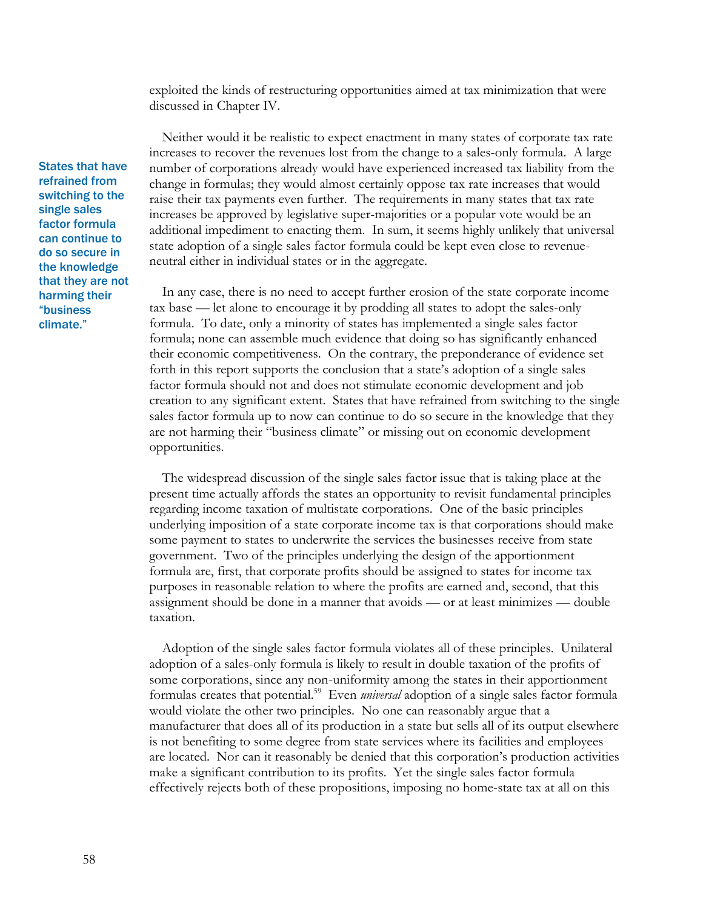exploited the kinds of restructuring opportunities aimed at tax minimization that were discussed in Chapter IV.

Neither would it be realistic to expect enactment in many states of corporate tax rate increases to recover the revenues lost from the change to a sales-only formula. A large number of corporations already would have experienced increased tax liability from the change in formulas; they would almost certainly oppose tax rate increases that would raise their tax payments even further. The requirements in many states that tax rate increases be approved by legislative super-majorities or a popular vote would be an additional impediment to enacting them. In sum, it seems highly unlikely that universal state adoption of a single sales factor formula could be kept even close to revenueneutral either in individual states or in the aggregate.

In any case, there is no need to accept further erosion of the state corporate income tax base — let alone to encourage it by prodding all states to adopt the sales-only formula. To date, only a minority of states has implemented a single sales factor formula; none can assemble much evidence that doing so has significantly enhanced their economic competitiveness. On the contrary, the preponderance of evidence set forth in this report supports the conclusion that a state's adoption of a single sales factor formula should not and does not stimulate economic development and job creation to any significant extent. States that have refrained from switching to the single sales factor formula up to now can continue to do so secure in the knowledge that they are not harming their "business climate" or missing out on economic development opportunities.

The widespread discussion of the single sales factor issue that is taking place at the present time actually affords the states an opportunity to revisit fundamental principles regarding income taxation of multistate corporations. One of the basic principles underlying imposition of a state corporate income tax is that corporations should make some payment to states to underwrite the services the businesses receive from state government. Two of the principles underlying the design of the apportionment formula are, first, that corporate profits should be assigned to states for income tax purposes in reasonable relation to where the profits are earned and, second, that this assignment should be done in a manner that avoids — or at least minimizes — double taxation.

Adoption of the single sales factor formula violates all of these principles. Unilateral adoption of a sales-only formula is likely to result in double taxation of the profits of some corporations, since any non-uniformity among the states in their apportionment formulas creates that potential.<sup>59</sup> Even *universal* adoption of a single sales factor formula would violate the other two principles. No one can reasonably argue that a manufacturer that does all of its production in a state but sells all of its output elsewhere is not benefiting to some degree from state services where its facilities and employees are located. Nor can it reasonably be denied that this corporation's production activities make a significant contribution to its profits. Yet the single sales factor formula effectively rejects both of these propositions, imposing no home-state tax at all on this

States that have refrained from switching to the single sales factor formula can continue to do so secure in the knowledge that they are not harming their "business climate."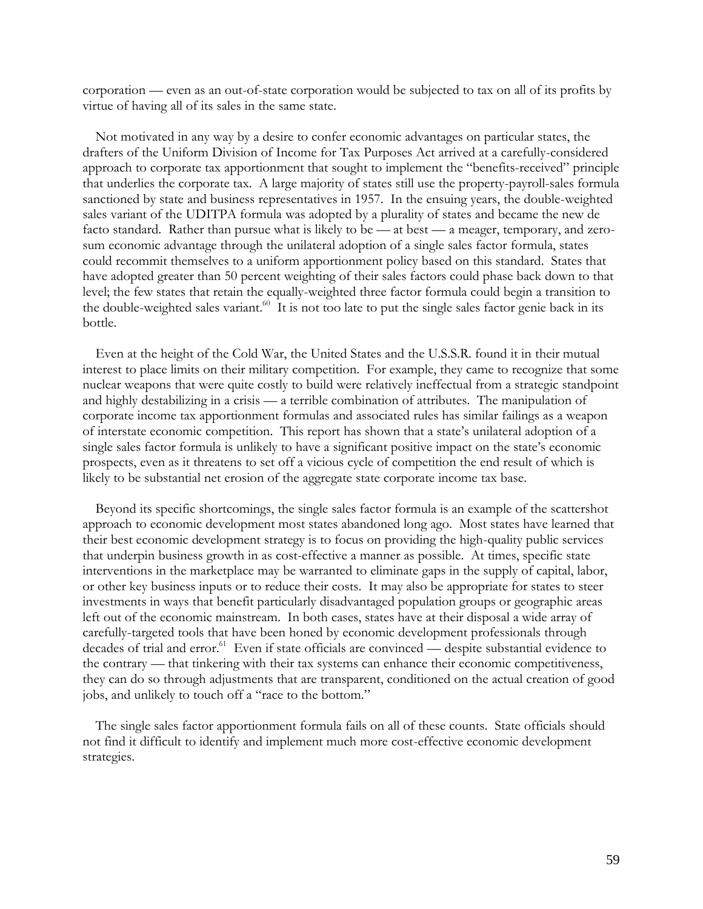corporation — even as an out-of-state corporation would be subjected to tax on all of its profits by virtue of having all of its sales in the same state.

Not motivated in any way by a desire to confer economic advantages on particular states, the drafters of the Uniform Division of Income for Tax Purposes Act arrived at a carefully-considered approach to corporate tax apportionment that sought to implement the "benefits-received" principle that underlies the corporate tax. A large majority of states still use the property-payroll-sales formula sanctioned by state and business representatives in 1957. In the ensuing years, the double-weighted sales variant of the UDITPA formula was adopted by a plurality of states and became the new de facto standard. Rather than pursue what is likely to be — at best — a meager, temporary, and zerosum economic advantage through the unilateral adoption of a single sales factor formula, states could recommit themselves to a uniform apportionment policy based on this standard. States that have adopted greater than 50 percent weighting of their sales factors could phase back down to that level; the few states that retain the equally-weighted three factor formula could begin a transition to the double-weighted sales variant.<sup>60</sup> It is not too late to put the single sales factor genie back in its bottle.

Even at the height of the Cold War, the United States and the U.S.S.R. found it in their mutual interest to place limits on their military competition. For example, they came to recognize that some nuclear weapons that were quite costly to build were relatively ineffectual from a strategic standpoint and highly destabilizing in a crisis — a terrible combination of attributes. The manipulation of corporate income tax apportionment formulas and associated rules has similar failings as a weapon of interstate economic competition. This report has shown that a state's unilateral adoption of a single sales factor formula is unlikely to have a significant positive impact on the state's economic prospects, even as it threatens to set off a vicious cycle of competition the end result of which is likely to be substantial net erosion of the aggregate state corporate income tax base.

Beyond its specific shortcomings, the single sales factor formula is an example of the scattershot approach to economic development most states abandoned long ago. Most states have learned that their best economic development strategy is to focus on providing the high-quality public services that underpin business growth in as cost-effective a manner as possible. At times, specific state interventions in the marketplace may be warranted to eliminate gaps in the supply of capital, labor, or other key business inputs or to reduce their costs. It may also be appropriate for states to steer investments in ways that benefit particularly disadvantaged population groups or geographic areas left out of the economic mainstream. In both cases, states have at their disposal a wide array of carefully-targeted tools that have been honed by economic development professionals through decades of trial and error.<sup>61</sup> Even if state officials are convinced — despite substantial evidence to the contrary — that tinkering with their tax systems can enhance their economic competitiveness, they can do so through adjustments that are transparent, conditioned on the actual creation of good jobs, and unlikely to touch off a "race to the bottom."

The single sales factor apportionment formula fails on all of these counts. State officials should not find it difficult to identify and implement much more cost-effective economic development strategies.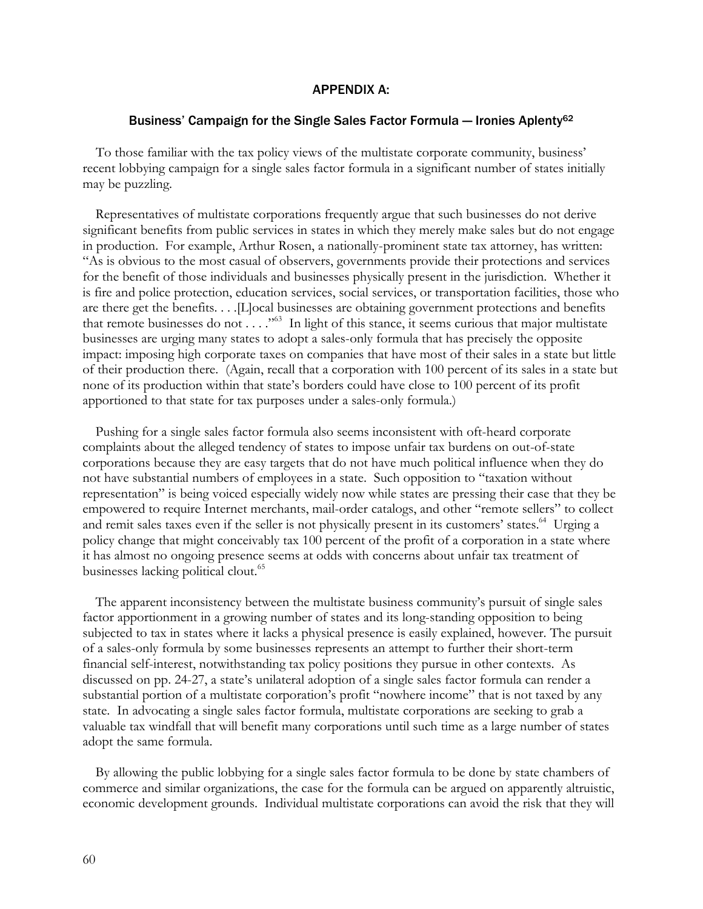#### APPENDIX A:

#### Business' Campaign for the Single Sales Factor Formula — Ironies Aplenty<sup>62</sup>

To those familiar with the tax policy views of the multistate corporate community, business' recent lobbying campaign for a single sales factor formula in a significant number of states initially may be puzzling.

Representatives of multistate corporations frequently argue that such businesses do not derive significant benefits from public services in states in which they merely make sales but do not engage in production. For example, Arthur Rosen, a nationally-prominent state tax attorney, has written: "As is obvious to the most casual of observers, governments provide their protections and services for the benefit of those individuals and businesses physically present in the jurisdiction. Whether it is fire and police protection, education services, social services, or transportation facilities, those who are there get the benefits. . . .[L]ocal businesses are obtaining government protections and benefits that remote businesses do not . . . ."<sup>63</sup> In light of this stance, it seems curious that major multistate businesses are urging many states to adopt a sales-only formula that has precisely the opposite impact: imposing high corporate taxes on companies that have most of their sales in a state but little of their production there. (Again, recall that a corporation with 100 percent of its sales in a state but none of its production within that state's borders could have close to 100 percent of its profit apportioned to that state for tax purposes under a sales-only formula.)

Pushing for a single sales factor formula also seems inconsistent with oft-heard corporate complaints about the alleged tendency of states to impose unfair tax burdens on out-of-state corporations because they are easy targets that do not have much political influence when they do not have substantial numbers of employees in a state. Such opposition to "taxation without representation" is being voiced especially widely now while states are pressing their case that they be empowered to require Internet merchants, mail-order catalogs, and other "remote sellers" to collect and remit sales taxes even if the seller is not physically present in its customers' states.<sup>64</sup> Urging a policy change that might conceivably tax 100 percent of the profit of a corporation in a state where it has almost no ongoing presence seems at odds with concerns about unfair tax treatment of businesses lacking political clout.<sup>65</sup>

The apparent inconsistency between the multistate business community's pursuit of single sales factor apportionment in a growing number of states and its long-standing opposition to being subjected to tax in states where it lacks a physical presence is easily explained, however. The pursuit of a sales-only formula by some businesses represents an attempt to further their short-term financial self-interest, notwithstanding tax policy positions they pursue in other contexts. As discussed on pp. 24-27, a state's unilateral adoption of a single sales factor formula can render a substantial portion of a multistate corporation's profit "nowhere income" that is not taxed by any state. In advocating a single sales factor formula, multistate corporations are seeking to grab a valuable tax windfall that will benefit many corporations until such time as a large number of states adopt the same formula.

By allowing the public lobbying for a single sales factor formula to be done by state chambers of commerce and similar organizations, the case for the formula can be argued on apparently altruistic, economic development grounds. Individual multistate corporations can avoid the risk that they will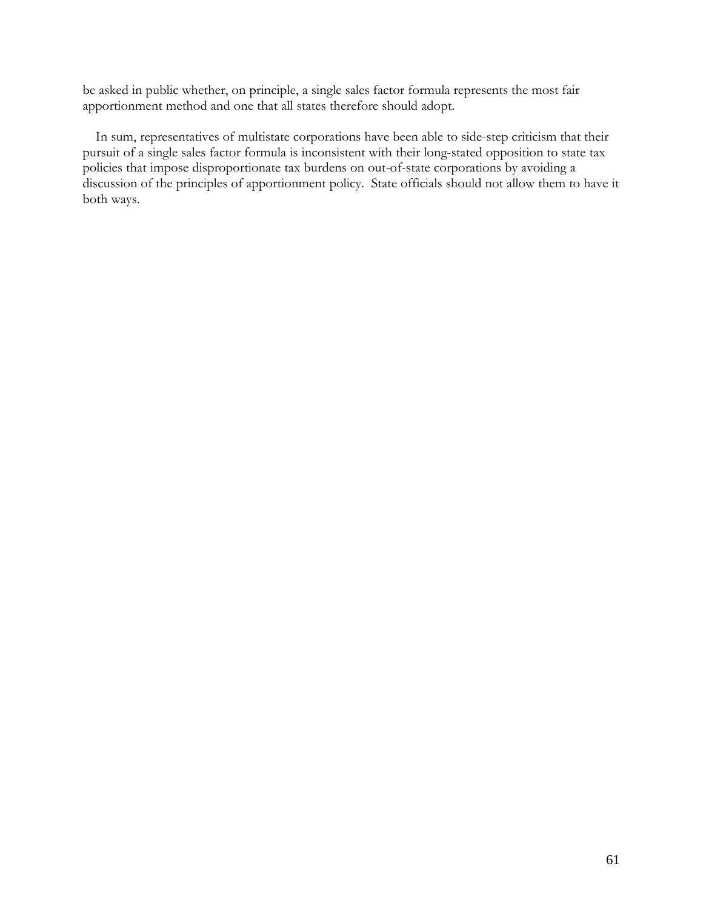be asked in public whether, on principle, a single sales factor formula represents the most fair apportionment method and one that all states therefore should adopt.

In sum, representatives of multistate corporations have been able to side-step criticism that their pursuit of a single sales factor formula is inconsistent with their long-stated opposition to state tax policies that impose disproportionate tax burdens on out-of-state corporations by avoiding a discussion of the principles of apportionment policy. State officials should not allow them to have it both ways.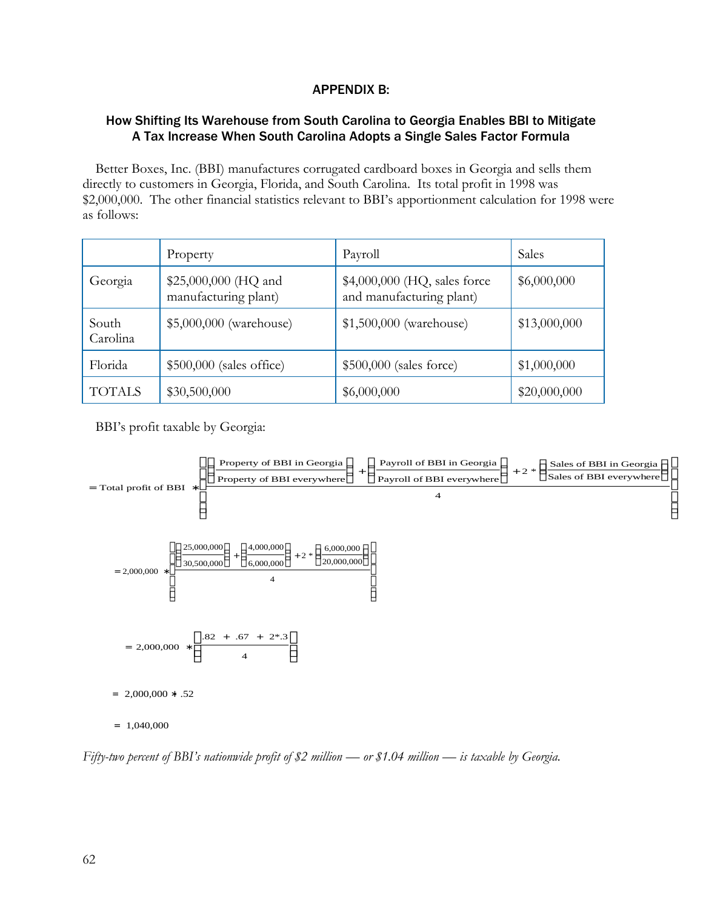# APPENDIX B:

# How Shifting Its Warehouse from South Carolina to Georgia Enables BBI to Mitigate A Tax Increase When South Carolina Adopts a Single Sales Factor Formula

Better Boxes, Inc. (BBI) manufactures corrugated cardboard boxes in Georgia and sells them directly to customers in Georgia, Florida, and South Carolina. Its total profit in 1998 was \$2,000,000. The other financial statistics relevant to BBI's apportionment calculation for 1998 were as follows:

|                   | Property                                     | Payroll                                                  | Sales        |
|-------------------|----------------------------------------------|----------------------------------------------------------|--------------|
| Georgia           | \$25,000,000 (HQ and<br>manufacturing plant) | \$4,000,000 (HQ, sales force<br>and manufacturing plant) | \$6,000,000  |
| South<br>Carolina | \$5,000,000 (warehouse)                      | \$1,500,000 (warehouse)                                  | \$13,000,000 |
| Florida           | $$500,000$ (sales office)                    | \$500,000 (sales force)                                  | \$1,000,000  |
| <b>TOTALS</b>     | \$30,500,000                                 | \$6,000,000                                              | \$20,000,000 |

BBI's profit taxable by Georgia:



*Fifty-two percent of BBI's nationwide profit of \$2 million — or \$1.04 million — is taxable by Georgia.*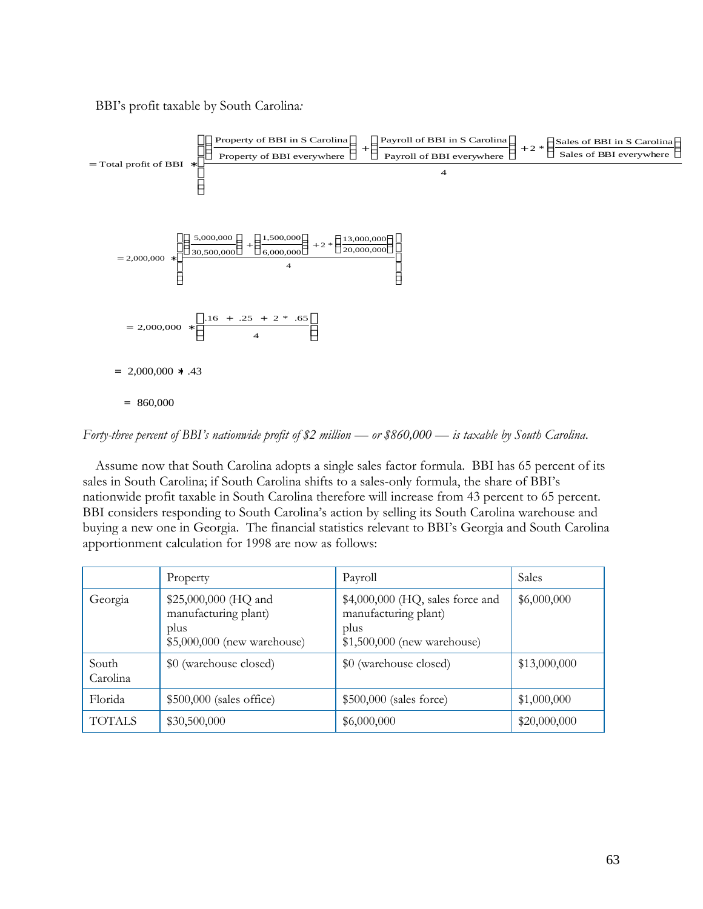BBI's profit taxable by South Carolina*:*



*Forty-three percent of BBI's nationwide profit of \$2 million — or \$860,000 — is taxable by South Carolina*.

Assume now that South Carolina adopts a single sales factor formula. BBI has 65 percent of its sales in South Carolina; if South Carolina shifts to a sales-only formula, the share of BBI's nationwide profit taxable in South Carolina therefore will increase from 43 percent to 65 percent. BBI considers responding to South Carolina's action by selling its South Carolina warehouse and buying a new one in Georgia. The financial statistics relevant to BBI's Georgia and South Carolina apportionment calculation for 1998 are now as follows:

|                   | Property                                                                            | Payroll                                                                                          | Sales        |
|-------------------|-------------------------------------------------------------------------------------|--------------------------------------------------------------------------------------------------|--------------|
| Georgia           | \$25,000,000 (HQ and<br>manufacturing plant)<br>plus<br>\$5,000,000 (new warehouse) | $$4,000,000$ (HQ, sales force and<br>manufacturing plant)<br>plus<br>\$1,500,000 (new warehouse) | \$6,000,000  |
| South<br>Carolina | \$0 (warehouse closed)                                                              | \$0 (warehouse closed)                                                                           | \$13,000,000 |
| Florida           | $$500,000$ (sales office)                                                           | \$500,000 (sales force)                                                                          | \$1,000,000  |
| <b>TOTALS</b>     | \$30,500,000                                                                        | \$6,000,000                                                                                      | \$20,000,000 |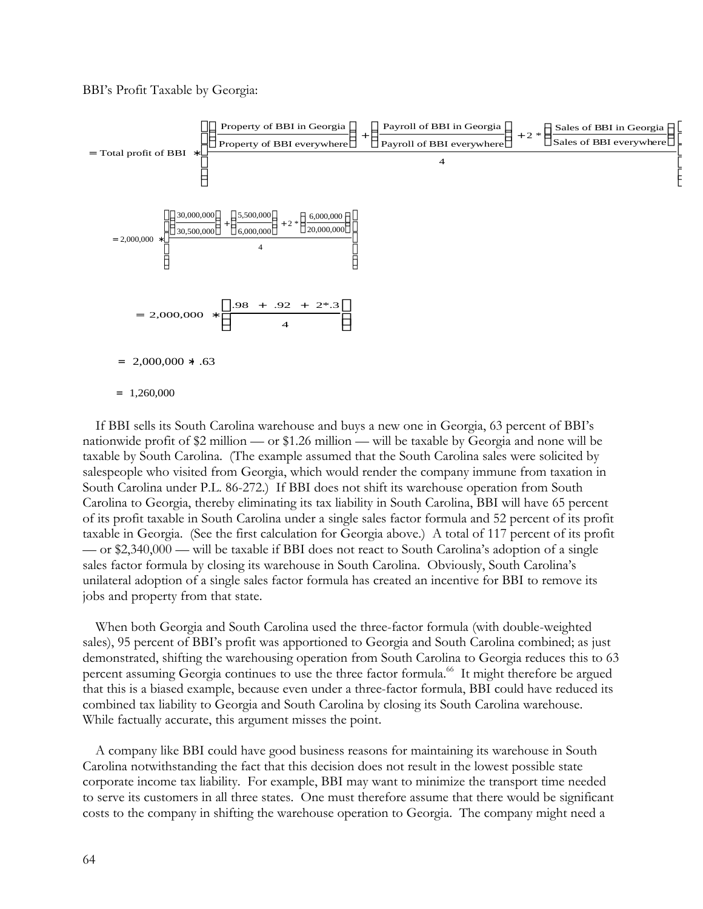BBI's Profit Taxable by Georgia:



If BBI sells its South Carolina warehouse and buys a new one in Georgia, 63 percent of BBI's nationwide profit of \$2 million — or \$1.26 million — will be taxable by Georgia and none will be taxable by South Carolina. (The example assumed that the South Carolina sales were solicited by salespeople who visited from Georgia, which would render the company immune from taxation in South Carolina under P.L. 86-272.) If BBI does not shift its warehouse operation from South Carolina to Georgia, thereby eliminating its tax liability in South Carolina, BBI will have 65 percent of its profit taxable in South Carolina under a single sales factor formula and 52 percent of its profit taxable in Georgia. (See the first calculation for Georgia above.) A total of 117 percent of its profit — or \$2,340,000 — will be taxable if BBI does not react to South Carolina's adoption of a single sales factor formula by closing its warehouse in South Carolina. Obviously, South Carolina's unilateral adoption of a single sales factor formula has created an incentive for BBI to remove its jobs and property from that state.

When both Georgia and South Carolina used the three-factor formula (with double-weighted sales), 95 percent of BBI's profit was apportioned to Georgia and South Carolina combined; as just demonstrated, shifting the warehousing operation from South Carolina to Georgia reduces this to 63 percent assuming Georgia continues to use the three factor formula.<sup>66</sup> It might therefore be argued that this is a biased example, because even under a three-factor formula, BBI could have reduced its combined tax liability to Georgia and South Carolina by closing its South Carolina warehouse. While factually accurate, this argument misses the point.

A company like BBI could have good business reasons for maintaining its warehouse in South Carolina notwithstanding the fact that this decision does not result in the lowest possible state corporate income tax liability. For example, BBI may want to minimize the transport time needed to serve its customers in all three states. One must therefore assume that there would be significant costs to the company in shifting the warehouse operation to Georgia. The company might need a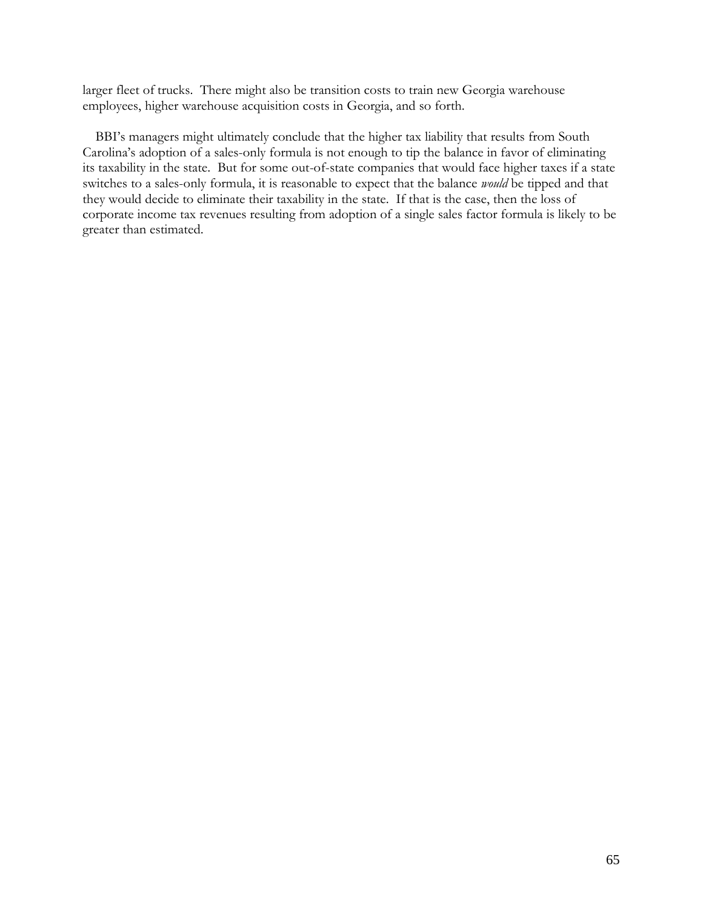larger fleet of trucks. There might also be transition costs to train new Georgia warehouse employees, higher warehouse acquisition costs in Georgia, and so forth.

BBI's managers might ultimately conclude that the higher tax liability that results from South Carolina's adoption of a sales-only formula is not enough to tip the balance in favor of eliminating its taxability in the state. But for some out-of-state companies that would face higher taxes if a state switches to a sales-only formula, it is reasonable to expect that the balance *would* be tipped and that they would decide to eliminate their taxability in the state. If that is the case, then the loss of corporate income tax revenues resulting from adoption of a single sales factor formula is likely to be greater than estimated.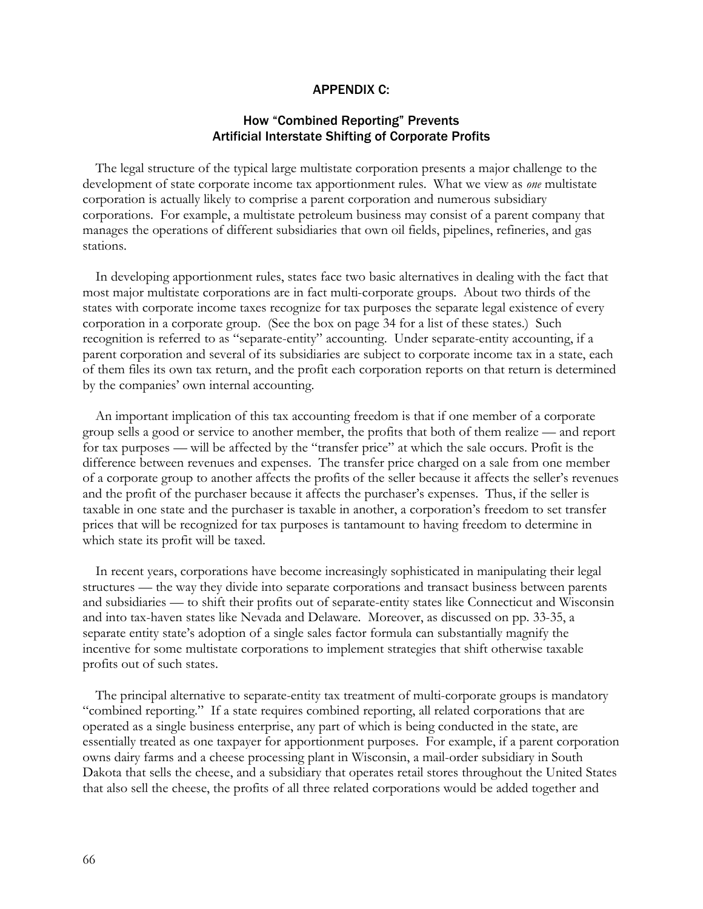#### APPENDIX C:

# How "Combined Reporting" Prevents Artificial Interstate Shifting of Corporate Profits

The legal structure of the typical large multistate corporation presents a major challenge to the development of state corporate income tax apportionment rules. What we view as *one* multistate corporation is actually likely to comprise a parent corporation and numerous subsidiary corporations. For example, a multistate petroleum business may consist of a parent company that manages the operations of different subsidiaries that own oil fields, pipelines, refineries, and gas stations.

In developing apportionment rules, states face two basic alternatives in dealing with the fact that most major multistate corporations are in fact multi-corporate groups. About two thirds of the states with corporate income taxes recognize for tax purposes the separate legal existence of every corporation in a corporate group. (See the box on page 34 for a list of these states.) Such recognition is referred to as "separate-entity" accounting. Under separate-entity accounting, if a parent corporation and several of its subsidiaries are subject to corporate income tax in a state, each of them files its own tax return, and the profit each corporation reports on that return is determined by the companies' own internal accounting.

An important implication of this tax accounting freedom is that if one member of a corporate group sells a good or service to another member, the profits that both of them realize — and report for tax purposes — will be affected by the "transfer price" at which the sale occurs. Profit is the difference between revenues and expenses. The transfer price charged on a sale from one member of a corporate group to another affects the profits of the seller because it affects the seller's revenues and the profit of the purchaser because it affects the purchaser's expenses. Thus, if the seller is taxable in one state and the purchaser is taxable in another, a corporation's freedom to set transfer prices that will be recognized for tax purposes is tantamount to having freedom to determine in which state its profit will be taxed.

In recent years, corporations have become increasingly sophisticated in manipulating their legal structures — the way they divide into separate corporations and transact business between parents and subsidiaries — to shift their profits out of separate-entity states like Connecticut and Wisconsin and into tax-haven states like Nevada and Delaware. Moreover, as discussed on pp. 33-35, a separate entity state's adoption of a single sales factor formula can substantially magnify the incentive for some multistate corporations to implement strategies that shift otherwise taxable profits out of such states.

The principal alternative to separate-entity tax treatment of multi-corporate groups is mandatory "combined reporting." If a state requires combined reporting, all related corporations that are operated as a single business enterprise, any part of which is being conducted in the state, are essentially treated as one taxpayer for apportionment purposes. For example, if a parent corporation owns dairy farms and a cheese processing plant in Wisconsin, a mail-order subsidiary in South Dakota that sells the cheese, and a subsidiary that operates retail stores throughout the United States that also sell the cheese, the profits of all three related corporations would be added together and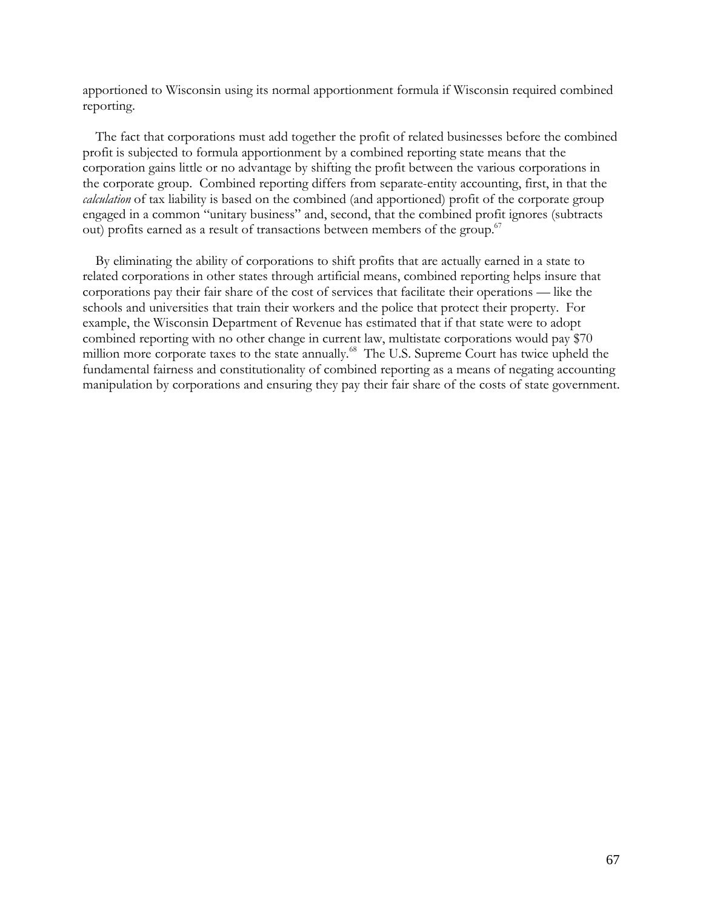apportioned to Wisconsin using its normal apportionment formula if Wisconsin required combined reporting.

The fact that corporations must add together the profit of related businesses before the combined profit is subjected to formula apportionment by a combined reporting state means that the corporation gains little or no advantage by shifting the profit between the various corporations in the corporate group. Combined reporting differs from separate-entity accounting, first, in that the *calculation* of tax liability is based on the combined (and apportioned) profit of the corporate group engaged in a common "unitary business" and, second, that the combined profit ignores (subtracts out) profits earned as a result of transactions between members of the group.<sup>67</sup>

By eliminating the ability of corporations to shift profits that are actually earned in a state to related corporations in other states through artificial means, combined reporting helps insure that corporations pay their fair share of the cost of services that facilitate their operations — like the schools and universities that train their workers and the police that protect their property. For example, the Wisconsin Department of Revenue has estimated that if that state were to adopt combined reporting with no other change in current law, multistate corporations would pay \$70 million more corporate taxes to the state annually.<sup>68</sup> The U.S. Supreme Court has twice upheld the fundamental fairness and constitutionality of combined reporting as a means of negating accounting manipulation by corporations and ensuring they pay their fair share of the costs of state government.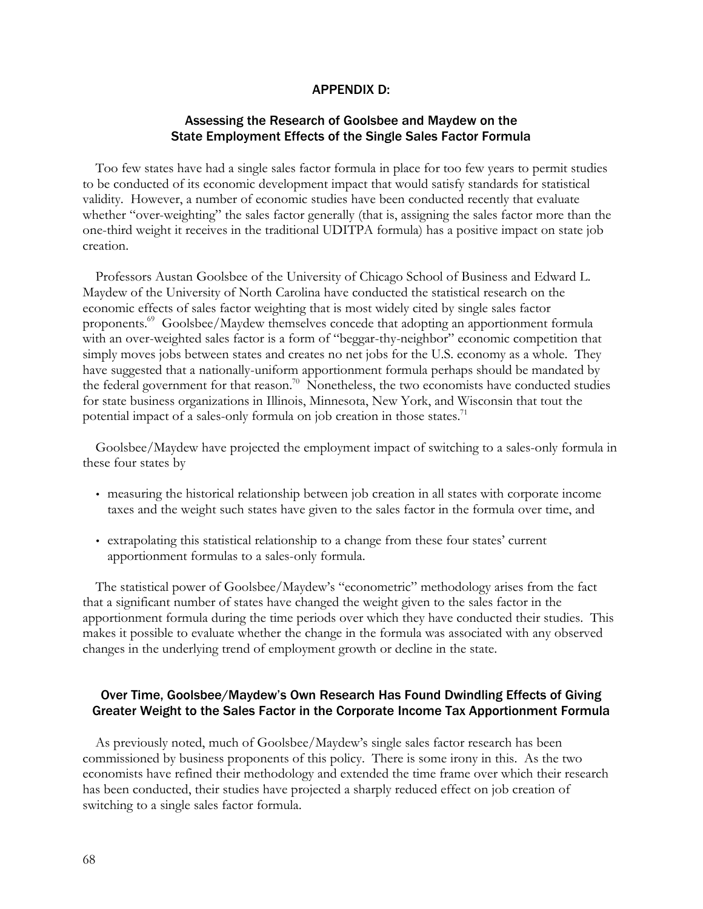### APPENDIX D:

## Assessing the Research of Goolsbee and Maydew on the State Employment Effects of the Single Sales Factor Formula

Too few states have had a single sales factor formula in place for too few years to permit studies to be conducted of its economic development impact that would satisfy standards for statistical validity. However, a number of economic studies have been conducted recently that evaluate whether "over-weighting" the sales factor generally (that is, assigning the sales factor more than the one-third weight it receives in the traditional UDITPA formula) has a positive impact on state job creation.

Professors Austan Goolsbee of the University of Chicago School of Business and Edward L. Maydew of the University of North Carolina have conducted the statistical research on the economic effects of sales factor weighting that is most widely cited by single sales factor proponents.<sup>69</sup> Goolsbee/Maydew themselves concede that adopting an apportionment formula with an over-weighted sales factor is a form of "beggar-thy-neighbor" economic competition that simply moves jobs between states and creates no net jobs for the U.S. economy as a whole. They have suggested that a nationally-uniform apportionment formula perhaps should be mandated by the federal government for that reason.<sup>70</sup> Nonetheless, the two economists have conducted studies for state business organizations in Illinois, Minnesota, New York, and Wisconsin that tout the potential impact of a sales-only formula on job creation in those states.<sup>71</sup>

Goolsbee/Maydew have projected the employment impact of switching to a sales-only formula in these four states by

- measuring the historical relationship between job creation in all states with corporate income taxes and the weight such states have given to the sales factor in the formula over time, and
- extrapolating this statistical relationship to a change from these four states' current apportionment formulas to a sales-only formula.

The statistical power of Goolsbee/Maydew's "econometric" methodology arises from the fact that a significant number of states have changed the weight given to the sales factor in the apportionment formula during the time periods over which they have conducted their studies. This makes it possible to evaluate whether the change in the formula was associated with any observed changes in the underlying trend of employment growth or decline in the state.

## Over Time, Goolsbee/Maydew's Own Research Has Found Dwindling Effects of Giving Greater Weight to the Sales Factor in the Corporate Income Tax Apportionment Formula

As previously noted, much of Goolsbee/Maydew's single sales factor research has been commissioned by business proponents of this policy. There is some irony in this. As the two economists have refined their methodology and extended the time frame over which their research has been conducted, their studies have projected a sharply reduced effect on job creation of switching to a single sales factor formula.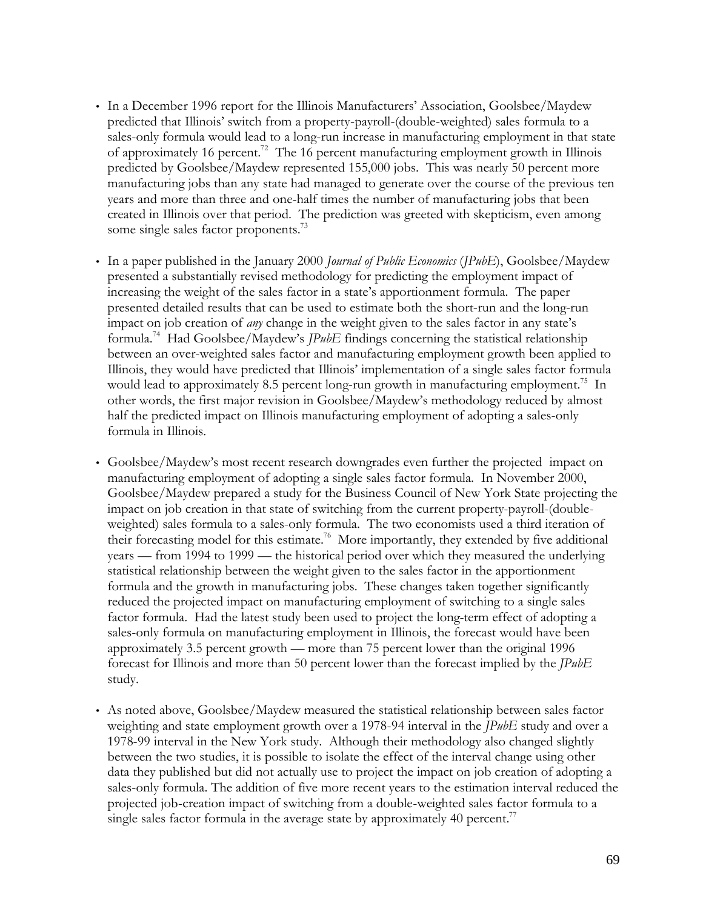- In a December 1996 report for the Illinois Manufacturers' Association, Goolsbee/Maydew predicted that Illinois' switch from a property-payroll-(double-weighted) sales formula to a sales-only formula would lead to a long-run increase in manufacturing employment in that state of approximately 16 percent.<sup>72</sup> The 16 percent manufacturing employment growth in Illinois predicted by Goolsbee/Maydew represented 155,000 jobs. This was nearly 50 percent more manufacturing jobs than any state had managed to generate over the course of the previous ten years and more than three and one-half times the number of manufacturing jobs that been created in Illinois over that period. The prediction was greeted with skepticism, even among some single sales factor proponents.<sup>73</sup>
- In a paper published in the January 2000 *Journal of Public Economics* (*JPubE*), Goolsbee/Maydew presented a substantially revised methodology for predicting the employment impact of increasing the weight of the sales factor in a state's apportionment formula. The paper presented detailed results that can be used to estimate both the short-run and the long-run impact on job creation of *any* change in the weight given to the sales factor in any state's formula.<sup>74</sup> Had Goolsbee/Maydew's *JPubE* findings concerning the statistical relationship between an over-weighted sales factor and manufacturing employment growth been applied to Illinois, they would have predicted that Illinois' implementation of a single sales factor formula would lead to approximately 8.5 percent long-run growth in manufacturing employment.<sup>75</sup> In other words, the first major revision in Goolsbee/Maydew's methodology reduced by almost half the predicted impact on Illinois manufacturing employment of adopting a sales-only formula in Illinois.
- Goolsbee/Maydew's most recent research downgrades even further the projected impact on manufacturing employment of adopting a single sales factor formula. In November 2000, Goolsbee/Maydew prepared a study for the Business Council of New York State projecting the impact on job creation in that state of switching from the current property-payroll-(doubleweighted) sales formula to a sales-only formula. The two economists used a third iteration of their forecasting model for this estimate.<sup>76</sup> More importantly, they extended by five additional years — from 1994 to 1999 — the historical period over which they measured the underlying statistical relationship between the weight given to the sales factor in the apportionment formula and the growth in manufacturing jobs. These changes taken together significantly reduced the projected impact on manufacturing employment of switching to a single sales factor formula. Had the latest study been used to project the long-term effect of adopting a sales-only formula on manufacturing employment in Illinois, the forecast would have been approximately 3.5 percent growth — more than 75 percent lower than the original 1996 forecast for Illinois and more than 50 percent lower than the forecast implied by the *JPubE* study.
- As noted above, Goolsbee/Maydew measured the statistical relationship between sales factor weighting and state employment growth over a 1978-94 interval in the *JPubE* study and over a 1978-99 interval in the New York study. Although their methodology also changed slightly between the two studies, it is possible to isolate the effect of the interval change using other data they published but did not actually use to project the impact on job creation of adopting a sales-only formula. The addition of five more recent years to the estimation interval reduced the projected job-creation impact of switching from a double-weighted sales factor formula to a single sales factor formula in the average state by approximately 40 percent.<sup>77</sup>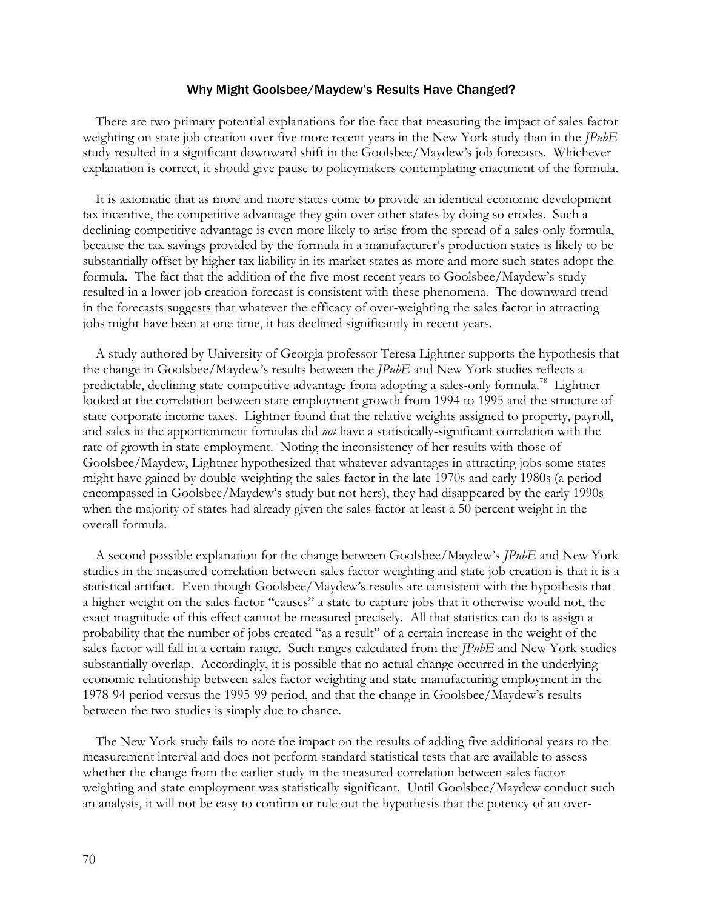### Why Might Goolsbee/Maydew's Results Have Changed?

There are two primary potential explanations for the fact that measuring the impact of sales factor weighting on state job creation over five more recent years in the New York study than in the *JPubE* study resulted in a significant downward shift in the Goolsbee/Maydew's job forecasts. Whichever explanation is correct, it should give pause to policymakers contemplating enactment of the formula.

It is axiomatic that as more and more states come to provide an identical economic development tax incentive, the competitive advantage they gain over other states by doing so erodes. Such a declining competitive advantage is even more likely to arise from the spread of a sales-only formula, because the tax savings provided by the formula in a manufacturer's production states is likely to be substantially offset by higher tax liability in its market states as more and more such states adopt the formula. The fact that the addition of the five most recent years to Goolsbee/Maydew's study resulted in a lower job creation forecast is consistent with these phenomena. The downward trend in the forecasts suggests that whatever the efficacy of over-weighting the sales factor in attracting jobs might have been at one time, it has declined significantly in recent years.

A study authored by University of Georgia professor Teresa Lightner supports the hypothesis that the change in Goolsbee/Maydew's results between the *JPubE* and New York studies reflects a predictable, declining state competitive advantage from adopting a sales-only formula.<sup>78</sup> Lightner looked at the correlation between state employment growth from 1994 to 1995 and the structure of state corporate income taxes. Lightner found that the relative weights assigned to property, payroll, and sales in the apportionment formulas did *not* have a statistically-significant correlation with the rate of growth in state employment. Noting the inconsistency of her results with those of Goolsbee/Maydew, Lightner hypothesized that whatever advantages in attracting jobs some states might have gained by double-weighting the sales factor in the late 1970s and early 1980s (a period encompassed in Goolsbee/Maydew's study but not hers), they had disappeared by the early 1990s when the majority of states had already given the sales factor at least a 50 percent weight in the overall formula.

A second possible explanation for the change between Goolsbee/Maydew's *JPubE* and New York studies in the measured correlation between sales factor weighting and state job creation is that it is a statistical artifact. Even though Goolsbee/Maydew's results are consistent with the hypothesis that a higher weight on the sales factor "causes" a state to capture jobs that it otherwise would not, the exact magnitude of this effect cannot be measured precisely. All that statistics can do is assign a probability that the number of jobs created "as a result" of a certain increase in the weight of the sales factor will fall in a certain range. Such ranges calculated from the *JPubE* and New York studies substantially overlap. Accordingly, it is possible that no actual change occurred in the underlying economic relationship between sales factor weighting and state manufacturing employment in the 1978-94 period versus the 1995-99 period, and that the change in Goolsbee/Maydew's results between the two studies is simply due to chance.

The New York study fails to note the impact on the results of adding five additional years to the measurement interval and does not perform standard statistical tests that are available to assess whether the change from the earlier study in the measured correlation between sales factor weighting and state employment was statistically significant. Until Goolsbee/Maydew conduct such an analysis, it will not be easy to confirm or rule out the hypothesis that the potency of an over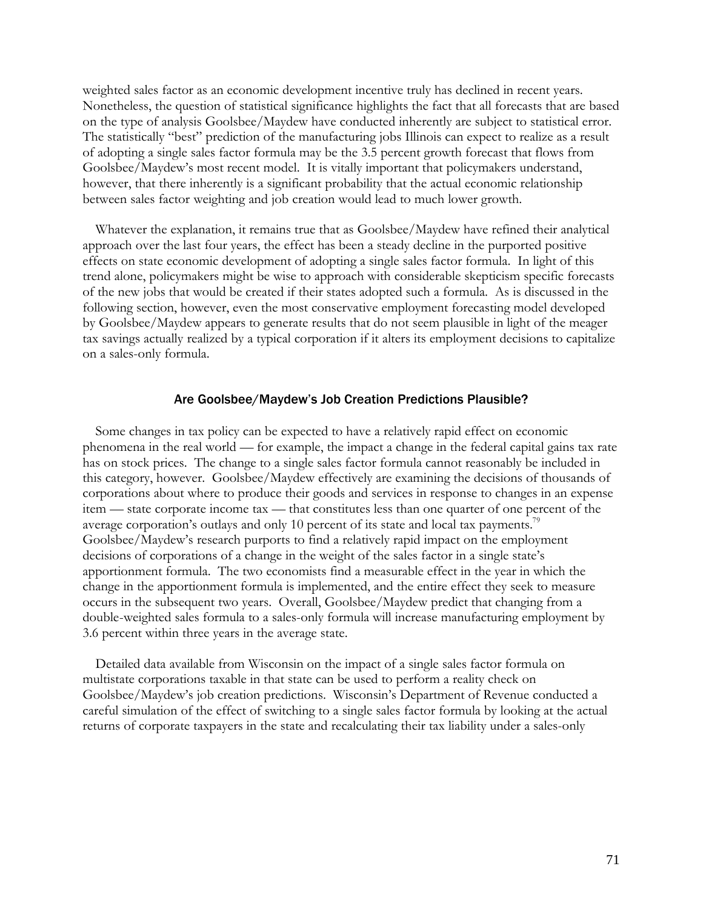weighted sales factor as an economic development incentive truly has declined in recent years. Nonetheless, the question of statistical significance highlights the fact that all forecasts that are based on the type of analysis Goolsbee/Maydew have conducted inherently are subject to statistical error. The statistically "best" prediction of the manufacturing jobs Illinois can expect to realize as a result of adopting a single sales factor formula may be the 3.5 percent growth forecast that flows from Goolsbee/Maydew's most recent model. It is vitally important that policymakers understand, however, that there inherently is a significant probability that the actual economic relationship between sales factor weighting and job creation would lead to much lower growth.

Whatever the explanation, it remains true that as Goolsbee/Maydew have refined their analytical approach over the last four years, the effect has been a steady decline in the purported positive effects on state economic development of adopting a single sales factor formula. In light of this trend alone, policymakers might be wise to approach with considerable skepticism specific forecasts of the new jobs that would be created if their states adopted such a formula. As is discussed in the following section, however, even the most conservative employment forecasting model developed by Goolsbee/Maydew appears to generate results that do not seem plausible in light of the meager tax savings actually realized by a typical corporation if it alters its employment decisions to capitalize on a sales-only formula.

#### Are Goolsbee/Maydew's Job Creation Predictions Plausible?

Some changes in tax policy can be expected to have a relatively rapid effect on economic phenomena in the real world — for example, the impact a change in the federal capital gains tax rate has on stock prices. The change to a single sales factor formula cannot reasonably be included in this category, however. Goolsbee/Maydew effectively are examining the decisions of thousands of corporations about where to produce their goods and services in response to changes in an expense item — state corporate income tax — that constitutes less than one quarter of one percent of the average corporation's outlays and only 10 percent of its state and local tax payments.<sup>79</sup> Goolsbee/Maydew's research purports to find a relatively rapid impact on the employment decisions of corporations of a change in the weight of the sales factor in a single state's apportionment formula. The two economists find a measurable effect in the year in which the change in the apportionment formula is implemented, and the entire effect they seek to measure occurs in the subsequent two years. Overall, Goolsbee/Maydew predict that changing from a double-weighted sales formula to a sales-only formula will increase manufacturing employment by 3.6 percent within three years in the average state.

Detailed data available from Wisconsin on the impact of a single sales factor formula on multistate corporations taxable in that state can be used to perform a reality check on Goolsbee/Maydew's job creation predictions. Wisconsin's Department of Revenue conducted a careful simulation of the effect of switching to a single sales factor formula by looking at the actual returns of corporate taxpayers in the state and recalculating their tax liability under a sales-only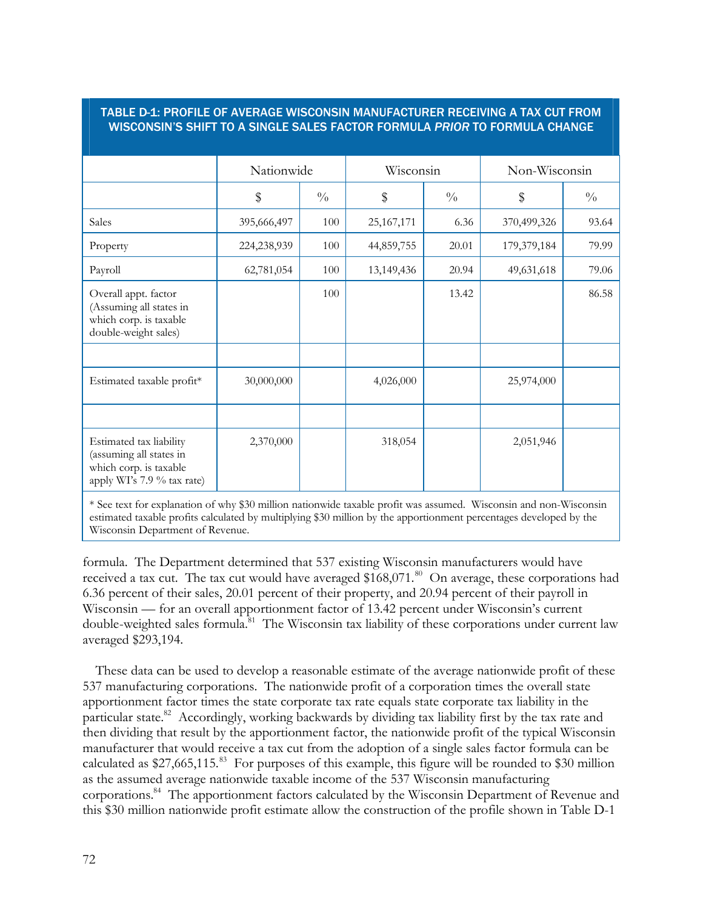## TABLE D-1: PROFILE OF AVERAGE WISCONSIN MANUFACTURER RECEIVING A TAX CUT FROM WISCONSIN'S SHIFT TO A SINGLE SALES FACTOR FORMULA *PRIOR* TO FORMULA CHANGE

|                                                                                                            | Nationwide  |               | Wisconsin    |               | Non-Wisconsin |               |
|------------------------------------------------------------------------------------------------------------|-------------|---------------|--------------|---------------|---------------|---------------|
|                                                                                                            | \$          | $\frac{0}{0}$ | \$           | $\frac{0}{0}$ | \$            | $\frac{0}{0}$ |
| Sales                                                                                                      | 395,666,497 | 100           | 25, 167, 171 | 6.36          | 370,499,326   | 93.64         |
| Property                                                                                                   | 224,238,939 | 100           | 44,859,755   | 20.01         | 179,379,184   | 79.99         |
| Payroll                                                                                                    | 62,781,054  | 100           | 13,149,436   | 20.94         | 49,631,618    | 79.06         |
| Overall appt. factor<br>(Assuming all states in<br>which corp. is taxable<br>double-weight sales)          |             | 100           |              | 13.42         |               | 86.58         |
| Estimated taxable profit*                                                                                  | 30,000,000  |               | 4,026,000    |               | 25,974,000    |               |
| Estimated tax liability<br>(assuming all states in<br>which corp. is taxable<br>apply WI's 7.9 % tax rate) | 2,370,000   |               | 318,054      |               | 2,051,946     |               |

\* See text for explanation of why \$30 million nationwide taxable profit was assumed. Wisconsin and non-Wisconsin estimated taxable profits calculated by multiplying \$30 million by the apportionment percentages developed by the Wisconsin Department of Revenue.

formula. The Department determined that 537 existing Wisconsin manufacturers would have received a tax cut. The tax cut would have averaged  $$168,071$ .<sup>80</sup> On average, these corporations had 6.36 percent of their sales, 20.01 percent of their property, and 20.94 percent of their payroll in Wisconsin — for an overall apportionment factor of 13.42 percent under Wisconsin's current double-weighted sales formula.<sup>81</sup> The Wisconsin tax liability of these corporations under current law averaged \$293,194.

These data can be used to develop a reasonable estimate of the average nationwide profit of these 537 manufacturing corporations. The nationwide profit of a corporation times the overall state apportionment factor times the state corporate tax rate equals state corporate tax liability in the particular state.<sup>82</sup> Accordingly, working backwards by dividing tax liability first by the tax rate and then dividing that result by the apportionment factor, the nationwide profit of the typical Wisconsin manufacturer that would receive a tax cut from the adoption of a single sales factor formula can be calculated as \$27,665,115.<sup>83</sup> For purposes of this example, this figure will be rounded to \$30 million as the assumed average nationwide taxable income of the 537 Wisconsin manufacturing corporations.<sup>84</sup> The apportionment factors calculated by the Wisconsin Department of Revenue and this \$30 million nationwide profit estimate allow the construction of the profile shown in Table D-1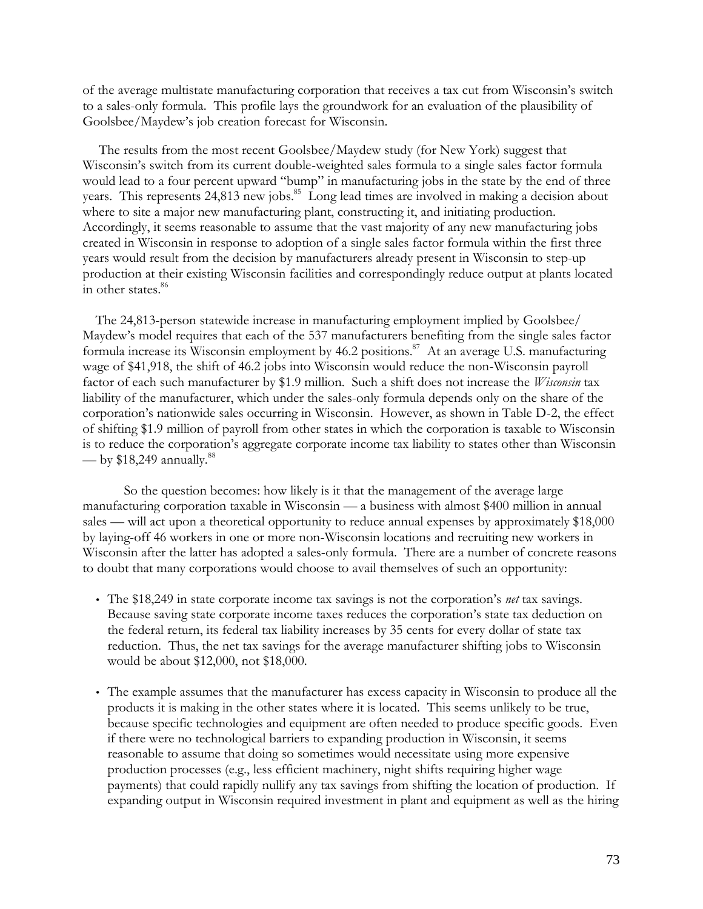of the average multistate manufacturing corporation that receives a tax cut from Wisconsin's switch to a sales-only formula. This profile lays the groundwork for an evaluation of the plausibility of Goolsbee/Maydew's job creation forecast for Wisconsin.

The results from the most recent Goolsbee/Maydew study (for New York) suggest that Wisconsin's switch from its current double-weighted sales formula to a single sales factor formula would lead to a four percent upward "bump" in manufacturing jobs in the state by the end of three years. This represents 24,813 new jobs.<sup>85</sup> Long lead times are involved in making a decision about where to site a major new manufacturing plant, constructing it, and initiating production. Accordingly, it seems reasonable to assume that the vast majority of any new manufacturing jobs created in Wisconsin in response to adoption of a single sales factor formula within the first three years would result from the decision by manufacturers already present in Wisconsin to step-up production at their existing Wisconsin facilities and correspondingly reduce output at plants located in other states.<sup>86</sup>

The 24,813-person statewide increase in manufacturing employment implied by Goolsbee/ Maydew's model requires that each of the 537 manufacturers benefiting from the single sales factor formula increase its Wisconsin employment by 46.2 positions.<sup>87</sup> At an average U.S. manufacturing wage of \$41,918, the shift of 46.2 jobs into Wisconsin would reduce the non-Wisconsin payroll factor of each such manufacturer by \$1.9 million. Such a shift does not increase the *Wisconsin* tax liability of the manufacturer, which under the sales-only formula depends only on the share of the corporation's nationwide sales occurring in Wisconsin. However, as shown in Table D-2, the effect of shifting \$1.9 million of payroll from other states in which the corporation is taxable to Wisconsin is to reduce the corporation's aggregate corporate income tax liability to states other than Wisconsin — by  $$18,249$  annually.<sup>88</sup>

So the question becomes: how likely is it that the management of the average large manufacturing corporation taxable in Wisconsin — a business with almost \$400 million in annual sales — will act upon a theoretical opportunity to reduce annual expenses by approximately \$18,000 by laying-off 46 workers in one or more non-Wisconsin locations and recruiting new workers in Wisconsin after the latter has adopted a sales-only formula. There are a number of concrete reasons to doubt that many corporations would choose to avail themselves of such an opportunity:

- The \$18,249 in state corporate income tax savings is not the corporation's *net* tax savings. Because saving state corporate income taxes reduces the corporation's state tax deduction on the federal return, its federal tax liability increases by 35 cents for every dollar of state tax reduction. Thus, the net tax savings for the average manufacturer shifting jobs to Wisconsin would be about \$12,000, not \$18,000.
- The example assumes that the manufacturer has excess capacity in Wisconsin to produce all the products it is making in the other states where it is located. This seems unlikely to be true, because specific technologies and equipment are often needed to produce specific goods. Even if there were no technological barriers to expanding production in Wisconsin, it seems reasonable to assume that doing so sometimes would necessitate using more expensive production processes (e.g., less efficient machinery, night shifts requiring higher wage payments) that could rapidly nullify any tax savings from shifting the location of production. If expanding output in Wisconsin required investment in plant and equipment as well as the hiring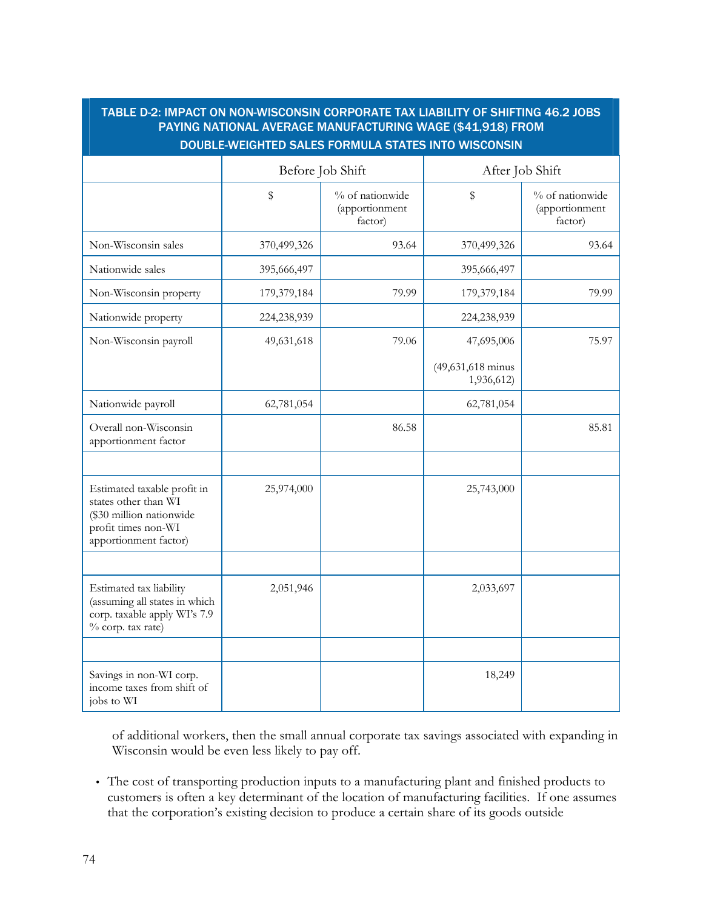# TABLE D-2: IMPACT ON NON-WISCONSIN CORPORATE TAX LIABILITY OF SHIFTING 46.2 JOBS PAYING NATIONAL AVERAGE MANUFACTURING WAGE (\$41,918) FROM DOUBLE-WEIGHTED SALES FORMULA STATES INTO WISCONSIN

|                                                                                                                                 |             | Before Job Shift                             | After Job Shift                 |                                              |  |
|---------------------------------------------------------------------------------------------------------------------------------|-------------|----------------------------------------------|---------------------------------|----------------------------------------------|--|
|                                                                                                                                 | $\mathbb S$ | % of nationwide<br>(apportionment<br>factor) | \$                              | % of nationwide<br>(apportionment<br>factor) |  |
| Non-Wisconsin sales                                                                                                             | 370,499,326 | 93.64                                        | 370,499,326                     | 93.64                                        |  |
| Nationwide sales                                                                                                                | 395,666,497 |                                              | 395,666,497                     |                                              |  |
| Non-Wisconsin property                                                                                                          | 179,379,184 | 79.99                                        | 179,379,184                     | 79.99                                        |  |
| Nationwide property                                                                                                             | 224,238,939 |                                              | 224,238,939                     |                                              |  |
| Non-Wisconsin payroll                                                                                                           | 49,631,618  | 79.06                                        | 47,695,006                      | 75.97                                        |  |
|                                                                                                                                 |             |                                              | (49,631,618 minus<br>1,936,612) |                                              |  |
| Nationwide payroll                                                                                                              | 62,781,054  |                                              | 62,781,054                      |                                              |  |
| Overall non-Wisconsin<br>apportionment factor                                                                                   |             | 86.58                                        |                                 | 85.81                                        |  |
|                                                                                                                                 |             |                                              |                                 |                                              |  |
| Estimated taxable profit in<br>states other than WI<br>(\$30 million nationwide<br>profit times non-WI<br>apportionment factor) | 25,974,000  |                                              | 25,743,000                      |                                              |  |
|                                                                                                                                 |             |                                              |                                 |                                              |  |
| Estimated tax liability<br>(assuming all states in which<br>corp. taxable apply WI's 7.9<br>% corp. tax rate)                   | 2,051,946   |                                              | 2,033,697                       |                                              |  |
|                                                                                                                                 |             |                                              |                                 |                                              |  |
| Savings in non-WI corp.<br>income taxes from shift of<br>jobs to WI                                                             |             |                                              | 18,249                          |                                              |  |

of additional workers, then the small annual corporate tax savings associated with expanding in Wisconsin would be even less likely to pay off.

• The cost of transporting production inputs to a manufacturing plant and finished products to customers is often a key determinant of the location of manufacturing facilities. If one assumes that the corporation's existing decision to produce a certain share of its goods outside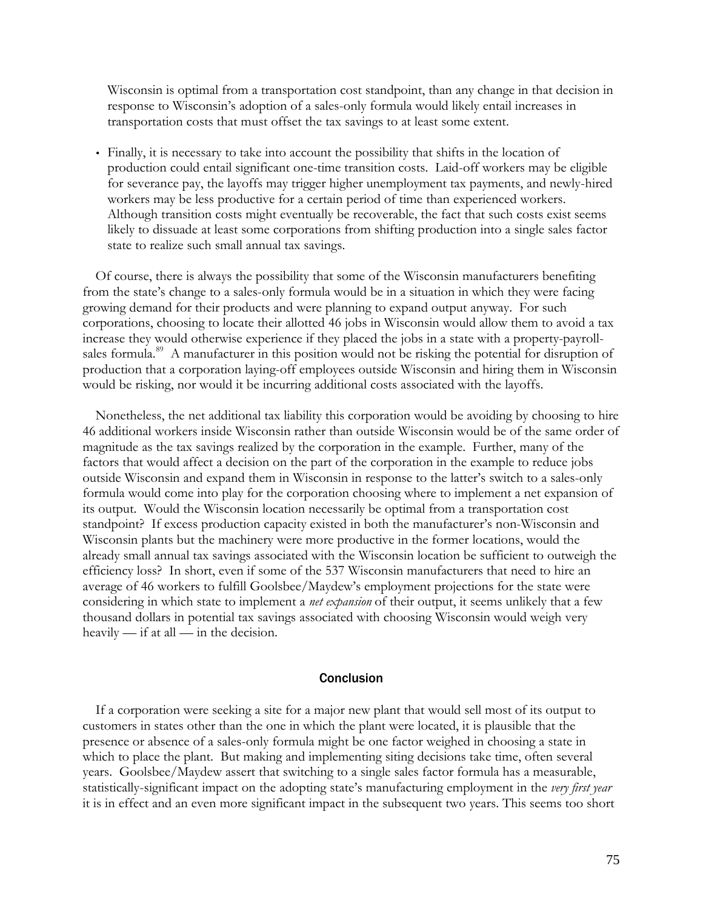Wisconsin is optimal from a transportation cost standpoint, than any change in that decision in response to Wisconsin's adoption of a sales-only formula would likely entail increases in transportation costs that must offset the tax savings to at least some extent.

• Finally, it is necessary to take into account the possibility that shifts in the location of production could entail significant one-time transition costs. Laid-off workers may be eligible for severance pay, the layoffs may trigger higher unemployment tax payments, and newly-hired workers may be less productive for a certain period of time than experienced workers. Although transition costs might eventually be recoverable, the fact that such costs exist seems likely to dissuade at least some corporations from shifting production into a single sales factor state to realize such small annual tax savings.

Of course, there is always the possibility that some of the Wisconsin manufacturers benefiting from the state's change to a sales-only formula would be in a situation in which they were facing growing demand for their products and were planning to expand output anyway. For such corporations, choosing to locate their allotted 46 jobs in Wisconsin would allow them to avoid a tax increase they would otherwise experience if they placed the jobs in a state with a property-payrollsales formula.<sup>89</sup> A manufacturer in this position would not be risking the potential for disruption of production that a corporation laying-off employees outside Wisconsin and hiring them in Wisconsin would be risking, nor would it be incurring additional costs associated with the layoffs.

Nonetheless, the net additional tax liability this corporation would be avoiding by choosing to hire 46 additional workers inside Wisconsin rather than outside Wisconsin would be of the same order of magnitude as the tax savings realized by the corporation in the example. Further, many of the factors that would affect a decision on the part of the corporation in the example to reduce jobs outside Wisconsin and expand them in Wisconsin in response to the latter's switch to a sales-only formula would come into play for the corporation choosing where to implement a net expansion of its output. Would the Wisconsin location necessarily be optimal from a transportation cost standpoint? If excess production capacity existed in both the manufacturer's non-Wisconsin and Wisconsin plants but the machinery were more productive in the former locations, would the already small annual tax savings associated with the Wisconsin location be sufficient to outweigh the efficiency loss? In short, even if some of the 537 Wisconsin manufacturers that need to hire an average of 46 workers to fulfill Goolsbee/Maydew's employment projections for the state were considering in which state to implement a *net expansion* of their output, it seems unlikely that a few thousand dollars in potential tax savings associated with choosing Wisconsin would weigh very heavily — if at all — in the decision.

#### Conclusion

If a corporation were seeking a site for a major new plant that would sell most of its output to customers in states other than the one in which the plant were located, it is plausible that the presence or absence of a sales-only formula might be one factor weighed in choosing a state in which to place the plant. But making and implementing siting decisions take time, often several years. Goolsbee/Maydew assert that switching to a single sales factor formula has a measurable, statistically-significant impact on the adopting state's manufacturing employment in the *very first year* it is in effect and an even more significant impact in the subsequent two years. This seems too short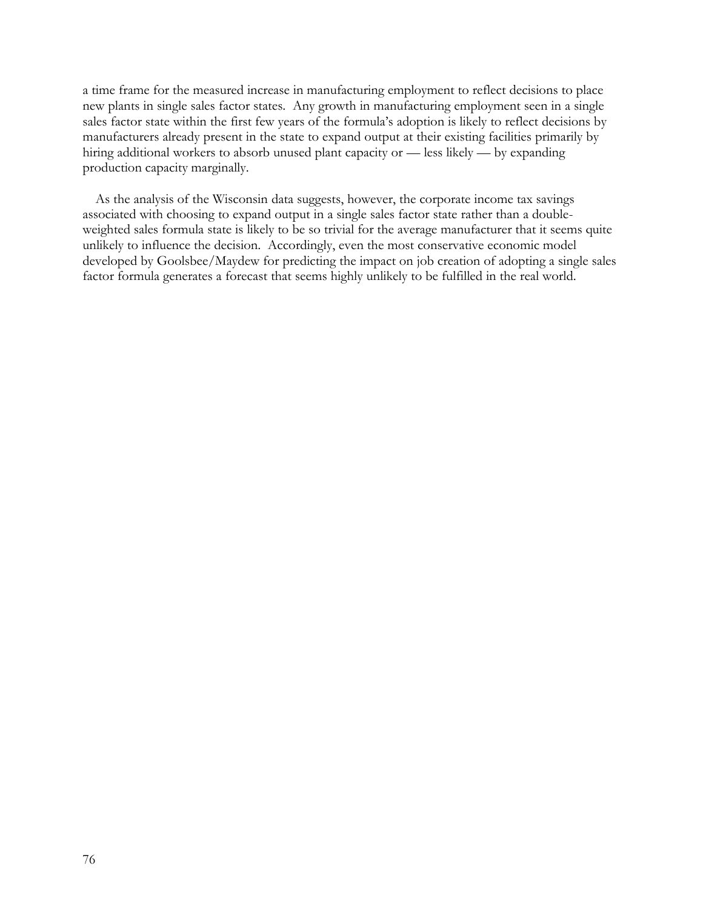a time frame for the measured increase in manufacturing employment to reflect decisions to place new plants in single sales factor states. Any growth in manufacturing employment seen in a single sales factor state within the first few years of the formula's adoption is likely to reflect decisions by manufacturers already present in the state to expand output at their existing facilities primarily by hiring additional workers to absorb unused plant capacity or — less likely — by expanding production capacity marginally.

As the analysis of the Wisconsin data suggests, however, the corporate income tax savings associated with choosing to expand output in a single sales factor state rather than a doubleweighted sales formula state is likely to be so trivial for the average manufacturer that it seems quite unlikely to influence the decision. Accordingly, even the most conservative economic model developed by Goolsbee/Maydew for predicting the impact on job creation of adopting a single sales factor formula generates a forecast that seems highly unlikely to be fulfilled in the real world.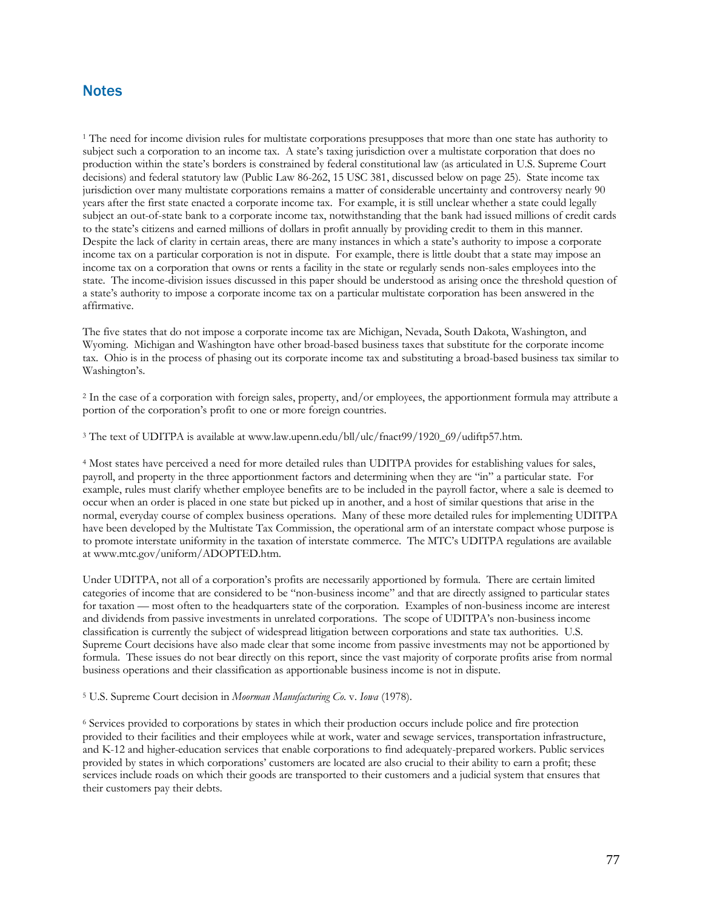# **Notes**

<sup>1</sup> The need for income division rules for multistate corporations presupposes that more than one state has authority to subject such a corporation to an income tax. A state's taxing jurisdiction over a multistate corporation that does no production within the state's borders is constrained by federal constitutional law (as articulated in U.S. Supreme Court decisions) and federal statutory law (Public Law 86-262, 15 USC 381, discussed below on page 25). State income tax jurisdiction over many multistate corporations remains a matter of considerable uncertainty and controversy nearly 90 years after the first state enacted a corporate income tax. For example, it is still unclear whether a state could legally subject an out-of-state bank to a corporate income tax, notwithstanding that the bank had issued millions of credit cards to the state's citizens and earned millions of dollars in profit annually by providing credit to them in this manner. Despite the lack of clarity in certain areas, there are many instances in which a state's authority to impose a corporate income tax on a particular corporation is not in dispute. For example, there is little doubt that a state may impose an income tax on a corporation that owns or rents a facility in the state or regularly sends non-sales employees into the state. The income-division issues discussed in this paper should be understood as arising once the threshold question of a state's authority to impose a corporate income tax on a particular multistate corporation has been answered in the affirmative.

The five states that do not impose a corporate income tax are Michigan, Nevada, South Dakota, Washington, and Wyoming. Michigan and Washington have other broad-based business taxes that substitute for the corporate income tax. Ohio is in the process of phasing out its corporate income tax and substituting a broad-based business tax similar to Washington's.

2 In the case of a corporation with foreign sales, property, and/or employees, the apportionment formula may attribute a portion of the corporation's profit to one or more foreign countries.

3 The text of UDITPA is available at www.law.upenn.edu/bll/ulc/fnact99/1920\_69/udiftp57.htm.

4 Most states have perceived a need for more detailed rules than UDITPA provides for establishing values for sales, payroll, and property in the three apportionment factors and determining when they are "in" a particular state. For example, rules must clarify whether employee benefits are to be included in the payroll factor, where a sale is deemed to occur when an order is placed in one state but picked up in another, and a host of similar questions that arise in the normal, everyday course of complex business operations. Many of these more detailed rules for implementing UDITPA have been developed by the Multistate Tax Commission, the operational arm of an interstate compact whose purpose is to promote interstate uniformity in the taxation of interstate commerce. The MTC's UDITPA regulations are available at www.mtc.gov/uniform/ADOPTED.htm.

Under UDITPA, not all of a corporation's profits are necessarily apportioned by formula. There are certain limited categories of income that are considered to be "non-business income" and that are directly assigned to particular states for taxation — most often to the headquarters state of the corporation. Examples of non-business income are interest and dividends from passive investments in unrelated corporations. The scope of UDITPA's non-business income classification is currently the subject of widespread litigation between corporations and state tax authorities. U.S. Supreme Court decisions have also made clear that some income from passive investments may not be apportioned by formula. These issues do not bear directly on this report, since the vast majority of corporate profits arise from normal business operations and their classification as apportionable business income is not in dispute.

#### 5 U.S. Supreme Court decision in *Moorman Manufacturing Co.* v. *Iowa* (1978).

6 Services provided to corporations by states in which their production occurs include police and fire protection provided to their facilities and their employees while at work, water and sewage services, transportation infrastructure, and K-12 and higher-education services that enable corporations to find adequately-prepared workers. Public services provided by states in which corporations' customers are located are also crucial to their ability to earn a profit; these services include roads on which their goods are transported to their customers and a judicial system that ensures that their customers pay their debts.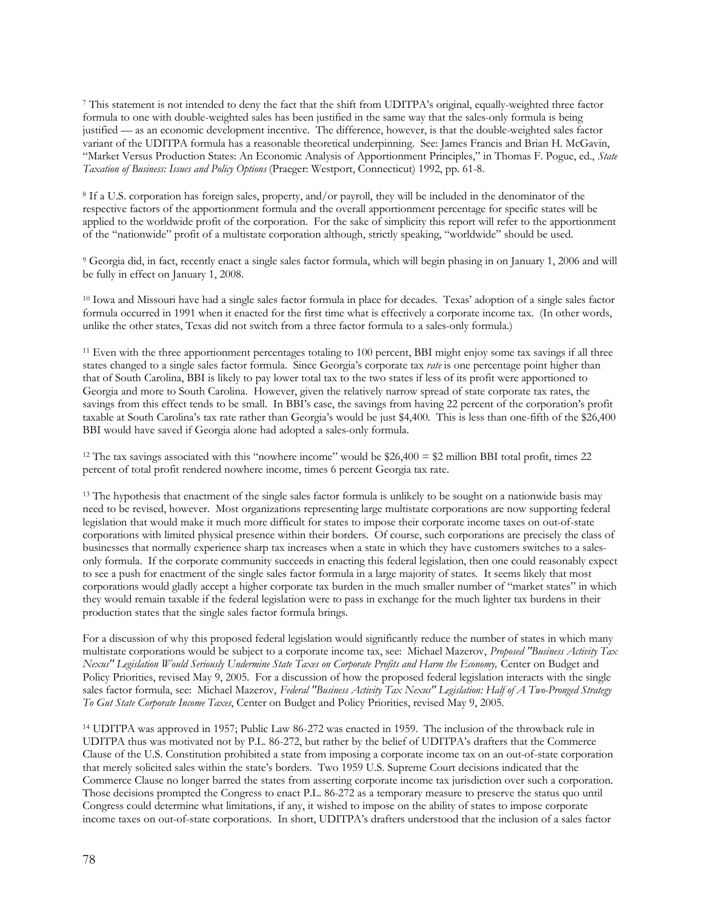7 This statement is not intended to deny the fact that the shift from UDITPA's original, equally-weighted three factor formula to one with double-weighted sales has been justified in the same way that the sales-only formula is being justified — as an economic development incentive. The difference, however, is that the double-weighted sales factor variant of the UDITPA formula has a reasonable theoretical underpinning. See: James Francis and Brian H. McGavin, "Market Versus Production States: An Economic Analysis of Apportionment Principles," in Thomas F. Pogue, ed., *State Taxation of Business: Issues and Policy Options* (Praeger: Westport, Connecticut) 1992, pp. 61-8.

8 If a U.S. corporation has foreign sales, property, and/or payroll, they will be included in the denominator of the respective factors of the apportionment formula and the overall apportionment percentage for specific states will be applied to the worldwide profit of the corporation. For the sake of simplicity this report will refer to the apportionment of the "nationwide" profit of a multistate corporation although, strictly speaking, "worldwide" should be used.

9 Georgia did, in fact, recently enact a single sales factor formula, which will begin phasing in on January 1, 2006 and will be fully in effect on January 1, 2008.

<sup>10</sup> Iowa and Missouri have had a single sales factor formula in place for decades. Texas' adoption of a single sales factor formula occurred in 1991 when it enacted for the first time what is effectively a corporate income tax. (In other words, unlike the other states, Texas did not switch from a three factor formula to a sales-only formula.)

<sup>11</sup> Even with the three apportionment percentages totaling to 100 percent, BBI might enjoy some tax savings if all three states changed to a single sales factor formula. Since Georgia's corporate tax *rate* is one percentage point higher than that of South Carolina, BBI is likely to pay lower total tax to the two states if less of its profit were apportioned to Georgia and more to South Carolina. However, given the relatively narrow spread of state corporate tax rates, the savings from this effect tends to be small. In BBI's case, the savings from having 22 percent of the corporation's profit taxable at South Carolina's tax rate rather than Georgia's would be just \$4,400. This is less than one-fifth of the \$26,400 BBI would have saved if Georgia alone had adopted a sales-only formula.

<sup>12</sup> The tax savings associated with this "nowhere income" would be \$26,400 = \$2 million BBI total profit, times 22 percent of total profit rendered nowhere income, times 6 percent Georgia tax rate.

<sup>13</sup> The hypothesis that enactment of the single sales factor formula is unlikely to be sought on a nationwide basis may need to be revised, however. Most organizations representing large multistate corporations are now supporting federal legislation that would make it much more difficult for states to impose their corporate income taxes on out-of-state corporations with limited physical presence within their borders. Of course, such corporations are precisely the class of businesses that normally experience sharp tax increases when a state in which they have customers switches to a salesonly formula. If the corporate community succeeds in enacting this federal legislation, then one could reasonably expect to see a push for enactment of the single sales factor formula in a large majority of states. It seems likely that most corporations would gladly accept a higher corporate tax burden in the much smaller number of "market states" in which they would remain taxable if the federal legislation were to pass in exchange for the much lighter tax burdens in their production states that the single sales factor formula brings.

For a discussion of why this proposed federal legislation would significantly reduce the number of states in which many multistate corporations would be subject to a corporate income tax, see: Michael Mazerov, *Proposed "Business Activity Tax Nexus" Legislation Would Seriously Undermine State Taxes on Corporate Profits and Harm the Economy,* Center on Budget and Policy Priorities, revised May 9, 2005. For a discussion of how the proposed federal legislation interacts with the single sales factor formula, see: Michael Mazerov, *Federal "Business Activity Tax Nexus" Legislation: Half of A Two-Pronged Strategy To Gut State Corporate Income Taxes*, Center on Budget and Policy Priorities, revised May 9, 2005.

<sup>14</sup> UDITPA was approved in 1957; Public Law 86-272 was enacted in 1959. The inclusion of the throwback rule in UDITPA thus was motivated not by P.L. 86-272, but rather by the belief of UDITPA's drafters that the Commerce Clause of the U.S. Constitution prohibited a state from imposing a corporate income tax on an out-of-state corporation that merely solicited sales within the state's borders. Two 1959 U.S. Supreme Court decisions indicated that the Commerce Clause no longer barred the states from asserting corporate income tax jurisdiction over such a corporation. Those decisions prompted the Congress to enact P.L. 86-272 as a temporary measure to preserve the status quo until Congress could determine what limitations, if any, it wished to impose on the ability of states to impose corporate income taxes on out-of-state corporations. In short, UDITPA's drafters understood that the inclusion of a sales factor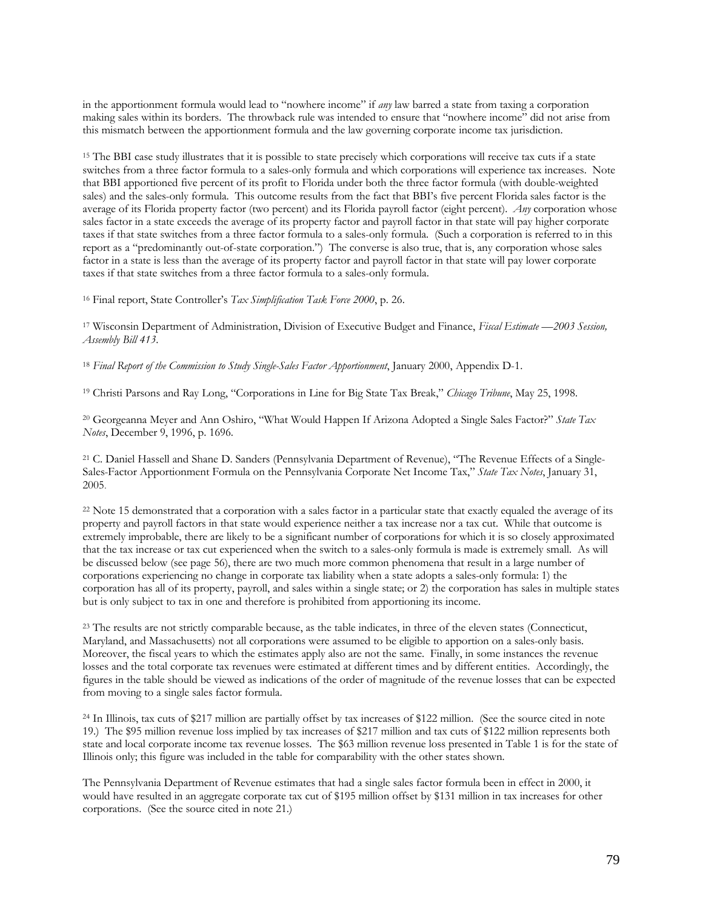in the apportionment formula would lead to "nowhere income" if *any* law barred a state from taxing a corporation making sales within its borders. The throwback rule was intended to ensure that "nowhere income" did not arise from this mismatch between the apportionment formula and the law governing corporate income tax jurisdiction.

<sup>15</sup> The BBI case study illustrates that it is possible to state precisely which corporations will receive tax cuts if a state switches from a three factor formula to a sales-only formula and which corporations will experience tax increases. Note that BBI apportioned five percent of its profit to Florida under both the three factor formula (with double-weighted sales) and the sales-only formula. This outcome results from the fact that BBI's five percent Florida sales factor is the average of its Florida property factor (two percent) and its Florida payroll factor (eight percent). *Any* corporation whose sales factor in a state exceeds the average of its property factor and payroll factor in that state will pay higher corporate taxes if that state switches from a three factor formula to a sales-only formula. (Such a corporation is referred to in this report as a "predominantly out-of-state corporation.") The converse is also true, that is, any corporation whose sales factor in a state is less than the average of its property factor and payroll factor in that state will pay lower corporate taxes if that state switches from a three factor formula to a sales-only formula.

<sup>16</sup> Final report, State Controller's *Tax Simplification Task Force 2000*, p. 26.

<sup>17</sup> Wisconsin Department of Administration, Division of Executive Budget and Finance, *Fiscal Estimate —2003 Session, Assembly Bill 413*.

<sup>18</sup> *Final Report of the Commission to Study Single-Sales Factor Apportionment*, January 2000, Appendix D-1.

<sup>19</sup> Christi Parsons and Ray Long, "Corporations in Line for Big State Tax Break," *Chicago Tribune*, May 25, 1998.

<sup>20</sup> Georgeanna Meyer and Ann Oshiro, "What Would Happen If Arizona Adopted a Single Sales Factor?" *State Tax Notes*, December 9, 1996, p. 1696.

21 C. Daniel Hassell and Shane D. Sanders (Pennsylvania Department of Revenue), "The Revenue Effects of a Single-Sales-Factor Apportionment Formula on the Pennsylvania Corporate Net Income Tax," *State Tax Notes*, January 31, 2005.

<sup>22</sup> Note 15 demonstrated that a corporation with a sales factor in a particular state that exactly equaled the average of its property and payroll factors in that state would experience neither a tax increase nor a tax cut. While that outcome is extremely improbable, there are likely to be a significant number of corporations for which it is so closely approximated that the tax increase or tax cut experienced when the switch to a sales-only formula is made is extremely small. As will be discussed below (see page 56), there are two much more common phenomena that result in a large number of corporations experiencing no change in corporate tax liability when a state adopts a sales-only formula: 1) the corporation has all of its property, payroll, and sales within a single state; or 2) the corporation has sales in multiple states but is only subject to tax in one and therefore is prohibited from apportioning its income.

<sup>23</sup> The results are not strictly comparable because, as the table indicates, in three of the eleven states (Connecticut, Maryland, and Massachusetts) not all corporations were assumed to be eligible to apportion on a sales-only basis. Moreover, the fiscal years to which the estimates apply also are not the same. Finally, in some instances the revenue losses and the total corporate tax revenues were estimated at different times and by different entities. Accordingly, the figures in the table should be viewed as indications of the order of magnitude of the revenue losses that can be expected from moving to a single sales factor formula.

<sup>24</sup> In Illinois, tax cuts of \$217 million are partially offset by tax increases of \$122 million. (See the source cited in note 19.) The \$95 million revenue loss implied by tax increases of \$217 million and tax cuts of \$122 million represents both state and local corporate income tax revenue losses. The \$63 million revenue loss presented in Table 1 is for the state of Illinois only; this figure was included in the table for comparability with the other states shown.

The Pennsylvania Department of Revenue estimates that had a single sales factor formula been in effect in 2000, it would have resulted in an aggregate corporate tax cut of \$195 million offset by \$131 million in tax increases for other corporations. (See the source cited in note 21.)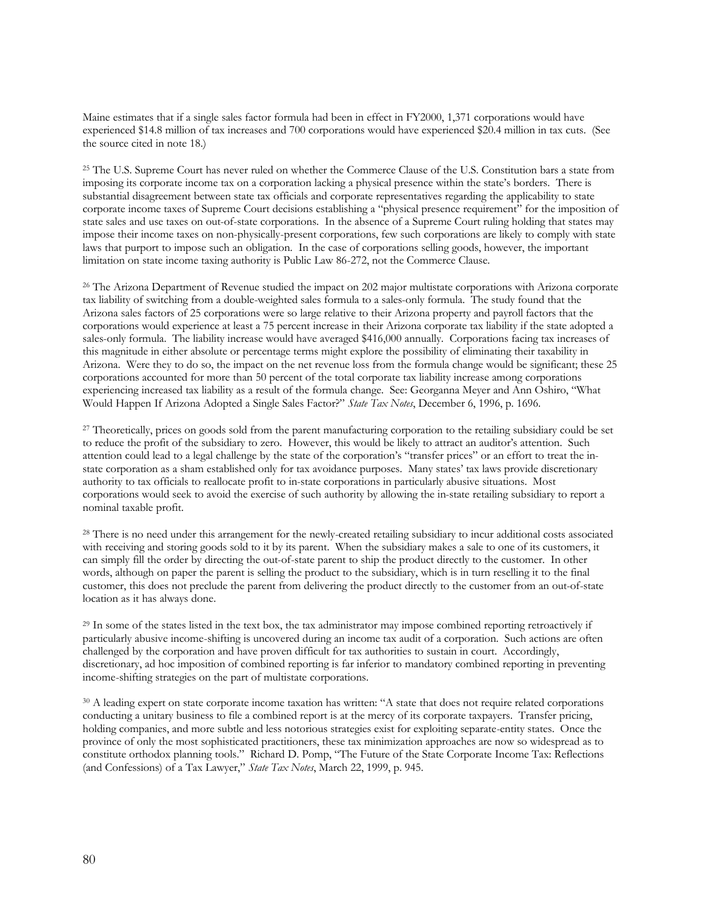Maine estimates that if a single sales factor formula had been in effect in FY2000, 1,371 corporations would have experienced \$14.8 million of tax increases and 700 corporations would have experienced \$20.4 million in tax cuts. (See the source cited in note 18.)

<sup>25</sup> The U.S. Supreme Court has never ruled on whether the Commerce Clause of the U.S. Constitution bars a state from imposing its corporate income tax on a corporation lacking a physical presence within the state's borders. There is substantial disagreement between state tax officials and corporate representatives regarding the applicability to state corporate income taxes of Supreme Court decisions establishing a "physical presence requirement" for the imposition of state sales and use taxes on out-of-state corporations. In the absence of a Supreme Court ruling holding that states may impose their income taxes on non-physically-present corporations, few such corporations are likely to comply with state laws that purport to impose such an obligation. In the case of corporations selling goods, however, the important limitation on state income taxing authority is Public Law 86-272, not the Commerce Clause.

<sup>26</sup> The Arizona Department of Revenue studied the impact on 202 major multistate corporations with Arizona corporate tax liability of switching from a double-weighted sales formula to a sales-only formula. The study found that the Arizona sales factors of 25 corporations were so large relative to their Arizona property and payroll factors that the corporations would experience at least a 75 percent increase in their Arizona corporate tax liability if the state adopted a sales-only formula. The liability increase would have averaged \$416,000 annually. Corporations facing tax increases of this magnitude in either absolute or percentage terms might explore the possibility of eliminating their taxability in Arizona. Were they to do so, the impact on the net revenue loss from the formula change would be significant; these 25 corporations accounted for more than 50 percent of the total corporate tax liability increase among corporations experiencing increased tax liability as a result of the formula change. See: Georganna Meyer and Ann Oshiro, "What Would Happen If Arizona Adopted a Single Sales Factor?" *State Tax Notes*, December 6, 1996, p. 1696.

<sup>27</sup> Theoretically, prices on goods sold from the parent manufacturing corporation to the retailing subsidiary could be set to reduce the profit of the subsidiary to zero. However, this would be likely to attract an auditor's attention. Such attention could lead to a legal challenge by the state of the corporation's "transfer prices" or an effort to treat the instate corporation as a sham established only for tax avoidance purposes. Many states' tax laws provide discretionary authority to tax officials to reallocate profit to in-state corporations in particularly abusive situations. Most corporations would seek to avoid the exercise of such authority by allowing the in-state retailing subsidiary to report a nominal taxable profit.

<sup>28</sup> There is no need under this arrangement for the newly-created retailing subsidiary to incur additional costs associated with receiving and storing goods sold to it by its parent. When the subsidiary makes a sale to one of its customers, it can simply fill the order by directing the out-of-state parent to ship the product directly to the customer. In other words, although on paper the parent is selling the product to the subsidiary, which is in turn reselling it to the final customer, this does not preclude the parent from delivering the product directly to the customer from an out-of-state location as it has always done.

<sup>29</sup> In some of the states listed in the text box, the tax administrator may impose combined reporting retroactively if particularly abusive income-shifting is uncovered during an income tax audit of a corporation. Such actions are often challenged by the corporation and have proven difficult for tax authorities to sustain in court. Accordingly, discretionary, ad hoc imposition of combined reporting is far inferior to mandatory combined reporting in preventing income-shifting strategies on the part of multistate corporations.

<sup>30</sup> A leading expert on state corporate income taxation has written: "A state that does not require related corporations conducting a unitary business to file a combined report is at the mercy of its corporate taxpayers. Transfer pricing, holding companies, and more subtle and less notorious strategies exist for exploiting separate-entity states. Once the province of only the most sophisticated practitioners, these tax minimization approaches are now so widespread as to constitute orthodox planning tools." Richard D. Pomp, "The Future of the State Corporate Income Tax: Reflections (and Confessions) of a Tax Lawyer," *State Tax Notes*, March 22, 1999, p. 945.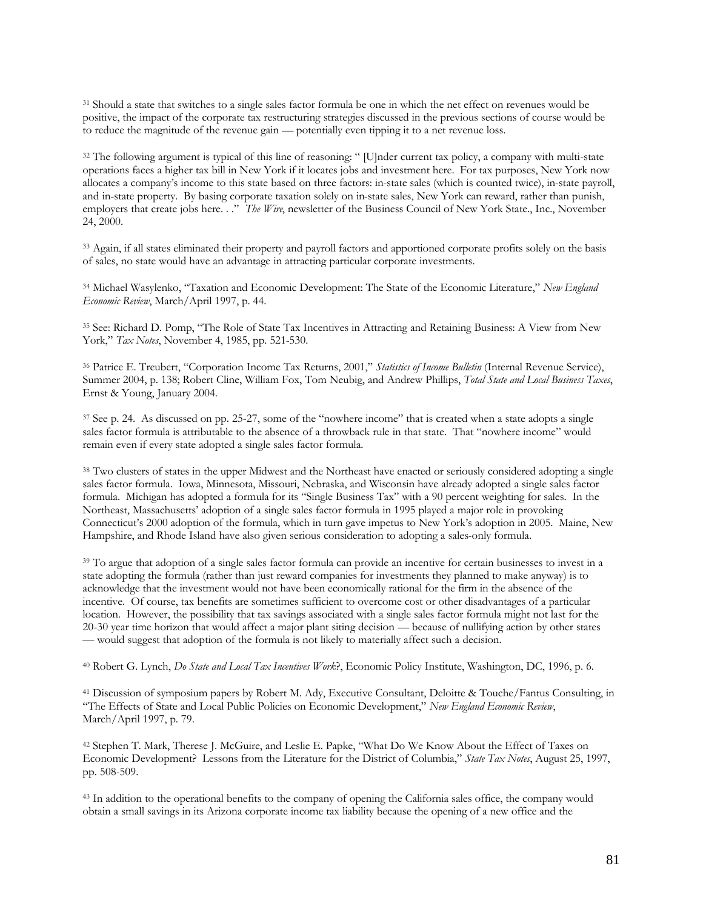<sup>31</sup> Should a state that switches to a single sales factor formula be one in which the net effect on revenues would be positive, the impact of the corporate tax restructuring strategies discussed in the previous sections of course would be to reduce the magnitude of the revenue gain — potentially even tipping it to a net revenue loss.

<sup>32</sup> The following argument is typical of this line of reasoning: " [U]nder current tax policy, a company with multi-state operations faces a higher tax bill in New York if it locates jobs and investment here. For tax purposes, New York now allocates a company's income to this state based on three factors: in-state sales (which is counted twice), in-state payroll, and in-state property. By basing corporate taxation solely on in-state sales, New York can reward, rather than punish, employers that create jobs here. . ." *The Wire*, newsletter of the Business Council of New York State., Inc., November 24, 2000.

<sup>33</sup> Again, if all states eliminated their property and payroll factors and apportioned corporate profits solely on the basis of sales, no state would have an advantage in attracting particular corporate investments.

<sup>34</sup> Michael Wasylenko, "Taxation and Economic Development: The State of the Economic Literature," *New England Economic Review*, March/April 1997, p. 44.

<sup>35</sup> See: Richard D. Pomp, "The Role of State Tax Incentives in Attracting and Retaining Business: A View from New York," *Tax Notes*, November 4, 1985, pp. 521-530.

<sup>36</sup> Patrice E. Treubert, "Corporation Income Tax Returns, 2001," *Statistics of Income Bulletin* (Internal Revenue Service), Summer 2004, p. 138; Robert Cline, William Fox, Tom Neubig, and Andrew Phillips, *Total State and Local Business Taxes*, Ernst & Young, January 2004.

<sup>37</sup> See p. 24. As discussed on pp. 25-27, some of the "nowhere income" that is created when a state adopts a single sales factor formula is attributable to the absence of a throwback rule in that state. That "nowhere income" would remain even if every state adopted a single sales factor formula.

<sup>38</sup> Two clusters of states in the upper Midwest and the Northeast have enacted or seriously considered adopting a single sales factor formula. Iowa, Minnesota, Missouri, Nebraska, and Wisconsin have already adopted a single sales factor formula. Michigan has adopted a formula for its "Single Business Tax" with a 90 percent weighting for sales. In the Northeast, Massachusetts' adoption of a single sales factor formula in 1995 played a major role in provoking Connecticut's 2000 adoption of the formula, which in turn gave impetus to New York's adoption in 2005. Maine, New Hampshire, and Rhode Island have also given serious consideration to adopting a sales-only formula.

<sup>39</sup> To argue that adoption of a single sales factor formula can provide an incentive for certain businesses to invest in a state adopting the formula (rather than just reward companies for investments they planned to make anyway) is to acknowledge that the investment would not have been economically rational for the firm in the absence of the incentive. Of course, tax benefits are sometimes sufficient to overcome cost or other disadvantages of a particular location. However, the possibility that tax savings associated with a single sales factor formula might not last for the 20-30 year time horizon that would affect a major plant siting decision — because of nullifying action by other states — would suggest that adoption of the formula is not likely to materially affect such a decision.

<sup>40</sup> Robert G. Lynch, *Do State and Local Tax Incentives Work*?, Economic Policy Institute, Washington, DC, 1996, p. 6.

<sup>41</sup> Discussion of symposium papers by Robert M. Ady, Executive Consultant, Deloitte & Touche/Fantus Consulting, in "The Effects of State and Local Public Policies on Economic Development," *New England Economic Review*, March/April 1997, p. 79.

<sup>42</sup> Stephen T. Mark, Therese J. McGuire, and Leslie E. Papke, "What Do We Know About the Effect of Taxes on Economic Development? Lessons from the Literature for the District of Columbia," *State Tax Notes*, August 25, 1997, pp. 508-509.

<sup>43</sup> In addition to the operational benefits to the company of opening the California sales office, the company would obtain a small savings in its Arizona corporate income tax liability because the opening of a new office and the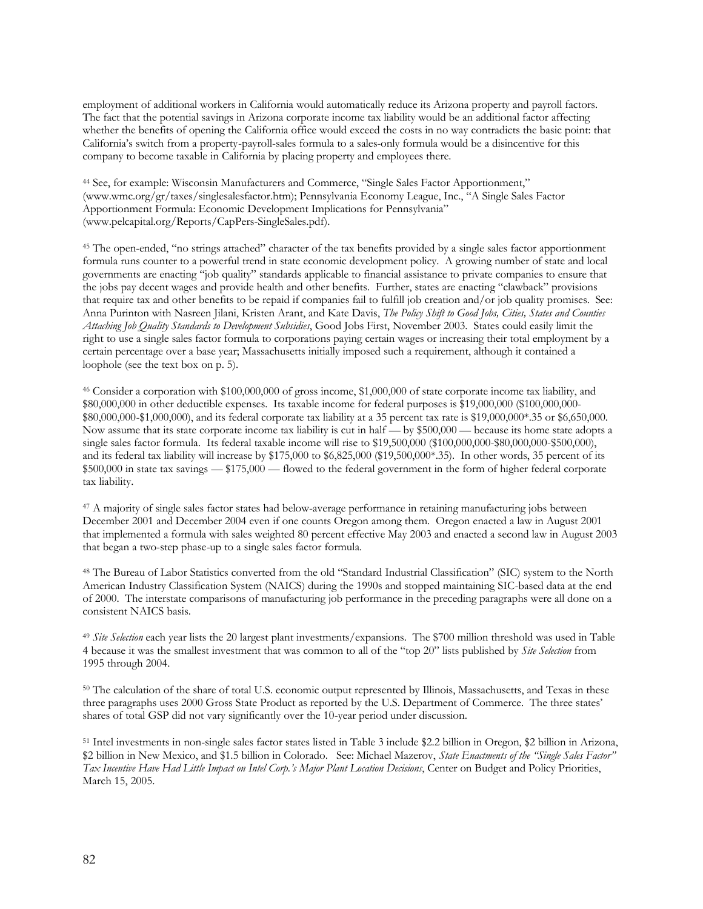employment of additional workers in California would automatically reduce its Arizona property and payroll factors. The fact that the potential savings in Arizona corporate income tax liability would be an additional factor affecting whether the benefits of opening the California office would exceed the costs in no way contradicts the basic point: that California's switch from a property-payroll-sales formula to a sales-only formula would be a disincentive for this company to become taxable in California by placing property and employees there.

<sup>44</sup> See, for example: Wisconsin Manufacturers and Commerce, "Single Sales Factor Apportionment," (www.wmc.org/gr/taxes/singlesalesfactor.htm); Pennsylvania Economy League, Inc., "A Single Sales Factor Apportionment Formula: Economic Development Implications for Pennsylvania" (www.pelcapital.org/Reports/CapPers-SingleSales.pdf).

<sup>45</sup> The open-ended, "no strings attached" character of the tax benefits provided by a single sales factor apportionment formula runs counter to a powerful trend in state economic development policy. A growing number of state and local governments are enacting "job quality" standards applicable to financial assistance to private companies to ensure that the jobs pay decent wages and provide health and other benefits. Further, states are enacting "clawback" provisions that require tax and other benefits to be repaid if companies fail to fulfill job creation and/or job quality promises. See: Anna Purinton with Nasreen Jilani, Kristen Arant, and Kate Davis, *The Policy Shift to Good Jobs, Cities, States and Counties Attaching Job Quality Standards to Development Subsidies*, Good Jobs First, November 2003. States could easily limit the right to use a single sales factor formula to corporations paying certain wages or increasing their total employment by a certain percentage over a base year; Massachusetts initially imposed such a requirement, although it contained a loophole (see the text box on p. 5).

<sup>46</sup> Consider a corporation with \$100,000,000 of gross income, \$1,000,000 of state corporate income tax liability, and \$80,000,000 in other deductible expenses. Its taxable income for federal purposes is \$19,000,000 (\$100,000,000- \$80,000,000-\$1,000,000), and its federal corporate tax liability at a 35 percent tax rate is \$19,000,000\*.35 or \$6,650,000. Now assume that its state corporate income tax liability is cut in half — by \$500,000 — because its home state adopts a single sales factor formula. Its federal taxable income will rise to \$19,500,000 (\$100,000,000-\$80,000,000-\$500,000), and its federal tax liability will increase by \$175,000 to \$6,825,000 (\$19,500,000\*.35). In other words, 35 percent of its \$500,000 in state tax savings — \$175,000 — flowed to the federal government in the form of higher federal corporate tax liability.

<sup>47</sup> A majority of single sales factor states had below-average performance in retaining manufacturing jobs between December 2001 and December 2004 even if one counts Oregon among them. Oregon enacted a law in August 2001 that implemented a formula with sales weighted 80 percent effective May 2003 and enacted a second law in August 2003 that began a two-step phase-up to a single sales factor formula.

<sup>48</sup> The Bureau of Labor Statistics converted from the old "Standard Industrial Classification" (SIC) system to the North American Industry Classification System (NAICS) during the 1990s and stopped maintaining SIC-based data at the end of 2000. The interstate comparisons of manufacturing job performance in the preceding paragraphs were all done on a consistent NAICS basis.

<sup>49</sup> *Site Selection* each year lists the 20 largest plant investments/expansions. The \$700 million threshold was used in Table 4 because it was the smallest investment that was common to all of the "top 20" lists published by *Site Selection* from 1995 through 2004.

<sup>50</sup> The calculation of the share of total U.S. economic output represented by Illinois, Massachusetts, and Texas in these three paragraphs uses 2000 Gross State Product as reported by the U.S. Department of Commerce. The three states' shares of total GSP did not vary significantly over the 10-year period under discussion.

<sup>51</sup> Intel investments in non-single sales factor states listed in Table 3 include \$2.2 billion in Oregon, \$2 billion in Arizona, \$2 billion in New Mexico, and \$1.5 billion in Colorado. See: Michael Mazerov, *State Enactments of the "Single Sales Factor" Tax Incentive Have Had Little Impact on Intel Corp.'s Major Plant Location Decisions*, Center on Budget and Policy Priorities, March 15, 2005.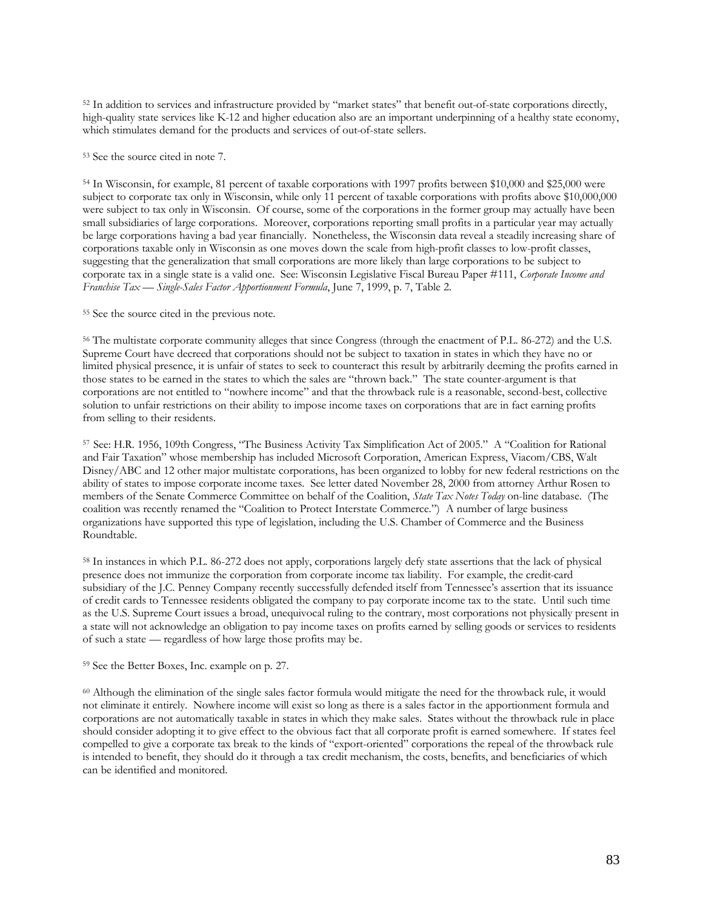<sup>52</sup> In addition to services and infrastructure provided by "market states" that benefit out-of-state corporations directly, high-quality state services like K-12 and higher education also are an important underpinning of a healthy state economy, which stimulates demand for the products and services of out-of-state sellers.

<sup>53</sup> See the source cited in note 7.

<sup>54</sup> In Wisconsin, for example, 81 percent of taxable corporations with 1997 profits between \$10,000 and \$25,000 were subject to corporate tax only in Wisconsin, while only 11 percent of taxable corporations with profits above \$10,000,000 were subject to tax only in Wisconsin. Of course, some of the corporations in the former group may actually have been small subsidiaries of large corporations. Moreover, corporations reporting small profits in a particular year may actually be large corporations having a bad year financially. Nonetheless, the Wisconsin data reveal a steadily increasing share of corporations taxable only in Wisconsin as one moves down the scale from high-profit classes to low-profit classes, suggesting that the generalization that small corporations are more likely than large corporations to be subject to corporate tax in a single state is a valid one. See: Wisconsin Legislative Fiscal Bureau Paper #111, *Corporate Income and Franchise Tax — Single-Sales Factor Apportionment Formula*, June 7, 1999, p. 7, Table 2.

<sup>55</sup> See the source cited in the previous note.

<sup>56</sup> The multistate corporate community alleges that since Congress (through the enactment of P.L. 86-272) and the U.S. Supreme Court have decreed that corporations should not be subject to taxation in states in which they have no or limited physical presence, it is unfair of states to seek to counteract this result by arbitrarily deeming the profits earned in those states to be earned in the states to which the sales are "thrown back." The state counter-argument is that corporations are not entitled to "nowhere income" and that the throwback rule is a reasonable, second-best, collective solution to unfair restrictions on their ability to impose income taxes on corporations that are in fact earning profits from selling to their residents.

<sup>57</sup> See: H.R. 1956, 109th Congress, "The Business Activity Tax Simplification Act of 2005." A "Coalition for Rational and Fair Taxation" whose membership has included Microsoft Corporation, American Express, Viacom/CBS, Walt Disney/ABC and 12 other major multistate corporations, has been organized to lobby for new federal restrictions on the ability of states to impose corporate income taxes. See letter dated November 28, 2000 from attorney Arthur Rosen to members of the Senate Commerce Committee on behalf of the Coalition, *State Tax Notes Today* on-line database. (The coalition was recently renamed the "Coalition to Protect Interstate Commerce.") A number of large business organizations have supported this type of legislation, including the U.S. Chamber of Commerce and the Business Roundtable.

<sup>58</sup> In instances in which P.L. 86-272 does not apply, corporations largely defy state assertions that the lack of physical presence does not immunize the corporation from corporate income tax liability. For example, the credit-card subsidiary of the J.C. Penney Company recently successfully defended itself from Tennessee's assertion that its issuance of credit cards to Tennessee residents obligated the company to pay corporate income tax to the state. Until such time as the U.S. Supreme Court issues a broad, unequivocal ruling to the contrary, most corporations not physically present in a state will not acknowledge an obligation to pay income taxes on profits earned by selling goods or services to residents of such a state — regardless of how large those profits may be.

<sup>59</sup> See the Better Boxes, Inc. example on p. 27.

<sup>60</sup> Although the elimination of the single sales factor formula would mitigate the need for the throwback rule, it would not eliminate it entirely. Nowhere income will exist so long as there is a sales factor in the apportionment formula and corporations are not automatically taxable in states in which they make sales. States without the throwback rule in place should consider adopting it to give effect to the obvious fact that all corporate profit is earned somewhere. If states feel compelled to give a corporate tax break to the kinds of "export-oriented" corporations the repeal of the throwback rule is intended to benefit, they should do it through a tax credit mechanism, the costs, benefits, and beneficiaries of which can be identified and monitored.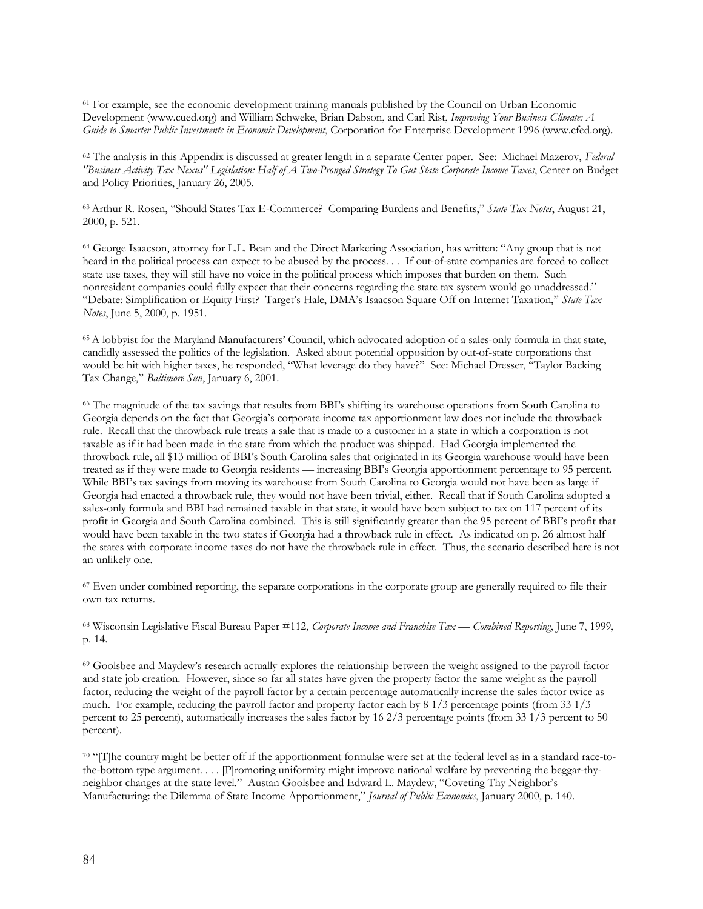<sup>61</sup> For example, see the economic development training manuals published by the Council on Urban Economic Development (www.cued.org) and William Schweke, Brian Dabson, and Carl Rist, *Improving Your Business Climate: A Guide to Smarter Public Investments in Economic Development*, Corporation for Enterprise Development 1996 (www.cfed.org).

<sup>62</sup> The analysis in this Appendix is discussed at greater length in a separate Center paper. See: Michael Mazerov, *Federal "Business Activity Tax Nexus" Legislation: Half of A Two-Pronged Strategy To Gut State Corporate Income Taxes*, Center on Budget and Policy Priorities, January 26, 2005.

<sup>63</sup> Arthur R. Rosen, "Should States Tax E-Commerce? Comparing Burdens and Benefits," *State Tax Notes*, August 21, 2000, p. 521.

<sup>64</sup> George Isaacson, attorney for L.L. Bean and the Direct Marketing Association, has written: "Any group that is not heard in the political process can expect to be abused by the process. . . If out-of-state companies are forced to collect state use taxes, they will still have no voice in the political process which imposes that burden on them. Such nonresident companies could fully expect that their concerns regarding the state tax system would go unaddressed." "Debate: Simplification or Equity First? Target's Hale, DMA's Isaacson Square Off on Internet Taxation," *State Tax Notes*, June 5, 2000, p. 1951.

<sup>65</sup> A lobbyist for the Maryland Manufacturers' Council, which advocated adoption of a sales-only formula in that state, candidly assessed the politics of the legislation. Asked about potential opposition by out-of-state corporations that would be hit with higher taxes, he responded, "What leverage do they have?" See: Michael Dresser, "Taylor Backing Tax Change," *Baltimore Sun*, January 6, 2001.

<sup>66</sup> The magnitude of the tax savings that results from BBI's shifting its warehouse operations from South Carolina to Georgia depends on the fact that Georgia's corporate income tax apportionment law does not include the throwback rule. Recall that the throwback rule treats a sale that is made to a customer in a state in which a corporation is not taxable as if it had been made in the state from which the product was shipped. Had Georgia implemented the throwback rule, all \$13 million of BBI's South Carolina sales that originated in its Georgia warehouse would have been treated as if they were made to Georgia residents — increasing BBI's Georgia apportionment percentage to 95 percent. While BBI's tax savings from moving its warehouse from South Carolina to Georgia would not have been as large if Georgia had enacted a throwback rule, they would not have been trivial, either. Recall that if South Carolina adopted a sales-only formula and BBI had remained taxable in that state, it would have been subject to tax on 117 percent of its profit in Georgia and South Carolina combined. This is still significantly greater than the 95 percent of BBI's profit that would have been taxable in the two states if Georgia had a throwback rule in effect. As indicated on p. 26 almost half the states with corporate income taxes do not have the throwback rule in effect. Thus, the scenario described here is not an unlikely one.

<sup>67</sup> Even under combined reporting, the separate corporations in the corporate group are generally required to file their own tax returns.

<sup>68</sup> Wisconsin Legislative Fiscal Bureau Paper #112, *Corporate Income and Franchise Tax — Combined Reporting*, June 7, 1999, p. 14.

<sup>69</sup> Goolsbee and Maydew's research actually explores the relationship between the weight assigned to the payroll factor and state job creation. However, since so far all states have given the property factor the same weight as the payroll factor, reducing the weight of the payroll factor by a certain percentage automatically increase the sales factor twice as much. For example, reducing the payroll factor and property factor each by 8 1/3 percentage points (from 33 1/3 percent to 25 percent), automatically increases the sales factor by 16 2/3 percentage points (from 33 1/3 percent to 50 percent).

70 "[T]he country might be better off if the apportionment formulae were set at the federal level as in a standard race-tothe-bottom type argument. . . . [P]romoting uniformity might improve national welfare by preventing the beggar-thyneighbor changes at the state level." Austan Goolsbee and Edward L. Maydew, "Coveting Thy Neighbor's Manufacturing: the Dilemma of State Income Apportionment," *Journal of Public Economics*, January 2000, p. 140.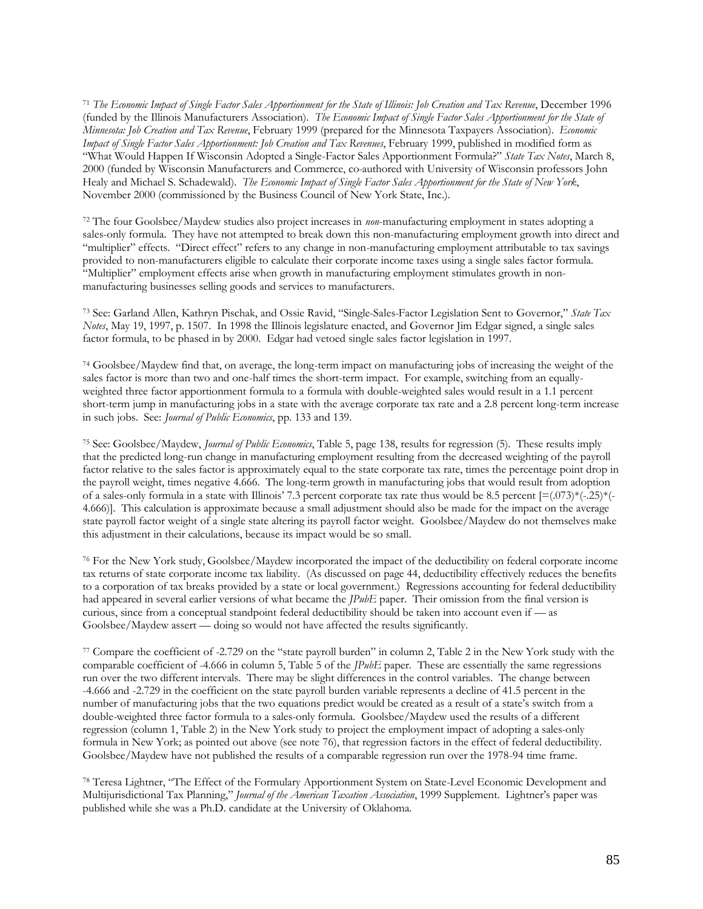<sup>71</sup> *The Economic Impact of Single Factor Sales Apportionment for the State of Illinois: Job Creation and Tax Revenue*, December 1996 (funded by the Illinois Manufacturers Association). *The Economic Impact of Single Factor Sales Apportionment for the State of Minnesota: Job Creation and Tax Revenue*, February 1999 (prepared for the Minnesota Taxpayers Association). *Economic Impact of Single Factor Sales Apportionment: Job Creation and Tax Revenues*, February 1999, published in modified form as "What Would Happen If Wisconsin Adopted a Single-Factor Sales Apportionment Formula?" *State Tax Notes*, March 8, 2000 (funded by Wisconsin Manufacturers and Commerce, co-authored with University of Wisconsin professors John Healy and Michael S. Schadewald). *The Economic Impact of Single Factor Sales Apportionment for the State of New York*, November 2000 (commissioned by the Business Council of New York State, Inc.).

<sup>72</sup> The four Goolsbee/Maydew studies also project increases in *non*-manufacturing employment in states adopting a sales-only formula. They have not attempted to break down this non-manufacturing employment growth into direct and "multiplier" effects. "Direct effect" refers to any change in non-manufacturing employment attributable to tax savings provided to non-manufacturers eligible to calculate their corporate income taxes using a single sales factor formula. "Multiplier" employment effects arise when growth in manufacturing employment stimulates growth in nonmanufacturing businesses selling goods and services to manufacturers.

<sup>73</sup> See: Garland Allen, Kathryn Pischak, and Ossie Ravid, "Single-Sales-Factor Legislation Sent to Governor," *State Tax Notes*, May 19, 1997, p. 1507. In 1998 the Illinois legislature enacted, and Governor Jim Edgar signed, a single sales factor formula, to be phased in by 2000. Edgar had vetoed single sales factor legislation in 1997.

<sup>74</sup> Goolsbee/Maydew find that, on average, the long-term impact on manufacturing jobs of increasing the weight of the sales factor is more than two and one-half times the short-term impact. For example, switching from an equallyweighted three factor apportionment formula to a formula with double-weighted sales would result in a 1.1 percent short-term jump in manufacturing jobs in a state with the average corporate tax rate and a 2.8 percent long-term increase in such jobs. See: *Journal of Public Economics*, pp. 133 and 139.

<sup>75</sup> See: Goolsbee/Maydew, *Journal of Public Economics*, Table 5, page 138, results for regression (5). These results imply that the predicted long-run change in manufacturing employment resulting from the decreased weighting of the payroll factor relative to the sales factor is approximately equal to the state corporate tax rate, times the percentage point drop in the payroll weight, times negative 4.666. The long-term growth in manufacturing jobs that would result from adoption of a sales-only formula in a state with Illinois' 7.3 percent corporate tax rate thus would be 8.5 percent  $[=(.073)^*(-.25)^*(-.25)^*(-.25)^*$ 4.666)]. This calculation is approximate because a small adjustment should also be made for the impact on the average state payroll factor weight of a single state altering its payroll factor weight. Goolsbee/Maydew do not themselves make this adjustment in their calculations, because its impact would be so small.

<sup>76</sup> For the New York study, Goolsbee/Maydew incorporated the impact of the deductibility on federal corporate income tax returns of state corporate income tax liability. (As discussed on page 44, deductibility effectively reduces the benefits to a corporation of tax breaks provided by a state or local government.) Regressions accounting for federal deductibility had appeared in several earlier versions of what became the *JPubE* paper. Their omission from the final version is curious, since from a conceptual standpoint federal deductibility should be taken into account even if — as Goolsbee/Maydew assert — doing so would not have affected the results significantly.

<sup>77</sup> Compare the coefficient of -2.729 on the "state payroll burden" in column 2, Table 2 in the New York study with the comparable coefficient of -4.666 in column 5, Table 5 of the *JPubE* paper. These are essentially the same regressions run over the two different intervals. There may be slight differences in the control variables. The change between -4.666 and -2.729 in the coefficient on the state payroll burden variable represents a decline of 41.5 percent in the number of manufacturing jobs that the two equations predict would be created as a result of a state's switch from a double-weighted three factor formula to a sales-only formula. Goolsbee/Maydew used the results of a different regression (column 1, Table 2) in the New York study to project the employment impact of adopting a sales-only formula in New York; as pointed out above (see note 76), that regression factors in the effect of federal deductibility. Goolsbee/Maydew have not published the results of a comparable regression run over the 1978-94 time frame.

<sup>78</sup> Teresa Lightner, "The Effect of the Formulary Apportionment System on State-Level Economic Development and Multijurisdictional Tax Planning," *Journal of the American Taxation Association*, 1999 Supplement. Lightner's paper was published while she was a Ph.D. candidate at the University of Oklahoma.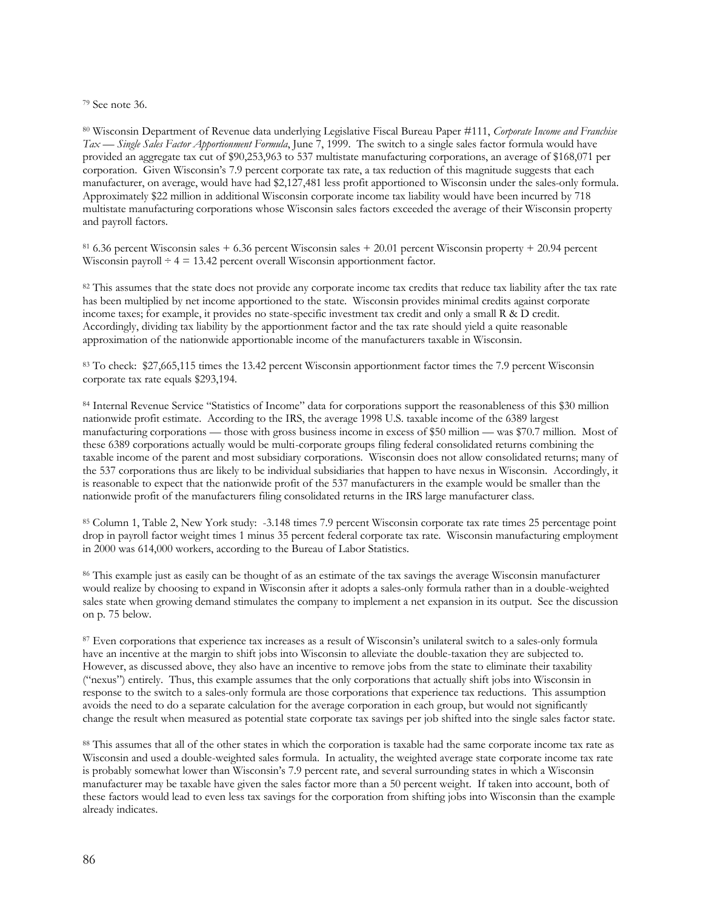<sup>79</sup> See note 36.

<sup>80</sup> Wisconsin Department of Revenue data underlying Legislative Fiscal Bureau Paper #111, *Corporate Income and Franchise Tax — Single Sales Factor Apportionment Formula*, June 7, 1999. The switch to a single sales factor formula would have provided an aggregate tax cut of \$90,253,963 to 537 multistate manufacturing corporations, an average of \$168,071 per corporation. Given Wisconsin's 7.9 percent corporate tax rate, a tax reduction of this magnitude suggests that each manufacturer, on average, would have had \$2,127,481 less profit apportioned to Wisconsin under the sales-only formula. Approximately \$22 million in additional Wisconsin corporate income tax liability would have been incurred by 718 multistate manufacturing corporations whose Wisconsin sales factors exceeded the average of their Wisconsin property and payroll factors.

 $81\,6.36$  percent Wisconsin sales + 6.36 percent Wisconsin sales + 20.01 percent Wisconsin property + 20.94 percent Wisconsin payroll  $\div$  4 = 13.42 percent overall Wisconsin apportionment factor.

<sup>82</sup> This assumes that the state does not provide any corporate income tax credits that reduce tax liability after the tax rate has been multiplied by net income apportioned to the state. Wisconsin provides minimal credits against corporate income taxes; for example, it provides no state-specific investment tax credit and only a small R & D credit. Accordingly, dividing tax liability by the apportionment factor and the tax rate should yield a quite reasonable approximation of the nationwide apportionable income of the manufacturers taxable in Wisconsin.

<sup>83</sup> To check: \$27,665,115 times the 13.42 percent Wisconsin apportionment factor times the 7.9 percent Wisconsin corporate tax rate equals \$293,194.

84 Internal Revenue Service "Statistics of Income" data for corporations support the reasonableness of this \$30 million nationwide profit estimate. According to the IRS, the average 1998 U.S. taxable income of the 6389 largest manufacturing corporations — those with gross business income in excess of \$50 million — was \$70.7 million. Most of these 6389 corporations actually would be multi-corporate groups filing federal consolidated returns combining the taxable income of the parent and most subsidiary corporations. Wisconsin does not allow consolidated returns; many of the 537 corporations thus are likely to be individual subsidiaries that happen to have nexus in Wisconsin. Accordingly, it is reasonable to expect that the nationwide profit of the 537 manufacturers in the example would be smaller than the nationwide profit of the manufacturers filing consolidated returns in the IRS large manufacturer class.

<sup>85</sup> Column 1, Table 2, New York study: -3.148 times 7.9 percent Wisconsin corporate tax rate times 25 percentage point drop in payroll factor weight times 1 minus 35 percent federal corporate tax rate. Wisconsin manufacturing employment in 2000 was 614,000 workers, according to the Bureau of Labor Statistics.

<sup>86</sup> This example just as easily can be thought of as an estimate of the tax savings the average Wisconsin manufacturer would realize by choosing to expand in Wisconsin after it adopts a sales-only formula rather than in a double-weighted sales state when growing demand stimulates the company to implement a net expansion in its output. See the discussion on p. 75 below.

<sup>87</sup> Even corporations that experience tax increases as a result of Wisconsin's unilateral switch to a sales-only formula have an incentive at the margin to shift jobs into Wisconsin to alleviate the double-taxation they are subjected to. However, as discussed above, they also have an incentive to remove jobs from the state to eliminate their taxability ("nexus") entirely. Thus, this example assumes that the only corporations that actually shift jobs into Wisconsin in response to the switch to a sales-only formula are those corporations that experience tax reductions. This assumption avoids the need to do a separate calculation for the average corporation in each group, but would not significantly change the result when measured as potential state corporate tax savings per job shifted into the single sales factor state.

<sup>88</sup> This assumes that all of the other states in which the corporation is taxable had the same corporate income tax rate as Wisconsin and used a double-weighted sales formula. In actuality, the weighted average state corporate income tax rate is probably somewhat lower than Wisconsin's 7.9 percent rate, and several surrounding states in which a Wisconsin manufacturer may be taxable have given the sales factor more than a 50 percent weight. If taken into account, both of these factors would lead to even less tax savings for the corporation from shifting jobs into Wisconsin than the example already indicates.